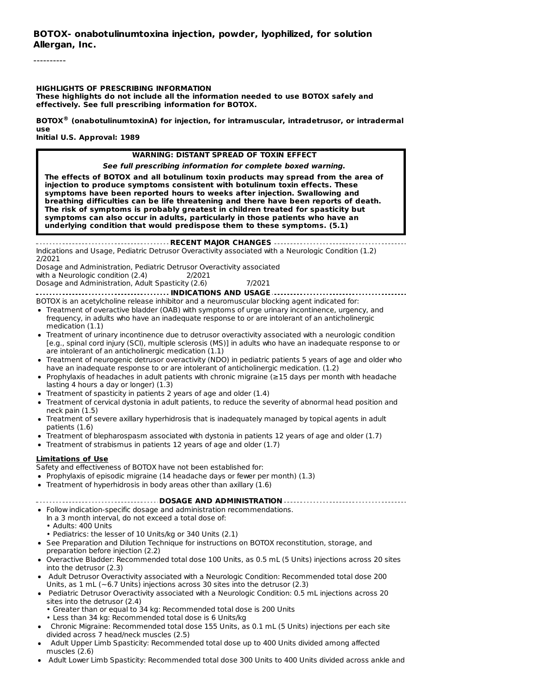----------

**HIGHLIGHTS OF PRESCRIBING INFORMATION These highlights do not include all the information needed to use BOTOX safely and effectively. See full prescribing information for BOTOX.**

**BOTOX (onabotulinumtoxinA) for injection, for intramuscular, intradetrusor, or intradermal ®use Initial U.S. Approval: 1989**

#### **WARNING: DISTANT SPREAD OF TOXIN EFFECT**

**See full prescribing information for complete boxed warning.**

**The effects of BOTOX and all botulinum toxin products may spread from the area of injection to produce symptoms consistent with botulinum toxin effects. These symptoms have been reported hours to weeks after injection. Swallowing and breathing difficulties can be life threatening and there have been reports of death. The risk of symptoms is probably greatest in children treated for spasticity but symptoms can also occur in adults, particularly in those patients who have an underlying condition that would predispose them to these symptoms. (5.1)**

**RECENT MAJOR CHANGES** Indications and Usage, Pediatric Detrusor Overactivity associated with a Neurologic Condition (1.2) 2/2021

Dosage and Administration, Pediatric Detrusor Overactivity associated with a Neurologic condition (2.4) 2/2021

Dosage and Administration, Adult Spasticity (2.6) 7/2021 **INDICATIONS AND USAGE**

BOTOX is an acetylcholine release inhibitor and a neuromuscular blocking agent indicated for:

- Treatment of overactive bladder (OAB) with symptoms of urge urinary incontinence, urgency, and frequency, in adults who have an inadequate response to or are intolerant of an anticholinergic medication (1.1)
- Treatment of urinary incontinence due to detrusor overactivity associated with a neurologic condition [e.g., spinal cord injury (SCI), multiple sclerosis (MS)] in adults who have an inadequate response to or are intolerant of an anticholinergic medication (1.1)
- Treatment of neurogenic detrusor overactivity (NDO) in pediatric patients 5 years of age and older who have an inadequate response to or are intolerant of anticholinergic medication. (1.2)
- Prophylaxis of headaches in adult patients with chronic migraine (≥15 days per month with headache lasting 4 hours a day or longer) (1.3)
- Treatment of spasticity in patients 2 years of age and older (1.4)
- Treatment of cervical dystonia in adult patients, to reduce the severity of abnormal head position and neck pain (1.5)
- Treatment of severe axillary hyperhidrosis that is inadequately managed by topical agents in adult patients (1.6)
- Treatment of blepharospasm associated with dystonia in patients 12 years of age and older (1.7)
- $\bullet$  Treatment of strabismus in patients 12 years of age and older (1.7)

#### **Limitations of Use**

Safety and effectiveness of BOTOX have not been established for:

- Prophylaxis of episodic migraine (14 headache days or fewer per month) (1.3)
- Treatment of hyperhidrosis in body areas other than axillary (1.6)

**DOSAGE AND ADMINISTRATION**

- Follow indication-specific dosage and administration recommendations. In a 3 month interval, do not exceed a total dose of:
	-
	- Adults: 400 Units
- Pediatrics: the lesser of 10 Units/kg or 340 Units (2.1)
- See Preparation and Dilution Technique for instructions on BOTOX reconstitution, storage, and preparation before injection (2.2)
- Overactive Bladder: Recommended total dose 100 Units, as 0.5 mL (5 Units) injections across 20 sites into the detrusor (2.3)
- Adult Detrusor Overactivity associated with a Neurologic Condition: Recommended total dose 200 Units, as 1 mL (~6.7 Units) injections across 30 sites into the detrusor (2.3)
- Pediatric Detrusor Overactivity associated with a Neurologic Condition: 0.5 mL injections across 20 sites into the detrusor (2.4)
	- Greater than or equal to 34 kg: Recommended total dose is 200 Units
	- Less than 34 kg: Recommended total dose is 6 Units/kg
- Chronic Migraine: Recommended total dose 155 Units, as 0.1 mL (5 Units) injections per each site divided across 7 head/neck muscles (2.5)
- Adult Upper Limb Spasticity: Recommended total dose up to 400 Units divided among affected muscles (2.6)
- Adult Lower Limb Spasticity: Recommended total dose 300 Units to 400 Units divided across ankle and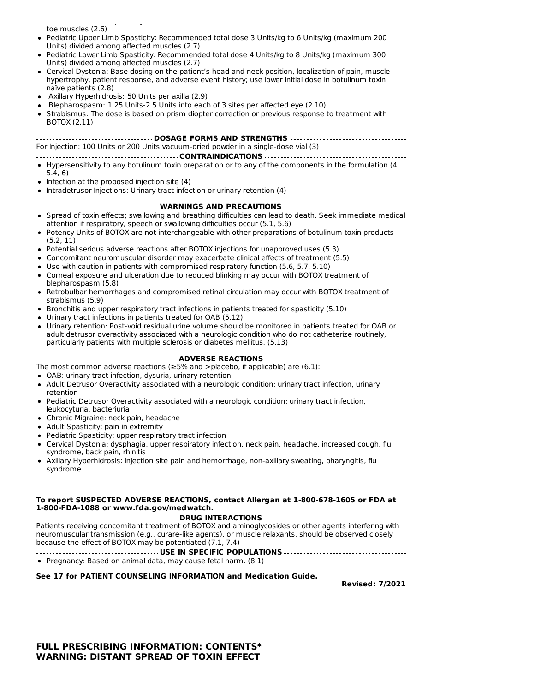toe muscles (2.6)

Pediatric Upper Limb Spasticity: Recommended total dose 3 Units/kg to 6 Units/kg (maximum 200 Units) divided among affected muscles (2.7)

 $A_{\rm{max}}$  Lower Limit Spasticity: Recommended total dose 300 Units divided across and

- Pediatric Lower Limb Spasticity: Recommended total dose 4 Units/kg to 8 Units/kg (maximum 300 Units) divided among affected muscles (2.7)
- Cervical Dystonia: Base dosing on the patient's head and neck position, localization of pain, muscle hypertrophy, patient response, and adverse event history; use lower initial dose in botulinum toxin naïve patients (2.8)
- Axillary Hyperhidrosis: 50 Units per axilla (2.9)
- Blepharospasm: 1.25 Units-2.5 Units into each of 3 sites per affected eye (2.10)
- Strabismus: The dose is based on prism diopter correction or previous response to treatment with BOTOX (2.11)

**DOSAGE FORMS AND STRENGTHS** For Injection: 100 Units or 200 Units vacuum-dried powder in a single-dose vial (3)

#### **CONTRAINDICATIONS**

- Hypersensitivity to any botulinum toxin preparation or to any of the components in the formulation (4, 5.4, 6)
- $\bullet$  Infection at the proposed injection site (4)
- Intradetrusor Injections: Urinary tract infection or urinary retention (4)

#### **WARNINGS AND PRECAUTIONS**

- Spread of toxin effects; swallowing and breathing difficulties can lead to death. Seek immediate medical attention if respiratory, speech or swallowing difficulties occur (5.1, 5.6)
- Potency Units of BOTOX are not interchangeable with other preparations of botulinum toxin products (5.2, 11)
- Potential serious adverse reactions after BOTOX injections for unapproved uses (5.3)
- Concomitant neuromuscular disorder may exacerbate clinical effects of treatment (5.5)
- Use with caution in patients with compromised respiratory function (5.6, 5.7, 5.10)
- Corneal exposure and ulceration due to reduced blinking may occur with BOTOX treatment of blepharospasm (5.8)
- Retrobulbar hemorrhages and compromised retinal circulation may occur with BOTOX treatment of strabismus (5.9)
- Bronchitis and upper respiratory tract infections in patients treated for spasticity (5.10)
- Urinary tract infections in patients treated for OAB (5.12)
- Urinary retention: Post-void residual urine volume should be monitored in patients treated for OAB or adult detrusor overactivity associated with a neurologic condition who do not catheterize routinely, particularly patients with multiple sclerosis or diabetes mellitus. (5.13)

#### **ADVERSE REACTIONS**

The most common adverse reactions ( $\geq$ 5% and >placebo, if applicable) are (6.1):

- OAB: urinary tract infection, dysuria, urinary retention
- Adult Detrusor Overactivity associated with a neurologic condition: urinary tract infection, urinary retention
- Pediatric Detrusor Overactivity associated with a neurologic condition: urinary tract infection, leukocyturia, bacteriuria
- Chronic Migraine: neck pain, headache
- Adult Spasticity: pain in extremity
- Pediatric Spasticity: upper respiratory tract infection
- Cervical Dystonia: dysphagia, upper respiratory infection, neck pain, headache, increased cough, flu syndrome, back pain, rhinitis
- Axillary Hyperhidrosis: injection site pain and hemorrhage, non-axillary sweating, pharyngitis, flu syndrome

#### **To report SUSPECTED ADVERSE REACTIONS, contact Allergan at 1-800-678-1605 or FDA at 1-800-FDA-1088 or www.fda.gov/medwatch.**

**DRUG INTERACTIONS** Patients receiving concomitant treatment of BOTOX and aminoglycosides or other agents interfering with neuromuscular transmission (e.g., curare-like agents), or muscle relaxants, should be observed closely because the effect of BOTOX may be potentiated (7.1, 7.4)

**USE IN SPECIFIC POPULATIONS**

Pregnancy: Based on animal data, may cause fetal harm. (8.1)

#### **See 17 for PATIENT COUNSELING INFORMATION and Medication Guide.**

**Revised: 7/2021**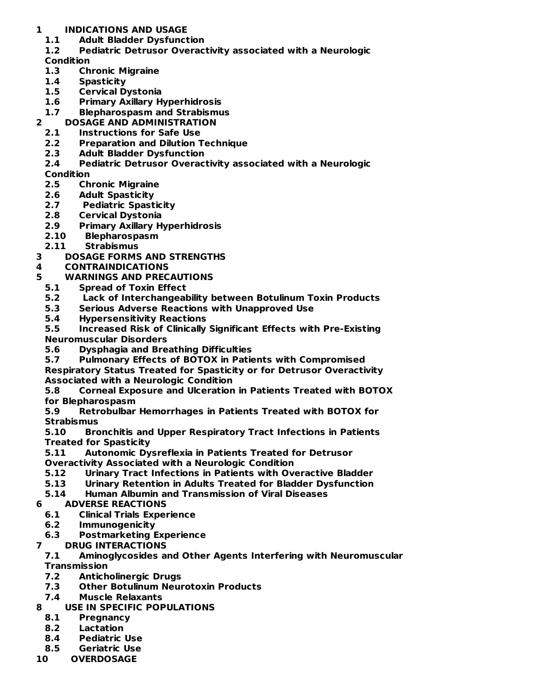# **1 INDICATIONS AND USAGE**

**1.1 Adult Bladder Dysfunction**

# **1.2 Pediatric Detrusor Overactivity associated with a Neurologic**

### **Condition**

- **1.3 Chronic Migraine**
- **1.4 Spasticity**
- **1.5 Cervical Dystonia**
- **1.6 Primary Axillary Hyperhidrosis**

# **1.7 Blepharospasm and Strabismus**

- **2 DOSAGE AND ADMINISTRATION**
	- **2.1 Instructions for Safe Use**
	- **2.2 Preparation and Dilution Technique**
	- **2.3 Adult Bladder Dysfunction**
	- **2.4 Pediatric Detrusor Overactivity associated with a Neurologic**

# **Condition**

- **2.5 Chronic Migraine**
- **2.6 Adult Spasticity**
- **2.7 Pediatric Spasticity**
- **2.8 Cervical Dystonia**
- **2.9 Primary Axillary Hyperhidrosis**
- **2.10 Blepharospasm**
- **2.11 Strabismus**
- **3 DOSAGE FORMS AND STRENGTHS**

# **4 CONTRAINDICATIONS**

# **5 WARNINGS AND PRECAUTIONS**

- **5.1 Spread of Toxin Effect**
- **5.2 Lack of Interchangeability between Botulinum Toxin Products**
- **5.3 Serious Adverse Reactions with Unapproved Use**
- **5.4 Hypersensitivity Reactions**

**5.5 Increased Risk of Clinically Significant Effects with Pre-Existing Neuromuscular Disorders**

- **5.6 Dysphagia and Breathing Difficulties**
- **5.7 Pulmonary Effects of BOTOX in Patients with Compromised**

**Respiratory Status Treated for Spasticity or for Detrusor Overactivity Associated with a Neurologic Condition**

**5.8 Corneal Exposure and Ulceration in Patients Treated with BOTOX for Blepharospasm**

**5.9 Retrobulbar Hemorrhages in Patients Treated with BOTOX for Strabismus**

**5.10 Bronchitis and Upper Respiratory Tract Infections in Patients Treated for Spasticity**

**5.11 Autonomic Dysreflexia in Patients Treated for Detrusor Overactivity Associated with a Neurologic Condition**

- **5.12 Urinary Tract Infections in Patients with Overactive Bladder**
- **5.13 Urinary Retention in Adults Treated for Bladder Dysfunction**
- **5.14 Human Albumin and Transmission of Viral Diseases**

# **6 ADVERSE REACTIONS**

- **6.1 Clinical Trials Experience**
- **6.2 Immunogenicity**
- **6.3 Postmarketing Experience**

### **7 DRUG INTERACTIONS**

**7.1 Aminoglycosides and Other Agents Interfering with Neuromuscular Transmission**

- **7.2 Anticholinergic Drugs**
- **7.3 Other Botulinum Neurotoxin Products**
- **7.4 Muscle Relaxants**
- **8 USE IN SPECIFIC POPULATIONS**
	- **8.1 Pregnancy**
	- **8.2 Lactation**
	- **8.4 Pediatric Use**
	- **8.5 Geriatric Use**
- **10 OVERDOSAGE**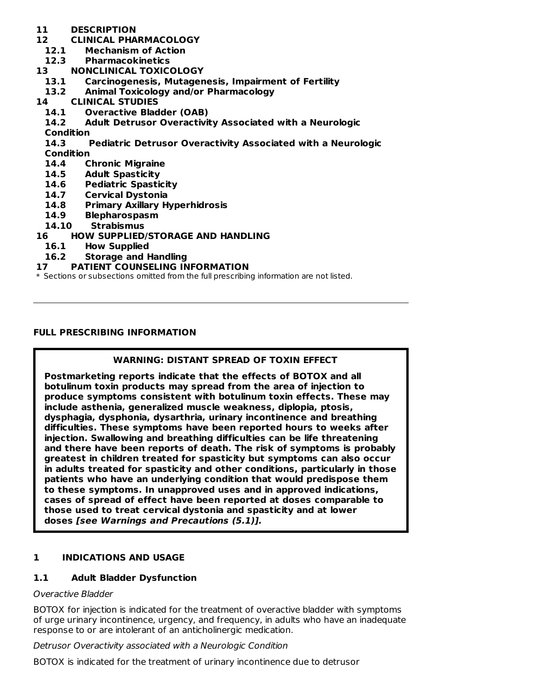- **11 DESCRIPTION**
- **12 CLINICAL PHARMACOLOGY**
	- **12.1 Mechanism of Action**
- **12.3 Pharmacokinetics**
- **13 NONCLINICAL TOXICOLOGY**
- **13.1 Carcinogenesis, Mutagenesis, Impairment of Fertility**
- **13.2 Animal Toxicology and/or Pharmacology**
- **14 CLINICAL STUDIES**
	- **14.1 Overactive Bladder (OAB)**
	- **14.2 Adult Detrusor Overactivity Associated with a Neurologic**
	- **Condition**
	- **14.3 Pediatric Detrusor Overactivity Associated with a Neurologic**

**Condition**

- **14.4 Chronic Migraine**
- **14.5 Adult Spasticity**
- **14.6 Pediatric Spasticity**
- **14.7 Cervical Dystonia**
- **14.8 Primary Axillary Hyperhidrosis**
- **14.9 Blepharospasm**
- **14.10 Strabismus**
- **16 HOW SUPPLIED/STORAGE AND HANDLING**
	- **16.1 How Supplied**
	- **16.2 Storage and Handling**

### **17 PATIENT COUNSELING INFORMATION**

\* Sections or subsections omitted from the full prescribing information are not listed.

### **FULL PRESCRIBING INFORMATION**

# **WARNING: DISTANT SPREAD OF TOXIN EFFECT**

**Postmarketing reports indicate that the effects of BOTOX and all botulinum toxin products may spread from the area of injection to produce symptoms consistent with botulinum toxin effects. These may include asthenia, generalized muscle weakness, diplopia, ptosis, dysphagia, dysphonia, dysarthria, urinary incontinence and breathing difficulties. These symptoms have been reported hours to weeks after injection. Swallowing and breathing difficulties can be life threatening and there have been reports of death. The risk of symptoms is probably greatest in children treated for spasticity but symptoms can also occur in adults treated for spasticity and other conditions, particularly in those patients who have an underlying condition that would predispose them to these symptoms. In unapproved uses and in approved indications, cases of spread of effect have been reported at doses comparable to those used to treat cervical dystonia and spasticity and at lower doses [see Warnings and Precautions (5.1)].**

# **1 INDICATIONS AND USAGE**

# **1.1 Adult Bladder Dysfunction**

### Overactive Bladder

BOTOX for injection is indicated for the treatment of overactive bladder with symptoms of urge urinary incontinence, urgency, and frequency, in adults who have an inadequate response to or are intolerant of an anticholinergic medication.

Detrusor Overactivity associated with a Neurologic Condition

BOTOX is indicated for the treatment of urinary incontinence due to detrusor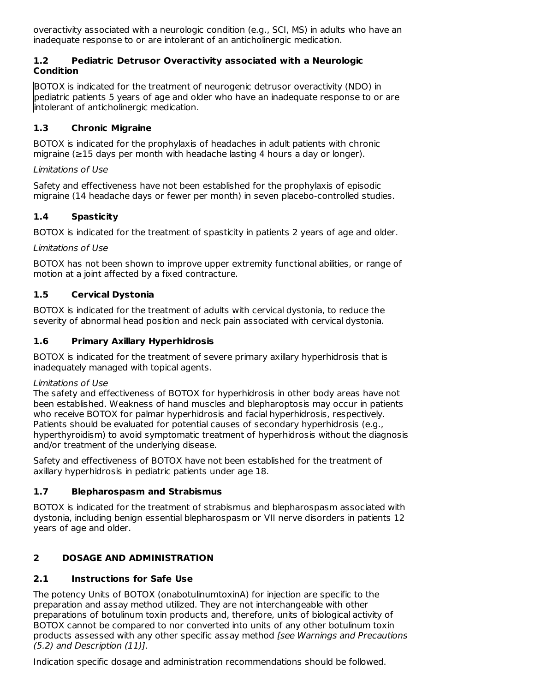overactivity associated with a neurologic condition (e.g., SCI, MS) in adults who have an inadequate response to or are intolerant of an anticholinergic medication.

# **1.2 Pediatric Detrusor Overactivity associated with a Neurologic Condition**

BOTOX is indicated for the treatment of neurogenic detrusor overactivity (NDO) in pediatric patients 5 years of age and older who have an inadequate response to or are intolerant of anticholinergic medication.

# **1.3 Chronic Migraine**

BOTOX is indicated for the prophylaxis of headaches in adult patients with chronic migraine (≥15 days per month with headache lasting 4 hours a day or longer).

# Limitations of Use

Safety and effectiveness have not been established for the prophylaxis of episodic migraine (14 headache days or fewer per month) in seven placebo-controlled studies.

# **1.4 Spasticity**

BOTOX is indicated for the treatment of spasticity in patients 2 years of age and older.

# Limitations of Use

BOTOX has not been shown to improve upper extremity functional abilities, or range of motion at a joint affected by a fixed contracture.

# **1.5 Cervical Dystonia**

BOTOX is indicated for the treatment of adults with cervical dystonia, to reduce the severity of abnormal head position and neck pain associated with cervical dystonia.

# **1.6 Primary Axillary Hyperhidrosis**

BOTOX is indicated for the treatment of severe primary axillary hyperhidrosis that is inadequately managed with topical agents.

### Limitations of Use

The safety and effectiveness of BOTOX for hyperhidrosis in other body areas have not been established. Weakness of hand muscles and blepharoptosis may occur in patients who receive BOTOX for palmar hyperhidrosis and facial hyperhidrosis, respectively. Patients should be evaluated for potential causes of secondary hyperhidrosis (e.g., hyperthyroidism) to avoid symptomatic treatment of hyperhidrosis without the diagnosis and/or treatment of the underlying disease.

Safety and effectiveness of BOTOX have not been established for the treatment of axillary hyperhidrosis in pediatric patients under age 18.

# **1.7 Blepharospasm and Strabismus**

BOTOX is indicated for the treatment of strabismus and blepharospasm associated with dystonia, including benign essential blepharospasm or VII nerve disorders in patients 12 years of age and older.

# **2 DOSAGE AND ADMINISTRATION**

# **2.1 Instructions for Safe Use**

The potency Units of BOTOX (onabotulinumtoxinA) for injection are specific to the preparation and assay method utilized. They are not interchangeable with other preparations of botulinum toxin products and, therefore, units of biological activity of BOTOX cannot be compared to nor converted into units of any other botulinum toxin products assessed with any other specific assay method [see Warnings and Precautions (5.2) and Description (11)].

Indication specific dosage and administration recommendations should be followed.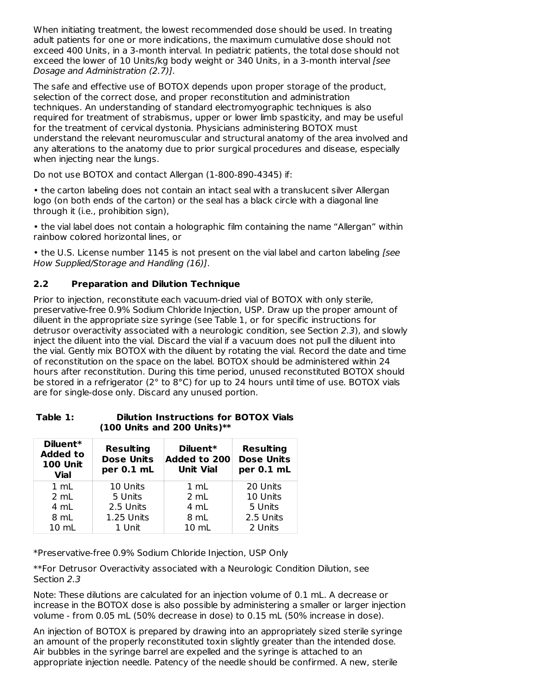When initiating treatment, the lowest recommended dose should be used. In treating adult patients for one or more indications, the maximum cumulative dose should not exceed 400 Units, in a 3-month interval. In pediatric patients, the total dose should not exceed the lower of 10 Units/kg body weight or 340 Units, in a 3-month interval [see Dosage and Administration (2.7)].

The safe and effective use of BOTOX depends upon proper storage of the product, selection of the correct dose, and proper reconstitution and administration techniques. An understanding of standard electromyographic techniques is also required for treatment of strabismus, upper or lower limb spasticity, and may be useful for the treatment of cervical dystonia. Physicians administering BOTOX must understand the relevant neuromuscular and structural anatomy of the area involved and any alterations to the anatomy due to prior surgical procedures and disease, especially when injecting near the lungs.

Do not use BOTOX and contact Allergan (1-800-890-4345) if:

• the carton labeling does not contain an intact seal with a translucent silver Allergan logo (on both ends of the carton) or the seal has a black circle with a diagonal line through it (i.e., prohibition sign),

• the vial label does not contain a holographic film containing the name "Allergan" within rainbow colored horizontal lines, or

• the U.S. License number 1145 is not present on the vial label and carton labeling [see How Supplied/Storage and Handling (16)].

# **2.2 Preparation and Dilution Technique**

Prior to injection, reconstitute each vacuum-dried vial of BOTOX with only sterile, preservative-free 0.9% Sodium Chloride Injection, USP. Draw up the proper amount of diluent in the appropriate size syringe (see Table 1, or for specific instructions for detrusor overactivity associated with a neurologic condition, see Section 2.3), and slowly inject the diluent into the vial. Discard the vial if a vacuum does not pull the diluent into the vial. Gently mix BOTOX with the diluent by rotating the vial. Record the date and time of reconstitution on the space on the label. BOTOX should be administered within 24 hours after reconstitution. During this time period, unused reconstituted BOTOX should be stored in a refrigerator (2° to 8°C) for up to 24 hours until time of use. BOTOX vials are for single-dose only. Discard any unused portion.

| Table 1: | <b>Dilution Instructions for BOTOX Vials</b> |
|----------|----------------------------------------------|
|          | $(100$ Units and 200 Units)**                |

| Diluent*<br><b>Added to</b><br><b>100 Unit</b><br><b>Vial</b> | <b>Resulting</b><br><b>Dose Units</b><br>per 0.1 mL | Diluent*<br><b>Added to 200</b><br><b>Unit Vial</b> | <b>Resulting</b><br><b>Dose Units</b><br>per 0.1 mL |
|---------------------------------------------------------------|-----------------------------------------------------|-----------------------------------------------------|-----------------------------------------------------|
| $1 \text{ mL}$                                                | 10 Units                                            | $1 \text{ mL}$                                      | 20 Units                                            |
| 2 mL                                                          | 5 Units                                             | 2 mL                                                | 10 Units                                            |
| 4 mL                                                          | 2.5 Units                                           | 4 mL                                                | 5 Units                                             |
| 8 mL                                                          | 1.25 Units                                          | 8 mL                                                | 2.5 Units                                           |
| $10 \text{ mL}$                                               | 1 Unit                                              | $10 \, \text{m}$                                    | 2 Units                                             |

\*Preservative-free 0.9% Sodium Chloride Injection, USP Only

\*\*For Detrusor Overactivity associated with a Neurologic Condition Dilution, see Section 2.3

Note: These dilutions are calculated for an injection volume of 0.1 mL. A decrease or increase in the BOTOX dose is also possible by administering a smaller or larger injection volume - from 0.05 mL (50% decrease in dose) to 0.15 mL (50% increase in dose).

An injection of BOTOX is prepared by drawing into an appropriately sized sterile syringe an amount of the properly reconstituted toxin slightly greater than the intended dose. Air bubbles in the syringe barrel are expelled and the syringe is attached to an appropriate injection needle. Patency of the needle should be confirmed. A new, sterile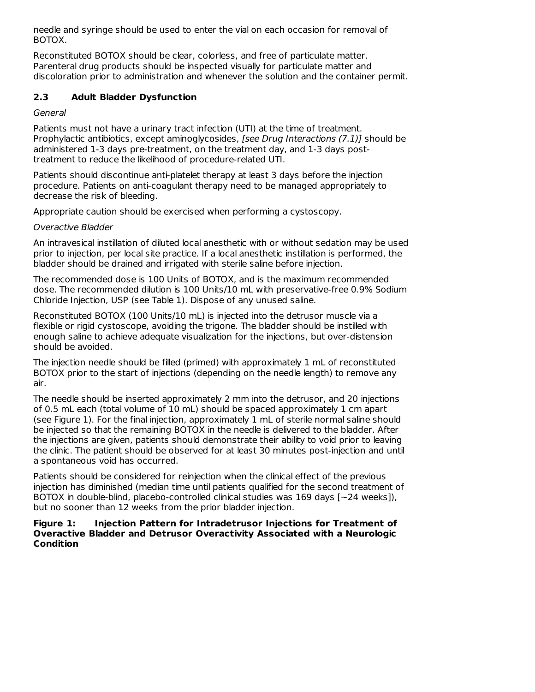needle and syringe should be used to enter the vial on each occasion for removal of BOTOX.

Reconstituted BOTOX should be clear, colorless, and free of particulate matter. Parenteral drug products should be inspected visually for particulate matter and discoloration prior to administration and whenever the solution and the container permit.

### **2.3 Adult Bladder Dysfunction**

### General

Patients must not have a urinary tract infection (UTI) at the time of treatment. Prophylactic antibiotics, except aminoglycosides, [see Drug Interactions (7.1)] should be administered 1-3 days pre-treatment, on the treatment day, and 1-3 days posttreatment to reduce the likelihood of procedure-related UTI.

Patients should discontinue anti-platelet therapy at least 3 days before the injection procedure. Patients on anti-coagulant therapy need to be managed appropriately to decrease the risk of bleeding.

Appropriate caution should be exercised when performing a cystoscopy.

### Overactive Bladder

An intravesical instillation of diluted local anesthetic with or without sedation may be used prior to injection, per local site practice. If a local anesthetic instillation is performed, the bladder should be drained and irrigated with sterile saline before injection.

The recommended dose is 100 Units of BOTOX, and is the maximum recommended dose. The recommended dilution is 100 Units/10 mL with preservative-free 0.9% Sodium Chloride Injection, USP (see Table 1). Dispose of any unused saline.

Reconstituted BOTOX (100 Units/10 mL) is injected into the detrusor muscle via a flexible or rigid cystoscope, avoiding the trigone. The bladder should be instilled with enough saline to achieve adequate visualization for the injections, but over-distension should be avoided.

The injection needle should be filled (primed) with approximately 1 mL of reconstituted BOTOX prior to the start of injections (depending on the needle length) to remove any air.

The needle should be inserted approximately 2 mm into the detrusor, and 20 injections of 0.5 mL each (total volume of 10 mL) should be spaced approximately 1 cm apart (see Figure 1). For the final injection, approximately 1 mL of sterile normal saline should be injected so that the remaining BOTOX in the needle is delivered to the bladder. After the injections are given, patients should demonstrate their ability to void prior to leaving the clinic. The patient should be observed for at least 30 minutes post-injection and until a spontaneous void has occurred.

Patients should be considered for reinjection when the clinical effect of the previous injection has diminished (median time until patients qualified for the second treatment of BOTOX in double-blind, placebo-controlled clinical studies was 169 days [~24 weeks]), but no sooner than 12 weeks from the prior bladder injection.

### **Figure 1: Injection Pattern for Intradetrusor Injections for Treatment of Overactive Bladder and Detrusor Overactivity Associated with a Neurologic Condition**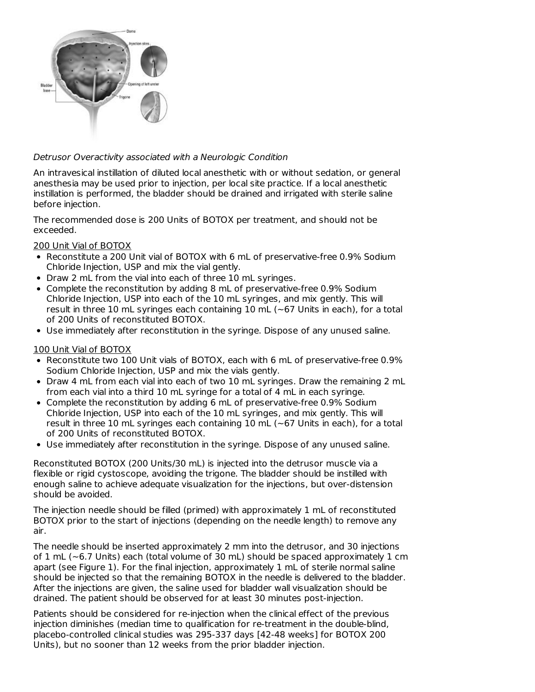

### Detrusor Overactivity associated with a Neurologic Condition

An intravesical instillation of diluted local anesthetic with or without sedation, or general anesthesia may be used prior to injection, per local site practice. If a local anesthetic instillation is performed, the bladder should be drained and irrigated with sterile saline before injection.

The recommended dose is 200 Units of BOTOX per treatment, and should not be exceeded.

### 200 Unit Vial of BOTOX

- Reconstitute a 200 Unit vial of BOTOX with 6 mL of preservative-free 0.9% Sodium Chloride Injection, USP and mix the vial gently.
- Draw 2 mL from the vial into each of three 10 mL syringes.
- Complete the reconstitution by adding 8 mL of preservative-free 0.9% Sodium Chloride Injection, USP into each of the 10 mL syringes, and mix gently. This will result in three 10 mL syringes each containing 10 mL ( $\sim$  67 Units in each), for a total of 200 Units of reconstituted BOTOX.
- Use immediately after reconstitution in the syringe. Dispose of any unused saline.

### 100 Unit Vial of BOTOX

- Reconstitute two 100 Unit vials of BOTOX, each with 6 mL of preservative-free 0.9% Sodium Chloride Injection, USP and mix the vials gently.
- Draw 4 mL from each vial into each of two 10 mL syringes. Draw the remaining 2 mL from each vial into a third 10 mL syringe for a total of 4 mL in each syringe.
- Complete the reconstitution by adding 6 mL of preservative-free 0.9% Sodium Chloride Injection, USP into each of the 10 mL syringes, and mix gently. This will result in three 10 mL syringes each containing 10 mL ( $\sim$  67 Units in each), for a total of 200 Units of reconstituted BOTOX.
- Use immediately after reconstitution in the syringe. Dispose of any unused saline.

Reconstituted BOTOX (200 Units/30 mL) is injected into the detrusor muscle via a flexible or rigid cystoscope, avoiding the trigone. The bladder should be instilled with enough saline to achieve adequate visualization for the injections, but over-distension should be avoided.

The injection needle should be filled (primed) with approximately 1 mL of reconstituted BOTOX prior to the start of injections (depending on the needle length) to remove any air.

The needle should be inserted approximately 2 mm into the detrusor, and 30 injections of  $1 \text{ mL}$  ( $\sim$ 6.7 Units) each (total volume of 30 mL) should be spaced approximately  $1 \text{ cm}$ apart (see Figure 1). For the final injection, approximately 1 mL of sterile normal saline should be injected so that the remaining BOTOX in the needle is delivered to the bladder. After the injections are given, the saline used for bladder wall visualization should be drained. The patient should be observed for at least 30 minutes post-injection.

Patients should be considered for re-injection when the clinical effect of the previous injection diminishes (median time to qualification for re-treatment in the double-blind, placebo-controlled clinical studies was 295-337 days [42-48 weeks] for BOTOX 200 Units), but no sooner than 12 weeks from the prior bladder injection.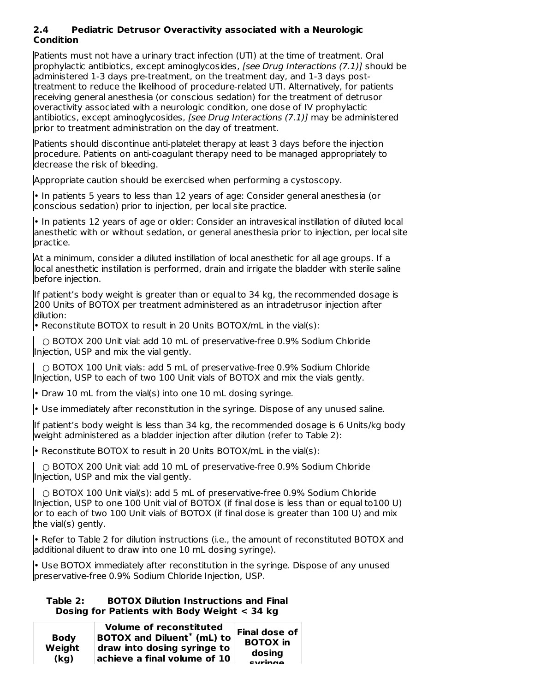### **2.4 Pediatric Detrusor Overactivity associated with a Neurologic Condition**

Patients must not have a urinary tract infection (UTI) at the time of treatment. Oral prophylactic antibiotics, except aminoglycosides, [see Drug Interactions (7.1)] should be administered 1-3 days pre-treatment, on the treatment day, and 1-3 days posttreatment to reduce the likelihood of procedure-related UTI. Alternatively, for patients receiving general anesthesia (or conscious sedation) for the treatment of detrusor overactivity associated with a neurologic condition, one dose of IV prophylactic antibiotics, except aminoglycosides, [see Drug Interactions (7.1)] may be administered prior to treatment administration on the day of treatment.

Patients should discontinue anti-platelet therapy at least 3 days before the injection procedure. Patients on anti-coagulant therapy need to be managed appropriately to decrease the risk of bleeding.

Appropriate caution should be exercised when performing a cystoscopy.

• In patients 5 years to less than 12 years of age: Consider general anesthesia (or conscious sedation) prior to injection, per local site practice.

• In patients 12 years of age or older: Consider an intravesical instillation of diluted local anesthetic with or without sedation, or general anesthesia prior to injection, per local site practice.

At a minimum, consider a diluted instillation of local anesthetic for all age groups. If a local anesthetic instillation is performed, drain and irrigate the bladder with sterile saline before injection.

If patient's body weight is greater than or equal to 34 kg, the recommended dosage is 200 Units of BOTOX per treatment administered as an intradetrusor injection after dilution:

• Reconstitute BOTOX to result in 20 Units BOTOX/mL in the vial(s):

○ BOTOX 200 Unit vial: add 10 mL of preservative-free 0.9% Sodium Chloride Injection, USP and mix the vial gently.

○ BOTOX 100 Unit vials: add 5 mL of preservative-free 0.9% Sodium Chloride Injection, USP to each of two 100 Unit vials of BOTOX and mix the vials gently.

• Draw 10 mL from the vial(s) into one 10 mL dosing syringe.

• Use immediately after reconstitution in the syringe. Dispose of any unused saline.

If patient's body weight is less than 34 kg, the recommended dosage is 6 Units/kg body weight administered as a bladder injection after dilution (refer to Table 2):

• Reconstitute BOTOX to result in 20 Units BOTOX/mL in the vial(s):

○ BOTOX 200 Unit vial: add 10 mL of preservative-free 0.9% Sodium Chloride Injection, USP and mix the vial gently.

○ BOTOX 100 Unit vial(s): add 5 mL of preservative-free 0.9% Sodium Chloride Injection, USP to one 100 Unit vial of BOTOX (if final dose is less than or equal to100 U) or to each of two 100 Unit vials of BOTOX (if final dose is greater than 100 U) and mix the vial(s) gently.

• Refer to Table 2 for dilution instructions (i.e., the amount of reconstituted BOTOX and additional diluent to draw into one 10 mL dosing syringe).

• Use BOTOX immediately after reconstitution in the syringe. Dispose of any unused preservative-free 0.9% Sodium Chloride Injection, USP.

### **Table 2: BOTOX Dilution Instructions and Final Dosing for Patients with Body Weight < 34 kg**

| <b>Body</b><br>Weight<br>(kq) | <b>Volume of reconstituted</b><br>BOTOX and Diluent <sup>*</sup> (mL) to<br>draw into dosing syringe to<br>$^\mid$ achieve a final volume of 10 $\mid$ | Final dose of<br><b>BOTOX</b> in<br>dosing<br>curingo |
|-------------------------------|--------------------------------------------------------------------------------------------------------------------------------------------------------|-------------------------------------------------------|
|-------------------------------|--------------------------------------------------------------------------------------------------------------------------------------------------------|-------------------------------------------------------|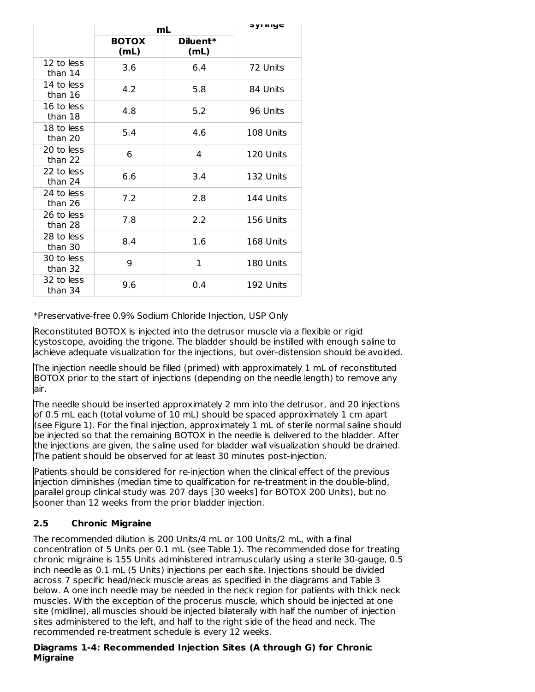|                       | mL                   | əyı iliye        |           |
|-----------------------|----------------------|------------------|-----------|
|                       | <b>BOTOX</b><br>(mL) | Diluent*<br>(mL) |           |
| 12 to less<br>than 14 | 3.6                  | 6.4              | 72 Units  |
| 14 to less<br>than 16 | 4.2                  | 5.8              | 84 Units  |
| 16 to less<br>than 18 | 4.8                  | 5.2              | 96 Units  |
| 18 to less<br>than 20 | 5.4                  | 4.6              | 108 Units |
| 20 to less<br>than 22 | 6                    | 4                | 120 Units |
| 22 to less<br>than 24 | 6.6                  | 3.4              | 132 Units |
| 24 to less<br>than 26 | 7.2                  | 2.8              | 144 Units |
| 26 to less<br>than 28 | 7.8                  | 2.2              | 156 Units |
| 28 to less<br>than 30 | 8.4                  | 1.6              | 168 Units |
| 30 to less<br>than 32 | 9                    | 1                | 180 Units |
| 32 to less<br>than 34 | 9.6                  | 0.4              | 192 Units |

\*Preservative-free 0.9% Sodium Chloride Injection, USP Only

Reconstituted BOTOX is injected into the detrusor muscle via a flexible or rigid cystoscope, avoiding the trigone. The bladder should be instilled with enough saline to achieve adequate visualization for the injections, but over-distension should be avoided.

The injection needle should be filled (primed) with approximately 1 mL of reconstituted BOTOX prior to the start of injections (depending on the needle length) to remove any air.

The needle should be inserted approximately 2 mm into the detrusor, and 20 injections of 0.5 mL each (total volume of 10 mL) should be spaced approximately 1 cm apart (see Figure 1). For the final injection, approximately 1 mL of sterile normal saline should be injected so that the remaining BOTOX in the needle is delivered to the bladder. After the injections are given, the saline used for bladder wall visualization should be drained. The patient should be observed for at least 30 minutes post-injection.

Patients should be considered for re-injection when the clinical effect of the previous injection diminishes (median time to qualification for re-treatment in the double-blind, parallel group clinical study was 207 days [30 weeks] for BOTOX 200 Units), but no sooner than 12 weeks from the prior bladder injection.

# **2.5 Chronic Migraine**

The recommended dilution is 200 Units/4 mL or 100 Units/2 mL, with a final concentration of 5 Units per 0.1 mL (see Table 1). The recommended dose for treating chronic migraine is 155 Units administered intramuscularly using a sterile 30-gauge, 0.5 inch needle as 0.1 mL (5 Units) injections per each site. Injections should be divided across 7 specific head/neck muscle areas as specified in the diagrams and Table 3 below. A one inch needle may be needed in the neck region for patients with thick neck muscles. With the exception of the procerus muscle, which should be injected at one site (midline), all muscles should be injected bilaterally with half the number of injection sites administered to the left, and half to the right side of the head and neck. The recommended re-treatment schedule is every 12 weeks.

### **Diagrams 1-4: Recommended Injection Sites (A through G) for Chronic Migraine**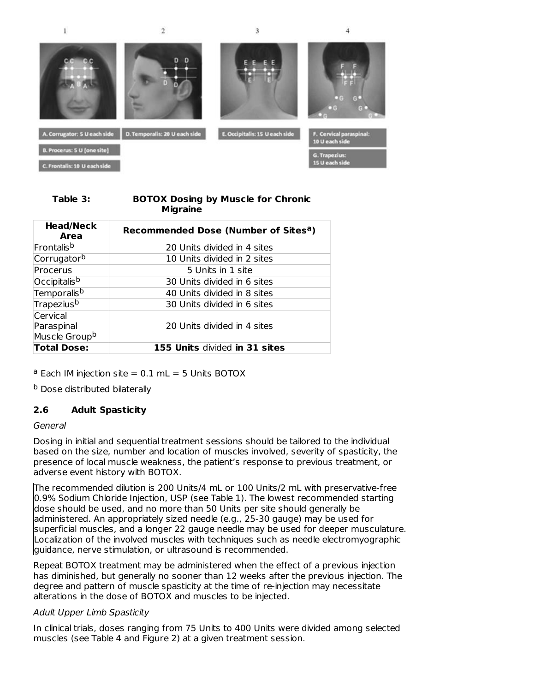

 $\overline{2}$ 

 $\bf{l}$ 

 $\overline{3}$ 



#### **Table 3: BOTOX Dosing by Muscle for Chronic Migraine**

| <b>Head/Neck</b><br>Area                            | Recommended Dose (Number of Sites <sup>a</sup> ) |
|-----------------------------------------------------|--------------------------------------------------|
| <b>Frontalis<sup>b</sup></b>                        | 20 Units divided in 4 sites                      |
| Corrugatorb                                         | 10 Units divided in 2 sites                      |
| Procerus                                            | 5 Units in 1 site                                |
| Occipitalis <sup>b</sup>                            | 30 Units divided in 6 sites                      |
| Temporalis <sup>b</sup>                             | 40 Units divided in 8 sites                      |
| Trapezius <sup>b</sup>                              | 30 Units divided in 6 sites                      |
| Cervical<br>Paraspinal<br>Muscle Group <sup>b</sup> | 20 Units divided in 4 sites                      |
| <b>Total Dose:</b>                                  | 155 Units divided in 31 sites                    |

 $a$  Each IM injection site  $= 0.1$  mL  $= 5$  Units BOTOX

<sup>b</sup> Dose distributed bilaterally

# **2.6 Adult Spasticity**

#### General

Dosing in initial and sequential treatment sessions should be tailored to the individual based on the size, number and location of muscles involved, severity of spasticity, the presence of local muscle weakness, the patient's response to previous treatment, or adverse event history with BOTOX.

The recommended dilution is 200 Units/4 mL or 100 Units/2 mL with preservative-free 0.9% Sodium Chloride Injection, USP (see Table 1). The lowest recommended starting dose should be used, and no more than 50 Units per site should generally be administered. An appropriately sized needle (e.g., 25-30 gauge) may be used for superficial muscles, and a longer 22 gauge needle may be used for deeper musculature. Localization of the involved muscles with techniques such as needle electromyographic guidance, nerve stimulation, or ultrasound is recommended.

Repeat BOTOX treatment may be administered when the effect of a previous injection has diminished, but generally no sooner than 12 weeks after the previous injection. The degree and pattern of muscle spasticity at the time of re-injection may necessitate alterations in the dose of BOTOX and muscles to be injected.

### Adult Upper Limb Spasticity

In clinical trials, doses ranging from 75 Units to 400 Units were divided among selected muscles (see Table 4 and Figure 2) at a given treatment session.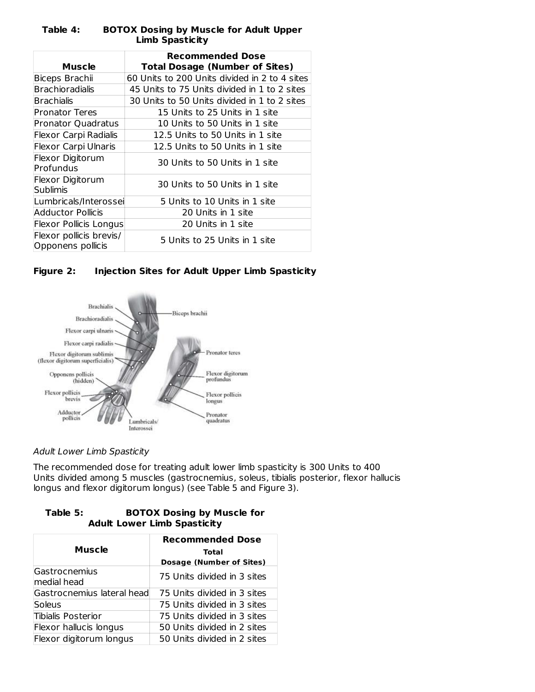|                               | <b>Recommended Dose</b>                       |  |  |  |
|-------------------------------|-----------------------------------------------|--|--|--|
| <b>Muscle</b>                 | <b>Total Dosage (Number of Sites)</b>         |  |  |  |
| Biceps Brachii                | 60 Units to 200 Units divided in 2 to 4 sites |  |  |  |
| Brachioradialis               | 45 Units to 75 Units divided in 1 to 2 sites  |  |  |  |
| Brachialis                    | 30 Units to 50 Units divided in 1 to 2 sites  |  |  |  |
| Pronator Teres                | 15 Units to 25 Units in 1 site                |  |  |  |
| <b>Pronator Quadratus</b>     | 10 Units to 50 Units in 1 site                |  |  |  |
| Flexor Carpi Radialis         | 12.5 Units to 50 Units in 1 site              |  |  |  |
| <b>Flexor Carpi Ulnaris</b>   | 12.5 Units to 50 Units in 1 site              |  |  |  |
| Flexor Digitorum              | 30 Units to 50 Units in 1 site                |  |  |  |
| Profundus                     |                                               |  |  |  |
| Flexor Digitorum              | 30 Units to 50 Units in 1 site                |  |  |  |
| Sublimis                      |                                               |  |  |  |
| Lumbricals/Interossei         | 5 Units to 10 Units in 1 site                 |  |  |  |
| Adductor Pollicis             | 20 Units in 1 site                            |  |  |  |
| <b>Flexor Pollicis Longus</b> | 20 Units in 1 site                            |  |  |  |
| Flexor pollicis brevis/       | 5 Units to 25 Units in 1 site                 |  |  |  |
| Opponens pollicis             |                                               |  |  |  |

### **Table 4: BOTOX Dosing by Muscle for Adult Upper Limb Spasticity**





# Adult Lower Limb Spasticity

The recommended dose for treating adult lower limb spasticity is 300 Units to 400 Units divided among 5 muscles (gastrocnemius, soleus, tibialis posterior, flexor hallucis longus and flexor digitorum longus) (see Table 5 and Figure 3).

### **Table 5: BOTOX Dosing by Muscle for Adult Lower Limb Spasticity**

|                            | <b>Recommended Dose</b>         |  |  |
|----------------------------|---------------------------------|--|--|
| <b>Muscle</b>              | Total                           |  |  |
|                            | <b>Dosage (Number of Sites)</b> |  |  |
| Gastrocnemius              | 75 Units divided in 3 sites     |  |  |
| medial head                |                                 |  |  |
| Gastrocnemius lateral head | 75 Units divided in 3 sites     |  |  |
| Soleus                     | 75 Units divided in 3 sites     |  |  |
| Tibialis Posterior         | 75 Units divided in 3 sites     |  |  |
| Flexor hallucis longus     | 50 Units divided in 2 sites     |  |  |
| Flexor digitorum longus    | 50 Units divided in 2 sites     |  |  |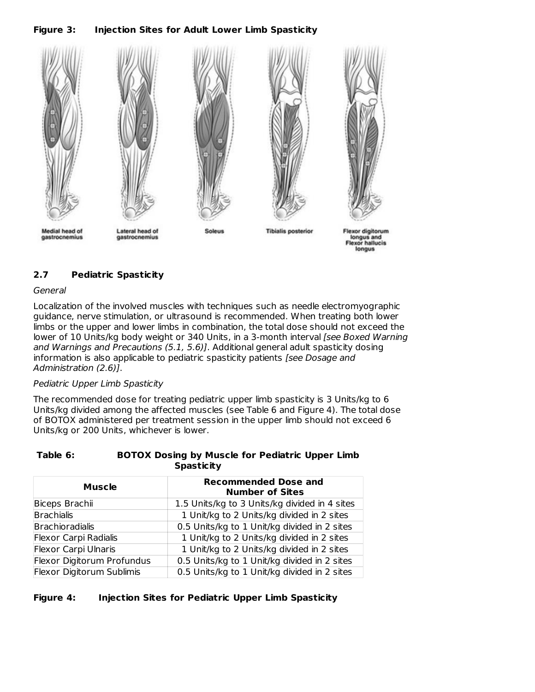**Figure 3: Injection Sites for Adult Lower Limb Spasticity**



# **2.7 Pediatric Spasticity**

### **General**

Localization of the involved muscles with techniques such as needle electromyographic guidance, nerve stimulation, or ultrasound is recommended. When treating both lower limbs or the upper and lower limbs in combination, the total dose should not exceed the lower of 10 Units/kg body weight or 340 Units, in a 3-month interval [see Boxed Warning and Warnings and Precautions (5.1, 5.6)]. Additional general adult spasticity dosing information is also applicable to pediatric spasticity patients [see Dosage and Administration (2.6)].

### Pediatric Upper Limb Spasticity

The recommended dose for treating pediatric upper limb spasticity is 3 Units/kg to 6 Units/kg divided among the affected muscles (see Table 6 and Figure 4). The total dose of BOTOX administered per treatment session in the upper limb should not exceed 6 Units/kg or 200 Units, whichever is lower.

### **Table 6: BOTOX Dosing by Muscle for Pediatric Upper Limb Spasticity**

| <b>Muscle</b>               | <b>Recommended Dose and</b><br><b>Number of Sites</b> |
|-----------------------------|-------------------------------------------------------|
| Biceps Brachii              | 1.5 Units/kg to 3 Units/kg divided in 4 sites         |
| <b>Brachialis</b>           | 1 Unit/kg to 2 Units/kg divided in 2 sites            |
| Brachioradialis             | 0.5 Units/kg to 1 Unit/kg divided in 2 sites          |
| Flexor Carpi Radialis       | 1 Unit/kg to 2 Units/kg divided in 2 sites            |
| <b>Flexor Carpi Ulnaris</b> | 1 Unit/kg to 2 Units/kg divided in 2 sites            |
| Flexor Digitorum Profundus  | 0.5 Units/kg to 1 Unit/kg divided in 2 sites          |
| Flexor Digitorum Sublimis   | 0.5 Units/kg to 1 Unit/kg divided in 2 sites          |

# **Figure 4: Injection Sites for Pediatric Upper Limb Spasticity**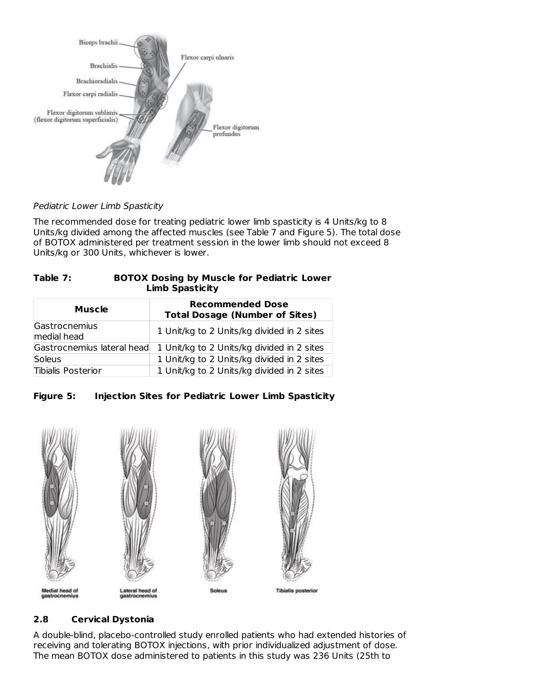

Pediatric Lower Limb Spasticity

The recommended dose for treating pediatric lower limb spasticity is 4 Units/kg to 8 Units/kg divided among the affected muscles (see Table 7 and Figure 5). The total dose of BOTOX administered per treatment session in the lower limb should not exceed 8 Units/kg or 300 Units, whichever is lower.

| Table 7: | <b>BOTOX Dosing by Muscle for Pediatric Lower</b> |
|----------|---------------------------------------------------|
|          | <b>Limb Spasticity</b>                            |

| Muscle                       | <b>Recommended Dose</b><br><b>Total Dosage (Number of Sites)</b> |
|------------------------------|------------------------------------------------------------------|
| Gastrocnemius<br>medial head | 1 Unit/kg to 2 Units/kg divided in 2 sites                       |
| Gastrocnemius lateral head   | 1 Unit/kg to 2 Units/kg divided in 2 sites                       |
| Soleus                       | 1 Unit/kg to 2 Units/kg divided in 2 sites                       |
| Tibialis Posterior           | 1 Unit/kg to 2 Units/kg divided in 2 sites                       |





# **2.8 Cervical Dystonia**

A double-blind, placebo-controlled study enrolled patients who had extended histories of receiving and tolerating BOTOX injections, with prior individualized adjustment of dose. The mean BOTOX dose administered to patients in this study was 236 Units (25th to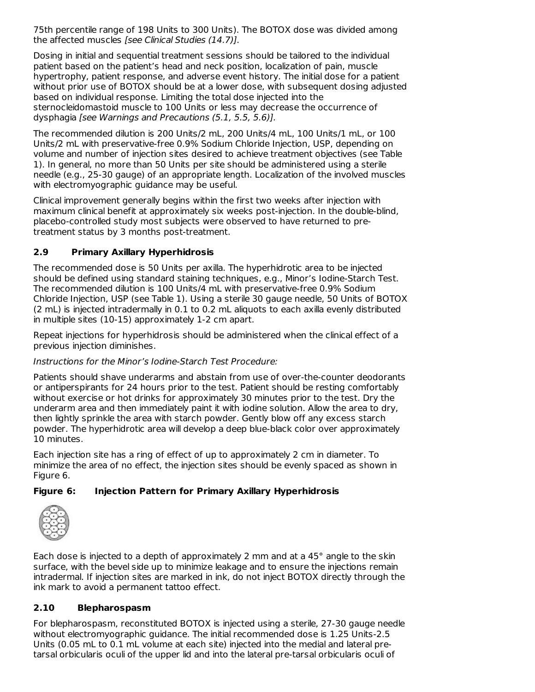75th percentile range of 198 Units to 300 Units). The BOTOX dose was divided among the affected muscles [see Clinical Studies (14.7)].

Dosing in initial and sequential treatment sessions should be tailored to the individual patient based on the patient's head and neck position, localization of pain, muscle hypertrophy, patient response, and adverse event history. The initial dose for a patient without prior use of BOTOX should be at a lower dose, with subsequent dosing adjusted based on individual response. Limiting the total dose injected into the sternocleidomastoid muscle to 100 Units or less may decrease the occurrence of dysphagia [see Warnings and Precautions (5.1, 5.5, 5.6)].

The recommended dilution is 200 Units/2 mL, 200 Units/4 mL, 100 Units/1 mL, or 100 Units/2 mL with preservative-free 0.9% Sodium Chloride Injection, USP, depending on volume and number of injection sites desired to achieve treatment objectives (see Table 1). In general, no more than 50 Units per site should be administered using a sterile needle (e.g., 25-30 gauge) of an appropriate length. Localization of the involved muscles with electromyographic guidance may be useful.

Clinical improvement generally begins within the first two weeks after injection with maximum clinical benefit at approximately six weeks post-injection. In the double-blind, placebo-controlled study most subjects were observed to have returned to pretreatment status by 3 months post-treatment.

# **2.9 Primary Axillary Hyperhidrosis**

The recommended dose is 50 Units per axilla. The hyperhidrotic area to be injected should be defined using standard staining techniques, e.g., Minor's Iodine-Starch Test. The recommended dilution is 100 Units/4 mL with preservative-free 0.9% Sodium Chloride Injection, USP (see Table 1). Using a sterile 30 gauge needle, 50 Units of BOTOX (2 mL) is injected intradermally in 0.1 to 0.2 mL aliquots to each axilla evenly distributed in multiple sites (10-15) approximately 1-2 cm apart.

Repeat injections for hyperhidrosis should be administered when the clinical effect of a previous injection diminishes.

# Instructions for the Minor's Iodine-Starch Test Procedure:

Patients should shave underarms and abstain from use of over-the-counter deodorants or antiperspirants for 24 hours prior to the test. Patient should be resting comfortably without exercise or hot drinks for approximately 30 minutes prior to the test. Dry the underarm area and then immediately paint it with iodine solution. Allow the area to dry, then lightly sprinkle the area with starch powder. Gently blow off any excess starch powder. The hyperhidrotic area will develop a deep blue-black color over approximately 10 minutes.

Each injection site has a ring of effect of up to approximately 2 cm in diameter. To minimize the area of no effect, the injection sites should be evenly spaced as shown in Figure 6.

# **Figure 6: Injection Pattern for Primary Axillary Hyperhidrosis**



Each dose is injected to a depth of approximately 2 mm and at a 45° angle to the skin surface, with the bevel side up to minimize leakage and to ensure the injections remain intradermal. If injection sites are marked in ink, do not inject BOTOX directly through the ink mark to avoid a permanent tattoo effect.

# **2.10 Blepharospasm**

For blepharospasm, reconstituted BOTOX is injected using a sterile, 27-30 gauge needle without electromyographic guidance. The initial recommended dose is 1.25 Units-2.5 Units (0.05 mL to 0.1 mL volume at each site) injected into the medial and lateral pretarsal orbicularis oculi of the upper lid and into the lateral pre-tarsal orbicularis oculi of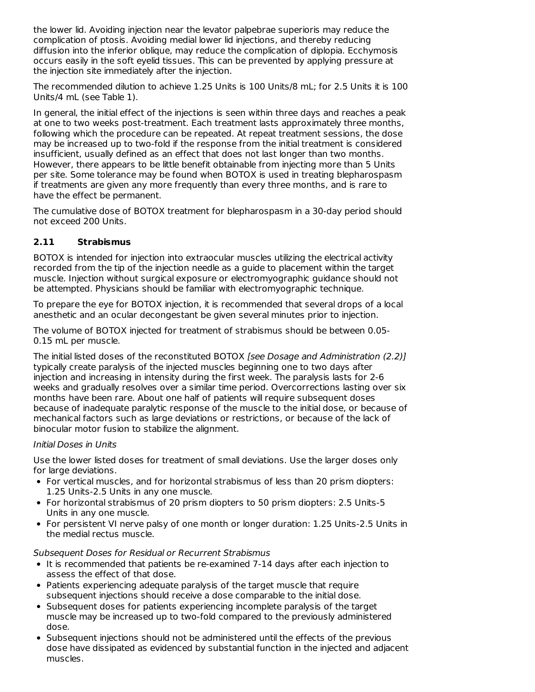the lower lid. Avoiding injection near the levator palpebrae superioris may reduce the complication of ptosis. Avoiding medial lower lid injections, and thereby reducing diffusion into the inferior oblique, may reduce the complication of diplopia. Ecchymosis occurs easily in the soft eyelid tissues. This can be prevented by applying pressure at the injection site immediately after the injection.

The recommended dilution to achieve 1.25 Units is 100 Units/8 mL; for 2.5 Units it is 100 Units/4 mL (see Table 1).

In general, the initial effect of the injections is seen within three days and reaches a peak at one to two weeks post-treatment. Each treatment lasts approximately three months, following which the procedure can be repeated. At repeat treatment sessions, the dose may be increased up to two-fold if the response from the initial treatment is considered insufficient, usually defined as an effect that does not last longer than two months. However, there appears to be little benefit obtainable from injecting more than 5 Units per site. Some tolerance may be found when BOTOX is used in treating blepharospasm if treatments are given any more frequently than every three months, and is rare to have the effect be permanent.

The cumulative dose of BOTOX treatment for blepharospasm in a 30-day period should not exceed 200 Units.

# **2.11 Strabismus**

BOTOX is intended for injection into extraocular muscles utilizing the electrical activity recorded from the tip of the injection needle as a guide to placement within the target muscle. Injection without surgical exposure or electromyographic guidance should not be attempted. Physicians should be familiar with electromyographic technique.

To prepare the eye for BOTOX injection, it is recommended that several drops of a local anesthetic and an ocular decongestant be given several minutes prior to injection.

The volume of BOTOX injected for treatment of strabismus should be between 0.05- 0.15 mL per muscle.

The initial listed doses of the reconstituted BOTOX [see Dosage and Administration (2.2)] typically create paralysis of the injected muscles beginning one to two days after injection and increasing in intensity during the first week. The paralysis lasts for 2-6 weeks and gradually resolves over a similar time period. Overcorrections lasting over six months have been rare. About one half of patients will require subsequent doses because of inadequate paralytic response of the muscle to the initial dose, or because of mechanical factors such as large deviations or restrictions, or because of the lack of binocular motor fusion to stabilize the alignment.

### Initial Doses in Units

Use the lower listed doses for treatment of small deviations. Use the larger doses only for large deviations.

- For vertical muscles, and for horizontal strabismus of less than 20 prism diopters: 1.25 Units-2.5 Units in any one muscle.
- For horizontal strabismus of 20 prism diopters to 50 prism diopters: 2.5 Units-5 Units in any one muscle.
- For persistent VI nerve palsy of one month or longer duration: 1.25 Units-2.5 Units in the medial rectus muscle.

# Subsequent Doses for Residual or Recurrent Strabismus

- It is recommended that patients be re-examined 7-14 days after each injection to assess the effect of that dose.
- Patients experiencing adequate paralysis of the target muscle that require subsequent injections should receive a dose comparable to the initial dose.
- Subsequent doses for patients experiencing incomplete paralysis of the target muscle may be increased up to two-fold compared to the previously administered dose.
- Subsequent injections should not be administered until the effects of the previous dose have dissipated as evidenced by substantial function in the injected and adjacent muscles.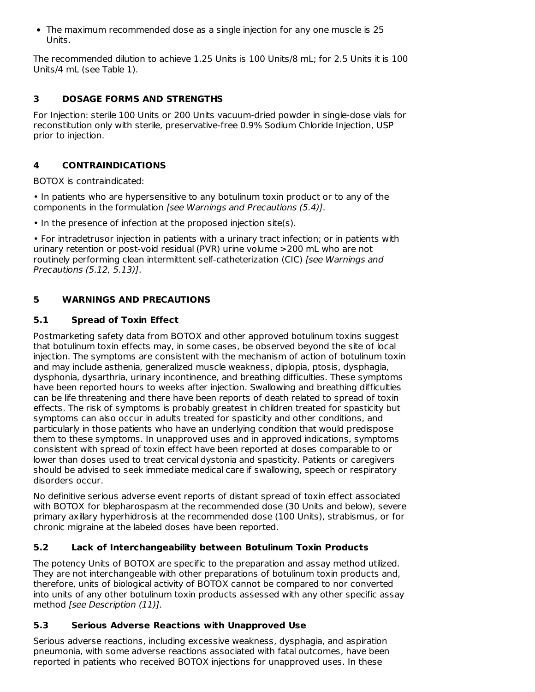• The maximum recommended dose as a single injection for any one muscle is 25 Units.

The recommended dilution to achieve 1.25 Units is 100 Units/8 mL; for 2.5 Units it is 100 Units/4 mL (see Table 1).

# **3 DOSAGE FORMS AND STRENGTHS**

For Injection: sterile 100 Units or 200 Units vacuum-dried powder in single-dose vials for reconstitution only with sterile, preservative-free 0.9% Sodium Chloride Injection, USP prior to injection.

# **4 CONTRAINDICATIONS**

BOTOX is contraindicated:

• In patients who are hypersensitive to any botulinum toxin product or to any of the components in the formulation [see Warnings and Precautions (5.4)].

• In the presence of infection at the proposed injection site(s).

• For intradetrusor injection in patients with a urinary tract infection; or in patients with urinary retention or post-void residual (PVR) urine volume >200 mL who are not routinely performing clean intermittent self-catheterization (CIC) [see Warnings and Precautions (5.12, 5.13)].

# **5 WARNINGS AND PRECAUTIONS**

# **5.1 Spread of Toxin Effect**

Postmarketing safety data from BOTOX and other approved botulinum toxins suggest that botulinum toxin effects may, in some cases, be observed beyond the site of local injection. The symptoms are consistent with the mechanism of action of botulinum toxin and may include asthenia, generalized muscle weakness, diplopia, ptosis, dysphagia, dysphonia, dysarthria, urinary incontinence, and breathing difficulties. These symptoms have been reported hours to weeks after injection. Swallowing and breathing difficulties can be life threatening and there have been reports of death related to spread of toxin effects. The risk of symptoms is probably greatest in children treated for spasticity but symptoms can also occur in adults treated for spasticity and other conditions, and particularly in those patients who have an underlying condition that would predispose them to these symptoms. In unapproved uses and in approved indications, symptoms consistent with spread of toxin effect have been reported at doses comparable to or lower than doses used to treat cervical dystonia and spasticity. Patients or caregivers should be advised to seek immediate medical care if swallowing, speech or respiratory disorders occur.

No definitive serious adverse event reports of distant spread of toxin effect associated with BOTOX for blepharospasm at the recommended dose (30 Units and below), severe primary axillary hyperhidrosis at the recommended dose (100 Units), strabismus, or for chronic migraine at the labeled doses have been reported.

# **5.2 Lack of Interchangeability between Botulinum Toxin Products**

The potency Units of BOTOX are specific to the preparation and assay method utilized. They are not interchangeable with other preparations of botulinum toxin products and, therefore, units of biological activity of BOTOX cannot be compared to nor converted into units of any other botulinum toxin products assessed with any other specific assay method [see Description (11)].

# **5.3 Serious Adverse Reactions with Unapproved Use**

Serious adverse reactions, including excessive weakness, dysphagia, and aspiration pneumonia, with some adverse reactions associated with fatal outcomes, have been reported in patients who received BOTOX injections for unapproved uses. In these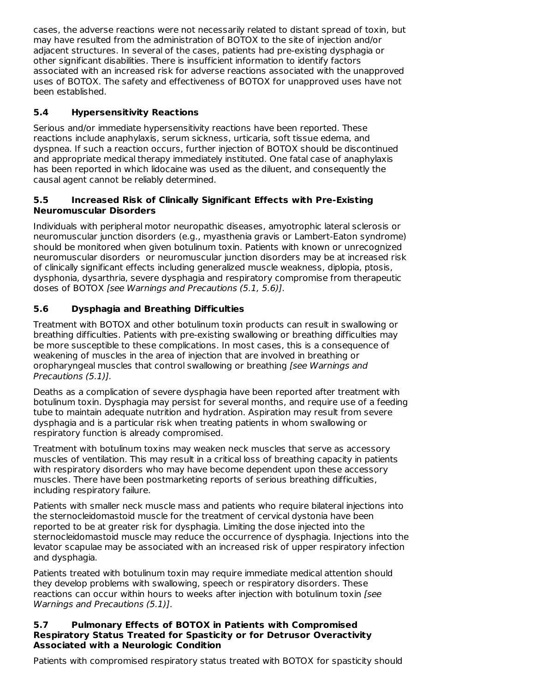cases, the adverse reactions were not necessarily related to distant spread of toxin, but may have resulted from the administration of BOTOX to the site of injection and/or adjacent structures. In several of the cases, patients had pre-existing dysphagia or other significant disabilities. There is insufficient information to identify factors associated with an increased risk for adverse reactions associated with the unapproved uses of BOTOX. The safety and effectiveness of BOTOX for unapproved uses have not been established.

# **5.4 Hypersensitivity Reactions**

Serious and/or immediate hypersensitivity reactions have been reported. These reactions include anaphylaxis, serum sickness, urticaria, soft tissue edema, and dyspnea. If such a reaction occurs, further injection of BOTOX should be discontinued and appropriate medical therapy immediately instituted. One fatal case of anaphylaxis has been reported in which lidocaine was used as the diluent, and consequently the causal agent cannot be reliably determined.

# **5.5 Increased Risk of Clinically Significant Effects with Pre-Existing Neuromuscular Disorders**

Individuals with peripheral motor neuropathic diseases, amyotrophic lateral sclerosis or neuromuscular junction disorders (e.g., myasthenia gravis or Lambert-Eaton syndrome) should be monitored when given botulinum toxin. Patients with known or unrecognized neuromuscular disorders or neuromuscular junction disorders may be at increased risk of clinically significant effects including generalized muscle weakness, diplopia, ptosis, dysphonia, dysarthria, severe dysphagia and respiratory compromise from therapeutic doses of BOTOX [see Warnings and Precautions (5.1, 5.6)].

# **5.6 Dysphagia and Breathing Difficulties**

Treatment with BOTOX and other botulinum toxin products can result in swallowing or breathing difficulties. Patients with pre-existing swallowing or breathing difficulties may be more susceptible to these complications. In most cases, this is a consequence of weakening of muscles in the area of injection that are involved in breathing or oropharyngeal muscles that control swallowing or breathing [see Warnings and Precautions (5.1)].

Deaths as a complication of severe dysphagia have been reported after treatment with botulinum toxin. Dysphagia may persist for several months, and require use of a feeding tube to maintain adequate nutrition and hydration. Aspiration may result from severe dysphagia and is a particular risk when treating patients in whom swallowing or respiratory function is already compromised.

Treatment with botulinum toxins may weaken neck muscles that serve as accessory muscles of ventilation. This may result in a critical loss of breathing capacity in patients with respiratory disorders who may have become dependent upon these accessory muscles. There have been postmarketing reports of serious breathing difficulties, including respiratory failure.

Patients with smaller neck muscle mass and patients who require bilateral injections into the sternocleidomastoid muscle for the treatment of cervical dystonia have been reported to be at greater risk for dysphagia. Limiting the dose injected into the sternocleidomastoid muscle may reduce the occurrence of dysphagia. Injections into the levator scapulae may be associated with an increased risk of upper respiratory infection and dysphagia.

Patients treated with botulinum toxin may require immediate medical attention should they develop problems with swallowing, speech or respiratory disorders. These reactions can occur within hours to weeks after injection with botulinum toxin [see Warnings and Precautions (5.1)].

### **5.7 Pulmonary Effects of BOTOX in Patients with Compromised Respiratory Status Treated for Spasticity or for Detrusor Overactivity Associated with a Neurologic Condition**

Patients with compromised respiratory status treated with BOTOX for spasticity should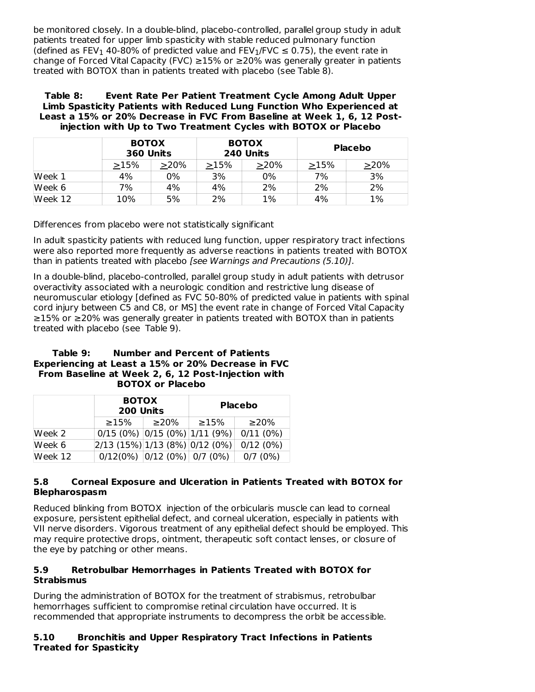be monitored closely. In a double-blind, placebo-controlled, parallel group study in adult patients treated for upper limb spasticity with stable reduced pulmonary function (defined as FEV<sub>1</sub> 40-80% of predicted value and FEV<sub>1</sub>/FVC  $\leq$  0.75), the event rate in change of Forced Vital Capacity (FVC) ≥15% or ≥20% was generally greater in patients treated with BOTOX than in patients treated with placebo (see Table 8).

**Table 8: Event Rate Per Patient Treatment Cycle Among Adult Upper Limb Spasticity Patients with Reduced Lung Function Who Experienced at Least a 15% or 20% Decrease in FVC From Baseline at Week 1, 6, 12 Postinjection with Up to Two Treatment Cycles with BOTOX or Placebo**

|         | <b>BOTOX</b><br>360 Units |      | <b>BOTOX</b><br>240 Units |         | Placebo |         |
|---------|---------------------------|------|---------------------------|---------|---------|---------|
|         | >15%                      | >20% | >15%                      | $>20\%$ | >15%    | $>20\%$ |
| Week 1  | 4%                        | 0%   | 3%                        | 0%      | 7%      | 3%      |
| Week 6  | 7%                        | 4%   | 4%                        | 2%      | 2%      | 2%      |
| Week 12 | 10%                       | 5%   | 2%                        | 1%      | 4%      | 1%      |

Differences from placebo were not statistically significant

In adult spasticity patients with reduced lung function, upper respiratory tract infections were also reported more frequently as adverse reactions in patients treated with BOTOX than in patients treated with placebo [see Warnings and Precautions (5.10)].

In a double-blind, placebo-controlled, parallel group study in adult patients with detrusor overactivity associated with a neurologic condition and restrictive lung disease of neuromuscular etiology [defined as FVC 50-80% of predicted value in patients with spinal cord injury between C5 and C8, or MS] the event rate in change of Forced Vital Capacity ≥15% or ≥20% was generally greater in patients treated with BOTOX than in patients treated with placebo (see Table 9).

| Table 9: | <b>Number and Percent of Patients</b>              |
|----------|----------------------------------------------------|
|          | Experiencing at Least a 15% or 20% Decrease in FVC |
|          | From Baseline at Week 2, 6, 12 Post-Injection with |
|          | <b>BOTOX or Placebo</b>                            |

|          | <b>BOTOX</b><br>200 Units          |            |            | <b>Placebo</b> |
|----------|------------------------------------|------------|------------|----------------|
|          | $\geq$ 15%                         | $\geq$ 20% | $\geq$ 15% | $\geq$ 20%     |
| Week 2   | $0/15$ (0%) $0/15$ (0%) 1/11 (9%)  |            |            | 0/11(0%)       |
| Week $6$ | $ 2/13(15\%) 1/13(8\%) 0/12(0\%) $ |            |            | 0/12(0%)       |
| Week 12  | $0/12(0\%)$ $0/12(0\%)$ 0/7 (0%)   |            |            | 0/7(0%)        |

# **5.8 Corneal Exposure and Ulceration in Patients Treated with BOTOX for Blepharospasm**

Reduced blinking from BOTOX injection of the orbicularis muscle can lead to corneal exposure, persistent epithelial defect, and corneal ulceration, especially in patients with VII nerve disorders. Vigorous treatment of any epithelial defect should be employed. This may require protective drops, ointment, therapeutic soft contact lenses, or closure of the eye by patching or other means.

### **5.9 Retrobulbar Hemorrhages in Patients Treated with BOTOX for Strabismus**

During the administration of BOTOX for the treatment of strabismus, retrobulbar hemorrhages sufficient to compromise retinal circulation have occurred. It is recommended that appropriate instruments to decompress the orbit be accessible.

# **5.10 Bronchitis and Upper Respiratory Tract Infections in Patients Treated for Spasticity**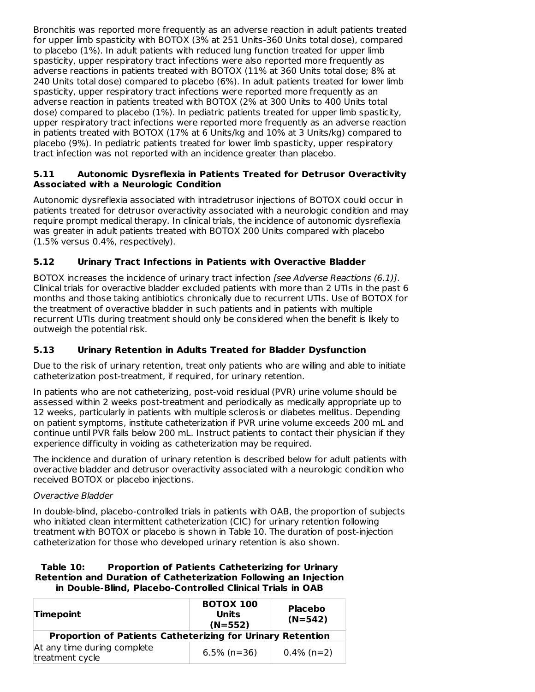Bronchitis was reported more frequently as an adverse reaction in adult patients treated for upper limb spasticity with BOTOX (3% at 251 Units-360 Units total dose), compared to placebo (1%). In adult patients with reduced lung function treated for upper limb spasticity, upper respiratory tract infections were also reported more frequently as adverse reactions in patients treated with BOTOX (11% at 360 Units total dose; 8% at 240 Units total dose) compared to placebo (6%). In adult patients treated for lower limb spasticity, upper respiratory tract infections were reported more frequently as an adverse reaction in patients treated with BOTOX (2% at 300 Units to 400 Units total dose) compared to placebo (1%). In pediatric patients treated for upper limb spasticity, upper respiratory tract infections were reported more frequently as an adverse reaction in patients treated with BOTOX (17% at 6 Units/kg and 10% at 3 Units/kg) compared to placebo (9%). In pediatric patients treated for lower limb spasticity, upper respiratory tract infection was not reported with an incidence greater than placebo.

### **5.11 Autonomic Dysreflexia in Patients Treated for Detrusor Overactivity Associated with a Neurologic Condition**

Autonomic dysreflexia associated with intradetrusor injections of BOTOX could occur in patients treated for detrusor overactivity associated with a neurologic condition and may require prompt medical therapy. In clinical trials, the incidence of autonomic dysreflexia was greater in adult patients treated with BOTOX 200 Units compared with placebo (1.5% versus 0.4%, respectively).

# **5.12 Urinary Tract Infections in Patients with Overactive Bladder**

BOTOX increases the incidence of urinary tract infection [see Adverse Reactions (6.1)]. Clinical trials for overactive bladder excluded patients with more than 2 UTIs in the past 6 months and those taking antibiotics chronically due to recurrent UTIs. Use of BOTOX for the treatment of overactive bladder in such patients and in patients with multiple recurrent UTIs during treatment should only be considered when the benefit is likely to outweigh the potential risk.

# **5.13 Urinary Retention in Adults Treated for Bladder Dysfunction**

Due to the risk of urinary retention, treat only patients who are willing and able to initiate catheterization post-treatment, if required, for urinary retention.

In patients who are not catheterizing, post-void residual (PVR) urine volume should be assessed within 2 weeks post-treatment and periodically as medically appropriate up to 12 weeks, particularly in patients with multiple sclerosis or diabetes mellitus. Depending on patient symptoms, institute catheterization if PVR urine volume exceeds 200 mL and continue until PVR falls below 200 mL. Instruct patients to contact their physician if they experience difficulty in voiding as catheterization may be required.

The incidence and duration of urinary retention is described below for adult patients with overactive bladder and detrusor overactivity associated with a neurologic condition who received BOTOX or placebo injections.

### Overactive Bladder

In double-blind, placebo-controlled trials in patients with OAB, the proportion of subjects who initiated clean intermittent catheterization (CIC) for urinary retention following treatment with BOTOX or placebo is shown in Table 10. The duration of post-injection catheterization for those who developed urinary retention is also shown.

### **Table 10: Proportion of Patients Catheterizing for Urinary Retention and Duration of Catheterization Following an Injection in Double-Blind, Placebo-Controlled Clinical Trials in OAB**

| <b>Timepoint</b>                                           | <b>BOTOX 100</b><br><b>Units</b><br>$(N=552)$ | <b>Placebo</b><br>$(N=542)$ |
|------------------------------------------------------------|-----------------------------------------------|-----------------------------|
| Proportion of Patients Catheterizing for Urinary Retention |                                               |                             |
| At any time during complete<br>treatment cycle             | $6.5\%$ (n=36)                                | $0.4\%$ (n=2)               |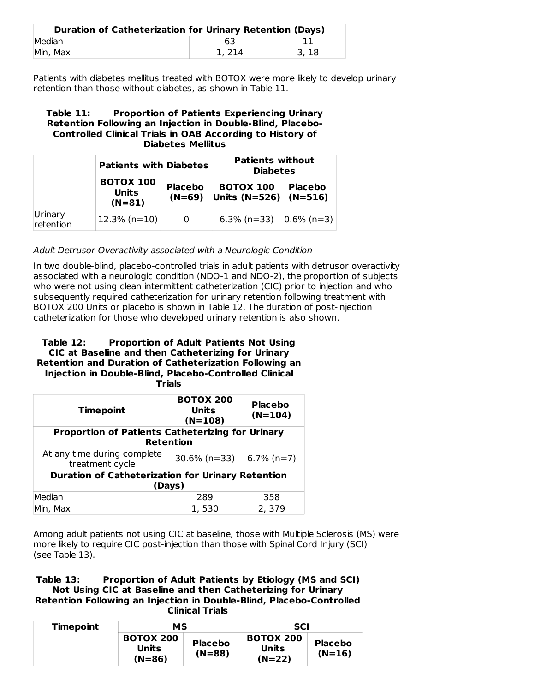| Duration of Catheterization for Urinary Retention (Days) |       |      |
|----------------------------------------------------------|-------|------|
| Median                                                   | 63    |      |
| Min, Max                                                 | 1.214 | 3.18 |

Patients with diabetes mellitus treated with BOTOX were more likely to develop urinary retention than those without diabetes, as shown in Table 11.

### **Table 11: Proportion of Patients Experiencing Urinary Retention Following an Injection in Double-Blind, Placebo-Controlled Clinical Trials in OAB According to History of Diabetes Mellitus**

|                      | <b>Patients with Diabetes</b>         |                            | <b>Patients without</b><br><b>Diabetes</b> |                             |
|----------------------|---------------------------------------|----------------------------|--------------------------------------------|-----------------------------|
|                      | <b>BOTOX 100</b><br>Units<br>$(N=81)$ | <b>Placebo</b><br>$(N=69)$ | <b>BOTOX 100</b><br>Units $(N=526)$        | <b>Placebo</b><br>$(N=516)$ |
| Urinary<br>retention | $12.3\%$ (n=10)                       |                            | $6.3\%$ (n=33)                             | $ 0.6\%$ (n=3)              |

Adult Detrusor Overactivity associated with a Neurologic Condition

In two double-blind, placebo-controlled trials in adult patients with detrusor overactivity associated with a neurologic condition (NDO-1 and NDO-2), the proportion of subjects who were not using clean intermittent catheterization (CIC) prior to injection and who subsequently required catheterization for urinary retention following treatment with BOTOX 200 Units or placebo is shown in Table 12. The duration of post-injection catheterization for those who developed urinary retention is also shown.

#### **Table 12: Proportion of Adult Patients Not Using CIC at Baseline and then Catheterizing for Urinary Retention and Duration of Catheterization Following an Injection in Double-Blind, Placebo-Controlled Clinical Trials**

| <b>Timepoint</b>                                        | <b>BOTOX 200</b><br>Units<br>$(N=108)$                   | <b>Placebo</b><br>$(N=104)$ |  |
|---------------------------------------------------------|----------------------------------------------------------|-----------------------------|--|
| <b>Proportion of Patients Catheterizing for Urinary</b> |                                                          |                             |  |
| <b>Retention</b>                                        |                                                          |                             |  |
| At any time during complete<br>treatment cycle          | $30.6\%$ (n=33)                                          | $6.7\%$ (n=7)               |  |
|                                                         | <b>Duration of Catheterization for Urinary Retention</b> |                             |  |
| (Days)                                                  |                                                          |                             |  |
| Median                                                  | 289                                                      | 358                         |  |
| Min, Max                                                | 1, 530                                                   | 2, 379                      |  |

Among adult patients not using CIC at baseline, those with Multiple Sclerosis (MS) were more likely to require CIC post-injection than those with Spinal Cord Injury (SCI) (see Table 13).

### **Table 13: Proportion of Adult Patients by Etiology (MS and SCI) Not Using CIC at Baseline and then Catheterizing for Urinary Retention Following an Injection in Double-Blind, Placebo-Controlled Clinical Trials**

| <b>Timepoint</b> | МS                                    |                            | <b>SCI</b>                            |                            |
|------------------|---------------------------------------|----------------------------|---------------------------------------|----------------------------|
|                  | <b>BOTOX 200</b><br>Units<br>$(N=86)$ | <b>Placebo</b><br>$(N=88)$ | <b>BOTOX 200</b><br>Units<br>$(N=22)$ | <b>Placebo</b><br>$(N=16)$ |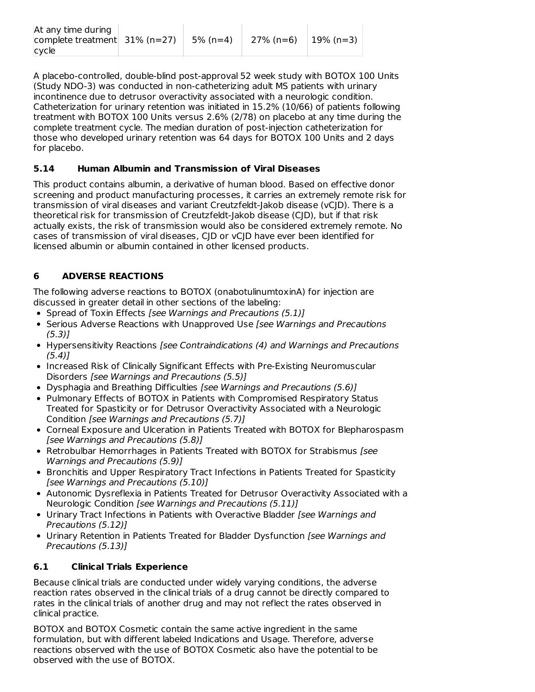| At any time during<br>complete treatment $31\%$ (n=27)<br>cycle |  | 5% (n=4) | 27% (n=6) | 19% (n=3) |
|-----------------------------------------------------------------|--|----------|-----------|-----------|
|-----------------------------------------------------------------|--|----------|-----------|-----------|

A placebo-controlled, double-blind post-approval 52 week study with BOTOX 100 Units (Study NDO-3) was conducted in non-catheterizing adult MS patients with urinary incontinence due to detrusor overactivity associated with a neurologic condition. Catheterization for urinary retention was initiated in 15.2% (10/66) of patients following treatment with BOTOX 100 Units versus 2.6% (2/78) on placebo at any time during the complete treatment cycle. The median duration of post-injection catheterization for those who developed urinary retention was 64 days for BOTOX 100 Units and 2 days for placebo.

# **5.14 Human Albumin and Transmission of Viral Diseases**

This product contains albumin, a derivative of human blood. Based on effective donor screening and product manufacturing processes, it carries an extremely remote risk for transmission of viral diseases and variant Creutzfeldt-Jakob disease (vCJD). There is a theoretical risk for transmission of Creutzfeldt-Jakob disease (CJD), but if that risk actually exists, the risk of transmission would also be considered extremely remote. No cases of transmission of viral diseases, CJD or vCJD have ever been identified for licensed albumin or albumin contained in other licensed products.

# **6 ADVERSE REACTIONS**

The following adverse reactions to BOTOX (onabotulinumtoxinA) for injection are discussed in greater detail in other sections of the labeling:

- Spread of Toxin Effects [see Warnings and Precautions (5.1)]
- Serious Adverse Reactions with Unapproved Use [see Warnings and Precautions (5.3)]
- Hypersensitivity Reactions [see Contraindications (4) and Warnings and Precautions  $(5.4)$ ]
- Increased Risk of Clinically Significant Effects with Pre-Existing Neuromuscular Disorders [see Warnings and Precautions (5.5)]
- Dysphagia and Breathing Difficulties [see Warnings and Precautions (5.6)]
- Pulmonary Effects of BOTOX in Patients with Compromised Respiratory Status Treated for Spasticity or for Detrusor Overactivity Associated with a Neurologic Condition [see Warnings and Precautions (5.7)]
- Corneal Exposure and Ulceration in Patients Treated with BOTOX for Blepharospasm [see Warnings and Precautions (5.8)]
- Retrobulbar Hemorrhages in Patients Treated with BOTOX for Strabismus [see Warnings and Precautions (5.9)]
- **Bronchitis and Upper Respiratory Tract Infections in Patients Treated for Spasticity** [see Warnings and Precautions (5.10)]
- Autonomic Dysreflexia in Patients Treated for Detrusor Overactivity Associated with a Neurologic Condition [see Warnings and Precautions (5.11)]
- Urinary Tract Infections in Patients with Overactive Bladder [see Warnings and Precautions (5.12)]
- Urinary Retention in Patients Treated for Bladder Dysfunction [see Warnings and Precautions (5.13)]

# **6.1 Clinical Trials Experience**

Because clinical trials are conducted under widely varying conditions, the adverse reaction rates observed in the clinical trials of a drug cannot be directly compared to rates in the clinical trials of another drug and may not reflect the rates observed in clinical practice.

BOTOX and BOTOX Cosmetic contain the same active ingredient in the same formulation, but with different labeled Indications and Usage. Therefore, adverse reactions observed with the use of BOTOX Cosmetic also have the potential to be observed with the use of BOTOX.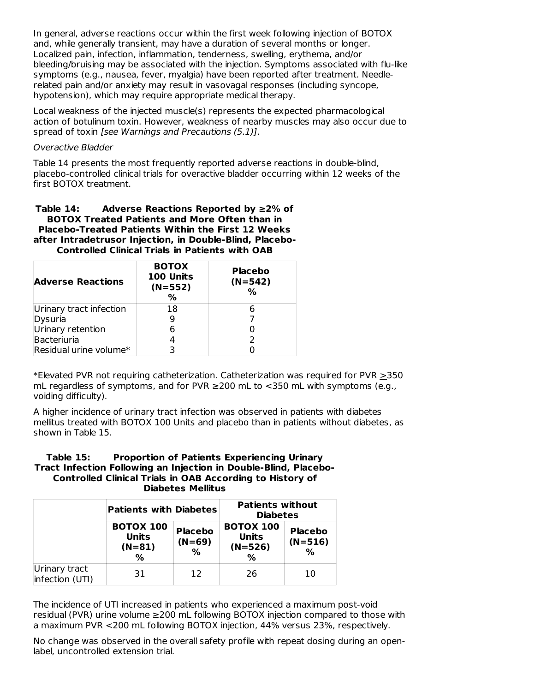In general, adverse reactions occur within the first week following injection of BOTOX and, while generally transient, may have a duration of several months or longer. Localized pain, infection, inflammation, tenderness, swelling, erythema, and/or bleeding/bruising may be associated with the injection. Symptoms associated with flu-like symptoms (e.g., nausea, fever, myalgia) have been reported after treatment. Needlerelated pain and/or anxiety may result in vasovagal responses (including syncope, hypotension), which may require appropriate medical therapy.

Local weakness of the injected muscle(s) represents the expected pharmacological action of botulinum toxin. However, weakness of nearby muscles may also occur due to spread of toxin [see Warnings and Precautions (5.1)].

### Overactive Bladder

Table 14 presents the most frequently reported adverse reactions in double-blind, placebo-controlled clinical trials for overactive bladder occurring within 12 weeks of the first BOTOX treatment.

### **Table 14: Adverse Reactions Reported by ≥2% of BOTOX Treated Patients and More Often than in Placebo-Treated Patients Within the First 12 Weeks after Intradetrusor Injection, in Double-Blind, Placebo-Controlled Clinical Trials in Patients with OAB**

| <b>Adverse Reactions</b> | <b>BOTOX</b><br>100 Units<br>$(N=552)$<br>% | <b>Placebo</b><br>$(N=542)$<br>% |
|--------------------------|---------------------------------------------|----------------------------------|
| Urinary tract infection  | 18                                          |                                  |
| Dysuria                  |                                             |                                  |
| Urinary retention        |                                             |                                  |
| Bacteriuria              |                                             |                                  |
| Residual urine volume*   |                                             |                                  |

\*Elevated PVR not requiring catheterization. Catheterization was required for PVR  $\geq$ 350 mL regardless of symptoms, and for PVR  $≥$ 200 mL to  $<350$  mL with symptoms (e.g., voiding difficulty).

A higher incidence of urinary tract infection was observed in patients with diabetes mellitus treated with BOTOX 100 Units and placebo than in patients without diabetes, as shown in Table 15.

### **Table 15: Proportion of Patients Experiencing Urinary Tract Infection Following an Injection in Double-Blind, Placebo-Controlled Clinical Trials in OAB According to History of Diabetes Mellitus**

|                                  | <b>Patients with Diabetes</b>                     |                                 | <b>Patients without</b><br><b>Diabetes</b>         |                                     |
|----------------------------------|---------------------------------------------------|---------------------------------|----------------------------------------------------|-------------------------------------|
|                                  | <b>BOTOX 100</b><br><b>Units</b><br>$(N=81)$<br>% | <b>Placebo</b><br>$(N=69)$<br>% | <b>BOTOX 100</b><br><b>Units</b><br>$(N=526)$<br>% | <b>Placebo</b><br>$(N=516)$<br>$\%$ |
| Urinary tract<br>infection (UTI) | 31                                                | 12                              | 26                                                 | 10                                  |

The incidence of UTI increased in patients who experienced a maximum post-void residual (PVR) urine volume ≥200 mL following BOTOX injection compared to those with a maximum PVR <200 mL following BOTOX injection, 44% versus 23%, respectively.

No change was observed in the overall safety profile with repeat dosing during an openlabel, uncontrolled extension trial.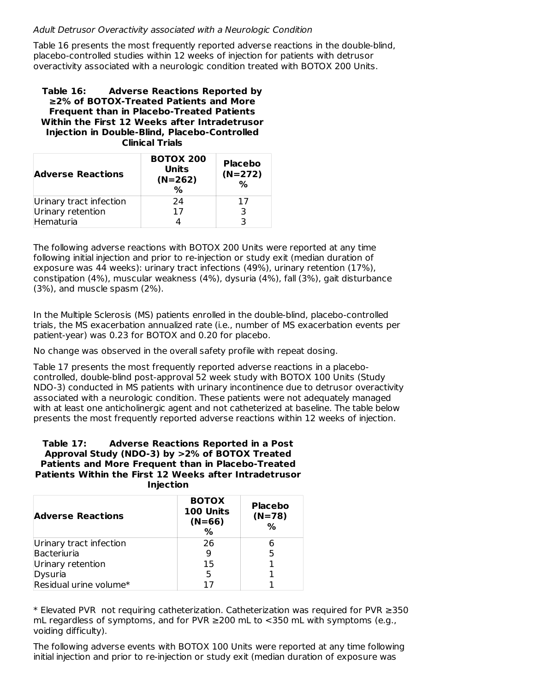### Adult Detrusor Overactivity associated with a Neurologic Condition

Table 16 presents the most frequently reported adverse reactions in the double-blind, placebo-controlled studies within 12 weeks of injection for patients with detrusor overactivity associated with a neurologic condition treated with BOTOX 200 Units.

**Table 16: Adverse Reactions Reported by ≥2% of BOTOX-Treated Patients and More Frequent than in Placebo-Treated Patients Within the First 12 Weeks after Intradetrusor Injection in Double-Blind, Placebo-Controlled Clinical Trials**

| <b>Adverse Reactions</b> | <b>BOTOX 200</b><br><b>Units</b><br>$(N=262)$<br>% | <b>Placebo</b><br>$(N=272)$<br>% |
|--------------------------|----------------------------------------------------|----------------------------------|
| Urinary tract infection  | 24                                                 | 17                               |
| Urinary retention        | 17                                                 | 3                                |
| Hematuria                |                                                    |                                  |

The following adverse reactions with BOTOX 200 Units were reported at any time following initial injection and prior to re-injection or study exit (median duration of exposure was 44 weeks): urinary tract infections (49%), urinary retention (17%), constipation (4%), muscular weakness (4%), dysuria (4%), fall (3%), gait disturbance (3%), and muscle spasm (2%).

In the Multiple Sclerosis (MS) patients enrolled in the double-blind, placebo-controlled trials, the MS exacerbation annualized rate (i.e., number of MS exacerbation events per patient-year) was 0.23 for BOTOX and 0.20 for placebo.

No change was observed in the overall safety profile with repeat dosing.

Table 17 presents the most frequently reported adverse reactions in a placebocontrolled, double-blind post-approval 52 week study with BOTOX 100 Units (Study NDO-3) conducted in MS patients with urinary incontinence due to detrusor overactivity associated with a neurologic condition. These patients were not adequately managed with at least one anticholinergic agent and not catheterized at baseline. The table below presents the most frequently reported adverse reactions within 12 weeks of injection.

#### **Table 17: Adverse Reactions Reported in a Post Approval Study (NDO-3) by >2% of BOTOX Treated Patients and More Frequent than in Placebo-Treated Patients Within the First 12 Weeks after Intradetrusor Injection**

| <b>Adverse Reactions</b> | <b>BOTOX</b><br>100 Units<br>$(N=66)$<br>% | <b>Placebo</b><br>$(N=78)$<br>% |
|--------------------------|--------------------------------------------|---------------------------------|
| Urinary tract infection  | 26                                         | 6                               |
| Bacteriuria              |                                            | 5                               |
| Urinary retention        | 15                                         |                                 |
| Dysuria                  | 5                                          |                                 |
| Residual urine volume*   |                                            |                                 |

\* Elevated PVR not requiring catheterization. Catheterization was required for PVR ≥350 mL regardless of symptoms, and for PVR  $≥$ 200 mL to  $<350$  mL with symptoms (e.g., voiding difficulty).

The following adverse events with BOTOX 100 Units were reported at any time following initial injection and prior to re-injection or study exit (median duration of exposure was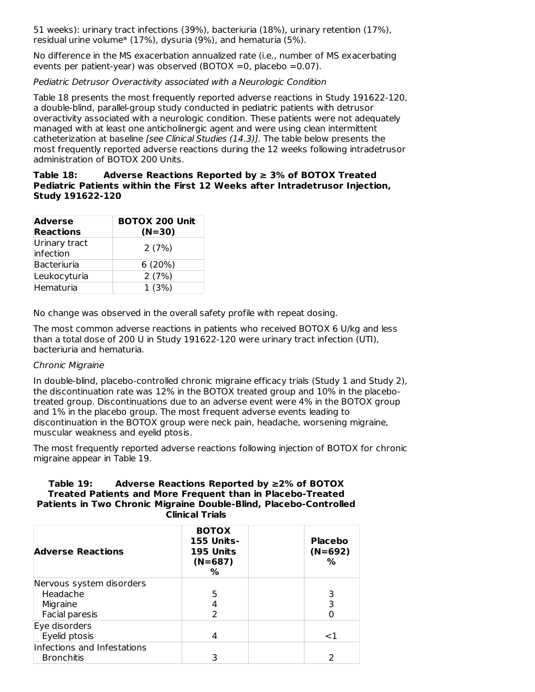51 weeks): urinary tract infections (39%), bacteriuria (18%), urinary retention (17%), residual urine volume\* (17%), dysuria (9%), and hematuria (5%).

No difference in the MS exacerbation annualized rate (i.e., number of MS exacerbating events per patient-year) was observed (BOTOX =0, placebo =0.07).

### Pediatric Detrusor Overactivity associated with a Neurologic Condition

Table 18 presents the most frequently reported adverse reactions in Study 191622-120, a double-blind, parallel-group study conducted in pediatric patients with detrusor overactivity associated with a neurologic condition. These patients were not adequately managed with at least one anticholinergic agent and were using clean intermittent catheterization at baseline [see Clinical Studies (14.3)]. The table below presents the most frequently reported adverse reactions during the 12 weeks following intradetrusor administration of BOTOX 200 Units.

### **Table 18: Adverse Reactions Reported by ≥ 3% of BOTOX Treated Pediatric Patients within the First 12 Weeks after Intradetrusor Injection, Study 191622-120**

| <b>Adverse</b><br><b>Reactions</b> | <b>BOTOX 200 Unit</b><br>$(N=30)$ |
|------------------------------------|-----------------------------------|
| Urinary tract<br>infection         | 2(7%)                             |
| Bacteriuria                        | 6(20%)                            |
| Leukocyturia                       | 2(7%)                             |
| Hematuria                          | 1(3%)                             |

No change was observed in the overall safety profile with repeat dosing.

The most common adverse reactions in patients who received BOTOX 6 U/kg and less than a total dose of 200 U in Study 191622-120 were urinary tract infection (UTI), bacteriuria and hematuria.

### Chronic Migraine

In double-blind, placebo-controlled chronic migraine efficacy trials (Study 1 and Study 2), the discontinuation rate was 12% in the BOTOX treated group and 10% in the placebotreated group. Discontinuations due to an adverse event were 4% in the BOTOX group and 1% in the placebo group. The most frequent adverse events leading to discontinuation in the BOTOX group were neck pain, headache, worsening migraine, muscular weakness and eyelid ptosis.

The most frequently reported adverse reactions following injection of BOTOX for chronic migraine appear in Table 19.

#### **Table 19: Adverse Reactions Reported by ≥2% of BOTOX Treated Patients and More Frequent than in Placebo-Treated Patients in Two Chronic Migraine Double-Blind, Placebo-Controlled Clinical Trials**

| <b>Adverse Reactions</b>    | <b>BOTOX</b><br><b>155 Units-</b><br>195 Units<br>$(N=687)$<br>℅ | <b>Placebo</b><br>$(N=692)$<br>% |
|-----------------------------|------------------------------------------------------------------|----------------------------------|
| Nervous system disorders    |                                                                  |                                  |
| Headache                    |                                                                  |                                  |
| Migraine                    |                                                                  | 3                                |
| Facial paresis              |                                                                  |                                  |
| Eye disorders               |                                                                  |                                  |
| Eyelid ptosis               |                                                                  | $\leq$ 1                         |
| Infections and Infestations |                                                                  |                                  |
| <b>Bronchitis</b>           |                                                                  |                                  |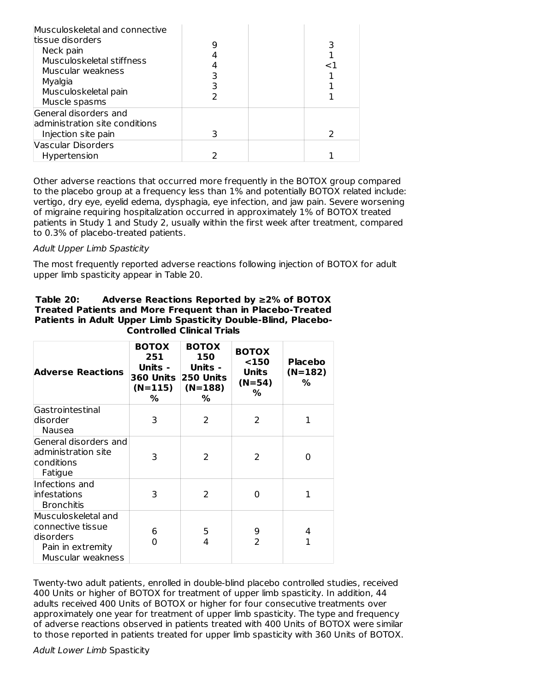| Musculoskeletal and connective<br>ltissue disorders<br>Neck pain<br>Musculoskeletal stiffness<br>Muscular weakness<br>Myalgia<br>Musculoskeletal pain<br>Muscle spasms |  | ا> |
|------------------------------------------------------------------------------------------------------------------------------------------------------------------------|--|----|
| General disorders and<br>ladministration site conditions<br>Injection site pain                                                                                        |  |    |
| Vascular Disorders<br>Hypertension                                                                                                                                     |  |    |

Other adverse reactions that occurred more frequently in the BOTOX group compared to the placebo group at a frequency less than 1% and potentially BOTOX related include: vertigo, dry eye, eyelid edema, dysphagia, eye infection, and jaw pain. Severe worsening of migraine requiring hospitalization occurred in approximately 1% of BOTOX treated patients in Study 1 and Study 2, usually within the first week after treatment, compared to 0.3% of placebo-treated patients.

### Adult Upper Limb Spasticity

The most frequently reported adverse reactions following injection of BOTOX for adult upper limb spasticity appear in Table 20.

| Table 20: | Adverse Reactions Reported by $\geq$ 2% of BOTOX                  |
|-----------|-------------------------------------------------------------------|
|           | <b>Treated Patients and More Frequent than in Placebo-Treated</b> |
|           | Patients in Adult Upper Limb Spasticity Double-Blind, Placebo-    |
|           | <b>Controlled Clinical Trials</b>                                 |

| <b>Adverse Reactions</b>                                                                         | <b>BOTOX</b><br>251<br>Units -<br>360 Units<br>$(N=115)$<br>% | <b>BOTOX</b><br>150<br>Units -<br><b>250 Units</b><br>$(N=188)$<br>% | <b>BOTOX</b><br>$150$<br>Units<br>$(N=54)$<br>% | <b>Placebo</b><br>$(N=182)$<br>% |
|--------------------------------------------------------------------------------------------------|---------------------------------------------------------------|----------------------------------------------------------------------|-------------------------------------------------|----------------------------------|
| Gastrointestinal<br>ldisorder<br>Nausea                                                          | 3                                                             | $\mathcal{P}$                                                        | 2                                               | 1                                |
| General disorders and<br>administration site<br>conditions<br>Fatigue                            | 3                                                             | 2                                                                    | 2                                               | O                                |
| Infections and<br>infestations<br><b>Bronchitis</b>                                              | 3                                                             | $\overline{2}$                                                       | 0                                               | 1                                |
| Musculoskeletal and<br>connective tissue<br>ldisorders<br>Pain in extremity<br>Muscular weakness | 6<br>0                                                        | 5<br>4                                                               | 9<br>$\overline{2}$                             | 4<br>1                           |

Twenty-two adult patients, enrolled in double-blind placebo controlled studies, received 400 Units or higher of BOTOX for treatment of upper limb spasticity. In addition, 44 adults received 400 Units of BOTOX or higher for four consecutive treatments over approximately one year for treatment of upper limb spasticity. The type and frequency of adverse reactions observed in patients treated with 400 Units of BOTOX were similar to those reported in patients treated for upper limb spasticity with 360 Units of BOTOX.

#### Adult Lower Limb Spasticity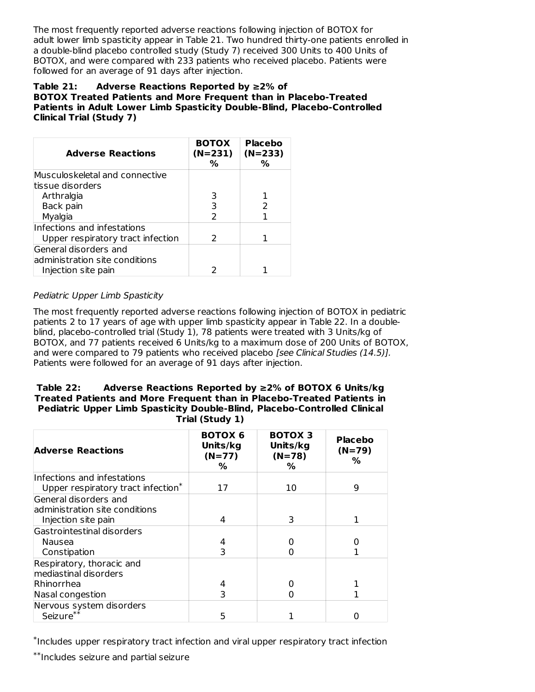The most frequently reported adverse reactions following injection of BOTOX for adult lower limb spasticity appear in Table 21. Two hundred thirty-one patients enrolled in a double-blind placebo controlled study (Study 7) received 300 Units to 400 Units of BOTOX, and were compared with 233 patients who received placebo. Patients were followed for an average of 91 days after injection.

### **Table 21: Adverse Reactions Reported by ≥2% of BOTOX Treated Patients and More Frequent than in Placebo-Treated Patients in Adult Lower Limb Spasticity Double-Blind, Placebo-Controlled Clinical Trial (Study 7)**

| <b>Adverse Reactions</b>          | <b>BOTOX</b><br>$(N=231)$<br>% | <b>Placebo</b><br>$(N=233)$<br>$\%$ |
|-----------------------------------|--------------------------------|-------------------------------------|
| Musculoskeletal and connective    |                                |                                     |
| tissue disorders                  |                                |                                     |
| Arthralgia                        | 3                              |                                     |
| Back pain                         | 3                              | 2                                   |
| Myalgia                           | $\mathcal{P}$                  |                                     |
| Infections and infestations       |                                |                                     |
| Upper respiratory tract infection | $\mathcal{L}$                  |                                     |
| General disorders and             |                                |                                     |
| administration site conditions    |                                |                                     |
| Injection site pain               |                                |                                     |

# Pediatric Upper Limb Spasticity

The most frequently reported adverse reactions following injection of BOTOX in pediatric patients 2 to 17 years of age with upper limb spasticity appear in Table 22. In a doubleblind, placebo-controlled trial (Study 1), 78 patients were treated with 3 Units/kg of BOTOX, and 77 patients received 6 Units/kg to a maximum dose of 200 Units of BOTOX, and were compared to 79 patients who received placebo [see Clinical Studies (14.5)]. Patients were followed for an average of 91 days after injection.

#### **Table 22: Adverse Reactions Reported by ≥2% of BOTOX 6 Units/kg Treated Patients and More Frequent than in Placebo-Treated Patients in Pediatric Upper Limb Spasticity Double-Blind, Placebo-Controlled Clinical Trial (Study 1)**

| <b>Adverse Reactions</b>                                                       | <b>BOTOX 6</b><br>Units/kg<br>$(N=77)$<br>% | <b>BOTOX 3</b><br>Units/kg<br>$(N=78)$<br>% | <b>Placebo</b><br>$(N=79)$<br>% |
|--------------------------------------------------------------------------------|---------------------------------------------|---------------------------------------------|---------------------------------|
| Infections and infestations                                                    |                                             |                                             |                                 |
| Upper respiratory tract infection*                                             | 17                                          | 10                                          | q                               |
| General disorders and<br>administration site conditions<br>Injection site pain | 4                                           | 3                                           |                                 |
| Gastrointestinal disorders                                                     |                                             |                                             |                                 |
| Nausea<br>Constipation                                                         | ٦                                           |                                             |                                 |
| Respiratory, thoracic and<br>mediastinal disorders                             |                                             |                                             |                                 |
| Rhinorrhea                                                                     |                                             |                                             |                                 |
| Nasal congestion                                                               |                                             |                                             |                                 |
| Nervous system disorders<br>Seizure**                                          | 5                                           |                                             |                                 |

\*Includes upper respiratory tract infection and viral upper respiratory tract infection

 $^{**}$ Includes seizure and partial seizure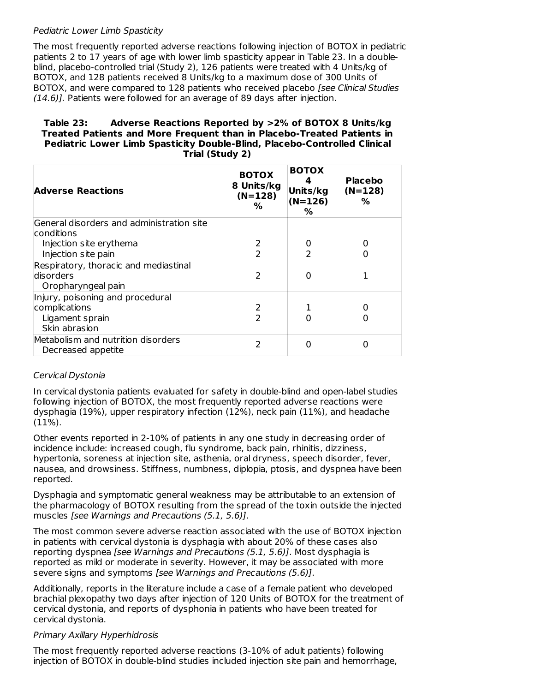### Pediatric Lower Limb Spasticity

The most frequently reported adverse reactions following injection of BOTOX in pediatric patients 2 to 17 years of age with lower limb spasticity appear in Table 23. In a doubleblind, placebo-controlled trial (Study 2), 126 patients were treated with 4 Units/kg of BOTOX, and 128 patients received 8 Units/kg to a maximum dose of 300 Units of BOTOX, and were compared to 128 patients who received placebo *[see Clinical Studies* (14.6)]. Patients were followed for an average of 89 days after injection.

### **Table 23: Adverse Reactions Reported by >2% of BOTOX 8 Units/kg Treated Patients and More Frequent than in Placebo-Treated Patients in Pediatric Lower Limb Spasticity Double-Blind, Placebo-Controlled Clinical Trial (Study 2)**

| <b>Adverse Reactions</b>                                                 | <b>BOTOX</b><br>8 Units/kg<br>$(N=128)$<br>% | <b>BOTOX</b><br>Units/kg<br>$(N=126)$<br>% | <b>Placebo</b><br>$(N=128)$<br>% |
|--------------------------------------------------------------------------|----------------------------------------------|--------------------------------------------|----------------------------------|
| General disorders and administration site                                |                                              |                                            |                                  |
| lconditions                                                              |                                              |                                            |                                  |
| Injection site erythema                                                  | 2                                            | O                                          |                                  |
| Injection site pain                                                      | $\mathcal{P}$                                |                                            |                                  |
| Respiratory, thoracic and mediastinal<br>disorders<br>Oropharyngeal pain | 2                                            | Ω                                          |                                  |
| Injury, poisoning and procedural                                         |                                              |                                            |                                  |
| complications                                                            | 2                                            |                                            |                                  |
| Ligament sprain                                                          | フ                                            | O                                          |                                  |
| Skin abrasion                                                            |                                              |                                            |                                  |
| Metabolism and nutrition disorders<br>Decreased appetite                 | $\mathcal{P}$                                | 0                                          | 0                                |

# Cervical Dystonia

In cervical dystonia patients evaluated for safety in double-blind and open-label studies following injection of BOTOX, the most frequently reported adverse reactions were dysphagia (19%), upper respiratory infection (12%), neck pain (11%), and headache (11%).

Other events reported in 2-10% of patients in any one study in decreasing order of incidence include: increased cough, flu syndrome, back pain, rhinitis, dizziness, hypertonia, soreness at injection site, asthenia, oral dryness, speech disorder, fever, nausea, and drowsiness. Stiffness, numbness, diplopia, ptosis, and dyspnea have been reported.

Dysphagia and symptomatic general weakness may be attributable to an extension of the pharmacology of BOTOX resulting from the spread of the toxin outside the injected muscles [see Warnings and Precautions (5.1, 5.6)].

The most common severe adverse reaction associated with the use of BOTOX injection in patients with cervical dystonia is dysphagia with about 20% of these cases also reporting dyspnea [see Warnings and Precautions (5.1, 5.6)]. Most dysphagia is reported as mild or moderate in severity. However, it may be associated with more severe signs and symptoms [see Warnings and Precautions (5.6)].

Additionally, reports in the literature include a case of a female patient who developed brachial plexopathy two days after injection of 120 Units of BOTOX for the treatment of cervical dystonia, and reports of dysphonia in patients who have been treated for cervical dystonia.

### Primary Axillary Hyperhidrosis

The most frequently reported adverse reactions (3-10% of adult patients) following injection of BOTOX in double-blind studies included injection site pain and hemorrhage,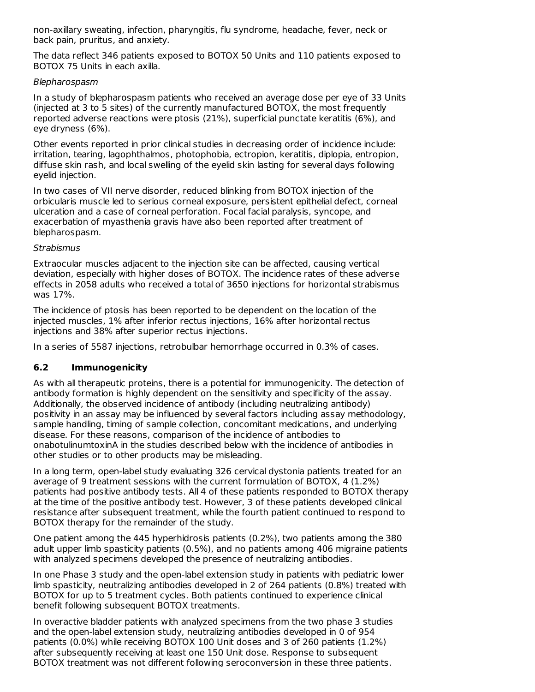non-axillary sweating, infection, pharyngitis, flu syndrome, headache, fever, neck or back pain, pruritus, and anxiety.

The data reflect 346 patients exposed to BOTOX 50 Units and 110 patients exposed to BOTOX 75 Units in each axilla.

### Blepharospasm

In a study of blepharospasm patients who received an average dose per eye of 33 Units (injected at 3 to 5 sites) of the currently manufactured BOTOX, the most frequently reported adverse reactions were ptosis (21%), superficial punctate keratitis (6%), and eye dryness (6%).

Other events reported in prior clinical studies in decreasing order of incidence include: irritation, tearing, lagophthalmos, photophobia, ectropion, keratitis, diplopia, entropion, diffuse skin rash, and local swelling of the eyelid skin lasting for several days following eyelid injection.

In two cases of VII nerve disorder, reduced blinking from BOTOX injection of the orbicularis muscle led to serious corneal exposure, persistent epithelial defect, corneal ulceration and a case of corneal perforation. Focal facial paralysis, syncope, and exacerbation of myasthenia gravis have also been reported after treatment of blepharospasm.

# **Strabismus**

Extraocular muscles adjacent to the injection site can be affected, causing vertical deviation, especially with higher doses of BOTOX. The incidence rates of these adverse effects in 2058 adults who received a total of 3650 injections for horizontal strabismus was 17%.

The incidence of ptosis has been reported to be dependent on the location of the injected muscles, 1% after inferior rectus injections, 16% after horizontal rectus injections and 38% after superior rectus injections.

In a series of 5587 injections, retrobulbar hemorrhage occurred in 0.3% of cases.

# **6.2 Immunogenicity**

As with all therapeutic proteins, there is a potential for immunogenicity. The detection of antibody formation is highly dependent on the sensitivity and specificity of the assay. Additionally, the observed incidence of antibody (including neutralizing antibody) positivity in an assay may be influenced by several factors including assay methodology, sample handling, timing of sample collection, concomitant medications, and underlying disease. For these reasons, comparison of the incidence of antibodies to onabotulinumtoxinA in the studies described below with the incidence of antibodies in other studies or to other products may be misleading.

In a long term, open-label study evaluating 326 cervical dystonia patients treated for an average of 9 treatment sessions with the current formulation of BOTOX, 4 (1.2%) patients had positive antibody tests. All 4 of these patients responded to BOTOX therapy at the time of the positive antibody test. However, 3 of these patients developed clinical resistance after subsequent treatment, while the fourth patient continued to respond to BOTOX therapy for the remainder of the study.

One patient among the 445 hyperhidrosis patients (0.2%), two patients among the 380 adult upper limb spasticity patients (0.5%), and no patients among 406 migraine patients with analyzed specimens developed the presence of neutralizing antibodies.

In one Phase 3 study and the open-label extension study in patients with pediatric lower limb spasticity, neutralizing antibodies developed in 2 of 264 patients (0.8%) treated with BOTOX for up to 5 treatment cycles. Both patients continued to experience clinical benefit following subsequent BOTOX treatments.

In overactive bladder patients with analyzed specimens from the two phase 3 studies and the open-label extension study, neutralizing antibodies developed in 0 of 954 patients (0.0%) while receiving BOTOX 100 Unit doses and 3 of 260 patients (1.2%) after subsequently receiving at least one 150 Unit dose. Response to subsequent BOTOX treatment was not different following seroconversion in these three patients.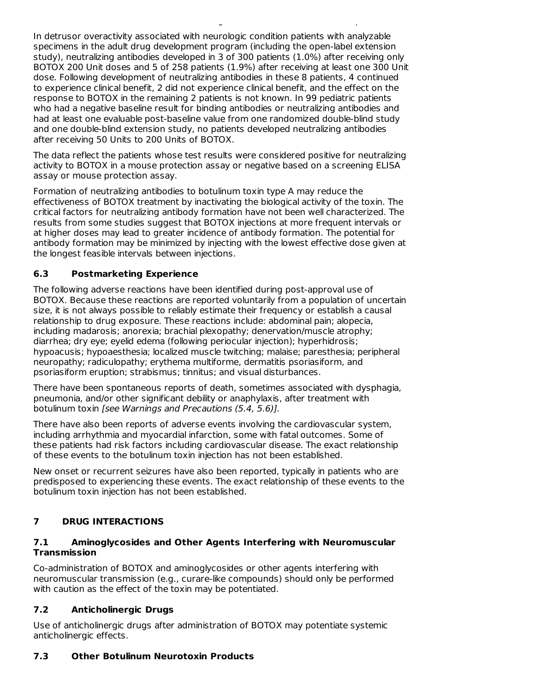In detrusor overactivity associated with neurologic condition patients with analyzable specimens in the adult drug development program (including the open-label extension study), neutralizing antibodies developed in 3 of 300 patients (1.0%) after receiving only BOTOX 200 Unit doses and 5 of 258 patients (1.9%) after receiving at least one 300 Unit dose. Following development of neutralizing antibodies in these 8 patients, 4 continued to experience clinical benefit, 2 did not experience clinical benefit, and the effect on the response to BOTOX in the remaining 2 patients is not known. In 99 pediatric patients who had a negative baseline result for binding antibodies or neutralizing antibodies and had at least one evaluable post-baseline value from one randomized double-blind study and one double-blind extension study, no patients developed neutralizing antibodies after receiving 50 Units to 200 Units of BOTOX.

BOTOX treatment was not different following seroconversion in these three patients.

The data reflect the patients whose test results were considered positive for neutralizing activity to BOTOX in a mouse protection assay or negative based on a screening ELISA assay or mouse protection assay.

Formation of neutralizing antibodies to botulinum toxin type A may reduce the effectiveness of BOTOX treatment by inactivating the biological activity of the toxin. The critical factors for neutralizing antibody formation have not been well characterized. The results from some studies suggest that BOTOX injections at more frequent intervals or at higher doses may lead to greater incidence of antibody formation. The potential for antibody formation may be minimized by injecting with the lowest effective dose given at the longest feasible intervals between injections.

# **6.3 Postmarketing Experience**

The following adverse reactions have been identified during post-approval use of BOTOX. Because these reactions are reported voluntarily from a population of uncertain size, it is not always possible to reliably estimate their frequency or establish a causal relationship to drug exposure. These reactions include: abdominal pain; alopecia, including madarosis; anorexia; brachial plexopathy; denervation/muscle atrophy; diarrhea; dry eye; eyelid edema (following periocular injection); hyperhidrosis; hypoacusis; hypoaesthesia; localized muscle twitching; malaise; paresthesia; peripheral neuropathy; radiculopathy; erythema multiforme, dermatitis psoriasiform, and psoriasiform eruption; strabismus; tinnitus; and visual disturbances.

There have been spontaneous reports of death, sometimes associated with dysphagia, pneumonia, and/or other significant debility or anaphylaxis, after treatment with botulinum toxin [see Warnings and Precautions (5.4, 5.6)].

There have also been reports of adverse events involving the cardiovascular system, including arrhythmia and myocardial infarction, some with fatal outcomes. Some of these patients had risk factors including cardiovascular disease. The exact relationship of these events to the botulinum toxin injection has not been established.

New onset or recurrent seizures have also been reported, typically in patients who are predisposed to experiencing these events. The exact relationship of these events to the botulinum toxin injection has not been established.

# **7 DRUG INTERACTIONS**

### **7.1 Aminoglycosides and Other Agents Interfering with Neuromuscular Transmission**

Co-administration of BOTOX and aminoglycosides or other agents interfering with neuromuscular transmission (e.g., curare-like compounds) should only be performed with caution as the effect of the toxin may be potentiated.

# **7.2 Anticholinergic Drugs**

Use of anticholinergic drugs after administration of BOTOX may potentiate systemic anticholinergic effects.

# **7.3 Other Botulinum Neurotoxin Products**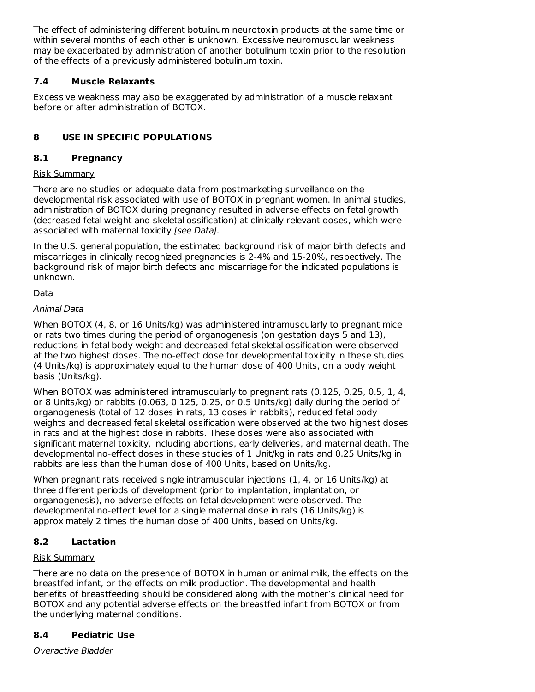The effect of administering different botulinum neurotoxin products at the same time or within several months of each other is unknown. Excessive neuromuscular weakness may be exacerbated by administration of another botulinum toxin prior to the resolution of the effects of a previously administered botulinum toxin.

# **7.4 Muscle Relaxants**

Excessive weakness may also be exaggerated by administration of a muscle relaxant before or after administration of BOTOX.

# **8 USE IN SPECIFIC POPULATIONS**

# **8.1 Pregnancy**

# Risk Summary

There are no studies or adequate data from postmarketing surveillance on the developmental risk associated with use of BOTOX in pregnant women. In animal studies, administration of BOTOX during pregnancy resulted in adverse effects on fetal growth (decreased fetal weight and skeletal ossification) at clinically relevant doses, which were associated with maternal toxicity [see Data].

In the U.S. general population, the estimated background risk of major birth defects and miscarriages in clinically recognized pregnancies is 2-4% and 15-20%, respectively. The background risk of major birth defects and miscarriage for the indicated populations is unknown.

# Data

# Animal Data

When BOTOX (4, 8, or 16 Units/kg) was administered intramuscularly to pregnant mice or rats two times during the period of organogenesis (on gestation days 5 and 13), reductions in fetal body weight and decreased fetal skeletal ossification were observed at the two highest doses. The no-effect dose for developmental toxicity in these studies (4 Units/kg) is approximately equal to the human dose of 400 Units, on a body weight basis (Units/kg).

When BOTOX was administered intramuscularly to pregnant rats (0.125, 0.25, 0.5, 1, 4, or 8 Units/kg) or rabbits (0.063, 0.125, 0.25, or 0.5 Units/kg) daily during the period of organogenesis (total of 12 doses in rats, 13 doses in rabbits), reduced fetal body weights and decreased fetal skeletal ossification were observed at the two highest doses in rats and at the highest dose in rabbits. These doses were also associated with significant maternal toxicity, including abortions, early deliveries, and maternal death. The developmental no-effect doses in these studies of 1 Unit/kg in rats and 0.25 Units/kg in rabbits are less than the human dose of 400 Units, based on Units/kg.

When pregnant rats received single intramuscular injections (1, 4, or 16 Units/kg) at three different periods of development (prior to implantation, implantation, or organogenesis), no adverse effects on fetal development were observed. The developmental no-effect level for a single maternal dose in rats (16 Units/kg) is approximately 2 times the human dose of 400 Units, based on Units/kg.

# **8.2 Lactation**

# Risk Summary

There are no data on the presence of BOTOX in human or animal milk, the effects on the breastfed infant, or the effects on milk production. The developmental and health benefits of breastfeeding should be considered along with the mother's clinical need for BOTOX and any potential adverse effects on the breastfed infant from BOTOX or from the underlying maternal conditions.

# **8.4 Pediatric Use**

Overactive Bladder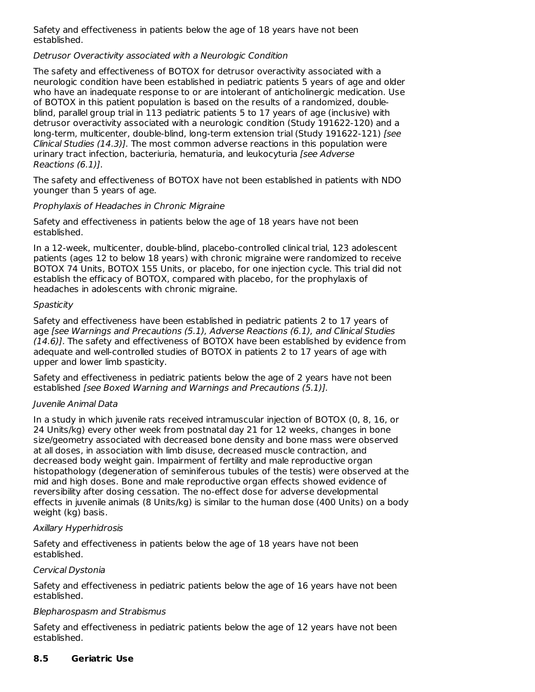Safety and effectiveness in patients below the age of 18 years have not been established.

### Detrusor Overactivity associated with a Neurologic Condition

The safety and effectiveness of BOTOX for detrusor overactivity associated with a neurologic condition have been established in pediatric patients 5 years of age and older who have an inadequate response to or are intolerant of anticholinergic medication. Use of BOTOX in this patient population is based on the results of a randomized, doubleblind, parallel group trial in 113 pediatric patients 5 to 17 years of age (inclusive) with detrusor overactivity associated with a neurologic condition (Study 191622-120) and a long-term, multicenter, double-blind, long-term extension trial (Study 191622-121) [see Clinical Studies (14.3)]. The most common adverse reactions in this population were urinary tract infection, bacteriuria, hematuria, and leukocyturia [see Adverse Reactions (6.1)].

The safety and effectiveness of BOTOX have not been established in patients with NDO younger than 5 years of age.

### Prophylaxis of Headaches in Chronic Migraine

Safety and effectiveness in patients below the age of 18 years have not been established.

In a 12-week, multicenter, double-blind, placebo-controlled clinical trial, 123 adolescent patients (ages 12 to below 18 years) with chronic migraine were randomized to receive BOTOX 74 Units, BOTOX 155 Units, or placebo, for one injection cycle. This trial did not establish the efficacy of BOTOX, compared with placebo, for the prophylaxis of headaches in adolescents with chronic migraine.

### **Spasticity**

Safety and effectiveness have been established in pediatric patients 2 to 17 years of age [see Warnings and Precautions (5.1), Adverse Reactions (6.1), and Clinical Studies (14.6)]. The safety and effectiveness of BOTOX have been established by evidence from adequate and well-controlled studies of BOTOX in patients 2 to 17 years of age with upper and lower limb spasticity.

Safety and effectiveness in pediatric patients below the age of 2 years have not been established [see Boxed Warning and Warnings and Precautions (5.1)].

### Juvenile Animal Data

In a study in which juvenile rats received intramuscular injection of BOTOX (0, 8, 16, or 24 Units/kg) every other week from postnatal day 21 for 12 weeks, changes in bone size/geometry associated with decreased bone density and bone mass were observed at all doses, in association with limb disuse, decreased muscle contraction, and decreased body weight gain. Impairment of fertility and male reproductive organ histopathology (degeneration of seminiferous tubules of the testis) were observed at the mid and high doses. Bone and male reproductive organ effects showed evidence of reversibility after dosing cessation. The no-effect dose for adverse developmental effects in juvenile animals (8 Units/kg) is similar to the human dose (400 Units) on a body weight (kg) basis.

# Axillary Hyperhidrosis

Safety and effectiveness in patients below the age of 18 years have not been established.

### Cervical Dystonia

Safety and effectiveness in pediatric patients below the age of 16 years have not been established.

### Blepharospasm and Strabismus

Safety and effectiveness in pediatric patients below the age of 12 years have not been established.

### **8.5 Geriatric Use**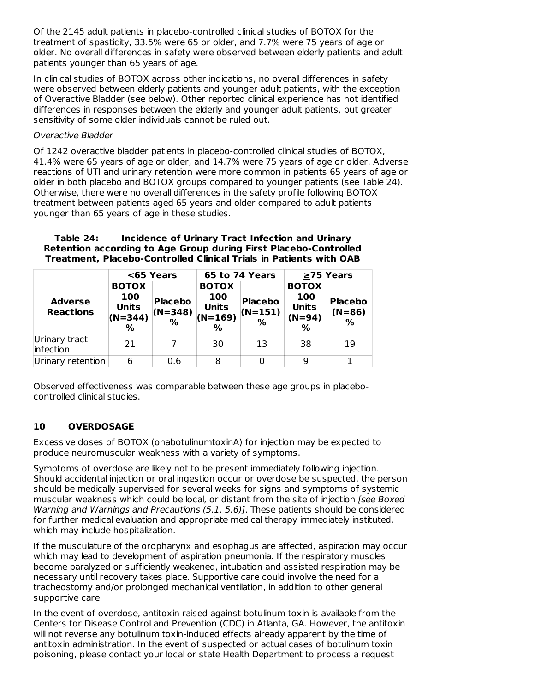Of the 2145 adult patients in placebo-controlled clinical studies of BOTOX for the treatment of spasticity, 33.5% were 65 or older, and 7.7% were 75 years of age or older. No overall differences in safety were observed between elderly patients and adult patients younger than 65 years of age.

In clinical studies of BOTOX across other indications, no overall differences in safety were observed between elderly patients and younger adult patients, with the exception of Overactive Bladder (see below). Other reported clinical experience has not identified differences in responses between the elderly and younger adult patients, but greater sensitivity of some older individuals cannot be ruled out.

### Overactive Bladder

Of 1242 overactive bladder patients in placebo-controlled clinical studies of BOTOX, 41.4% were 65 years of age or older, and 14.7% were 75 years of age or older. Adverse reactions of UTI and urinary retention were more common in patients 65 years of age or older in both placebo and BOTOX groups compared to younger patients (see Table 24). Otherwise, there were no overall differences in the safety profile following BOTOX treatment between patients aged 65 years and older compared to adult patients younger than 65 years of age in these studies.

### **Table 24: Incidence of Urinary Tract Infection and Urinary Retention according to Age Group during First Placebo-Controlled Treatment, Placebo-Controlled Clinical Trials in Patients with OAB**

|                                    |                                                          | <65 Years                           |                                                                   | 65 to 74 Years                      | $\geq$ 75 Years                                      |                                 |
|------------------------------------|----------------------------------------------------------|-------------------------------------|-------------------------------------------------------------------|-------------------------------------|------------------------------------------------------|---------------------------------|
| <b>Adverse</b><br><b>Reactions</b> | <b>BOTOX</b><br>100<br><b>Units</b><br>$(N=344)$<br>$\%$ | <b>Placebo</b><br>$(N=348)$<br>$\%$ | <b>BOTOX</b><br>100<br><b>Units</b><br>$(N=169)$<br>$\frac{9}{6}$ | <b>Placebo</b><br>$(N=151)$<br>$\%$ | <b>BOTOX</b><br>100<br><b>Units</b><br>$(N=94)$<br>% | <b>Placebo</b><br>$(N=86)$<br>% |
| Urinary tract<br>infection         | 21                                                       |                                     | 30                                                                | 13                                  | 38                                                   | 19                              |
| Urinary retention                  | 6                                                        | 0.6                                 | 8                                                                 | 0                                   | 9                                                    |                                 |

Observed effectiveness was comparable between these age groups in placebocontrolled clinical studies.

### **10 OVERDOSAGE**

Excessive doses of BOTOX (onabotulinumtoxinA) for injection may be expected to produce neuromuscular weakness with a variety of symptoms.

Symptoms of overdose are likely not to be present immediately following injection. Should accidental injection or oral ingestion occur or overdose be suspected, the person should be medically supervised for several weeks for signs and symptoms of systemic muscular weakness which could be local, or distant from the site of injection [see Boxed Warning and Warnings and Precautions (5.1, 5.6)]. These patients should be considered for further medical evaluation and appropriate medical therapy immediately instituted, which may include hospitalization.

If the musculature of the oropharynx and esophagus are affected, aspiration may occur which may lead to development of aspiration pneumonia. If the respiratory muscles become paralyzed or sufficiently weakened, intubation and assisted respiration may be necessary until recovery takes place. Supportive care could involve the need for a tracheostomy and/or prolonged mechanical ventilation, in addition to other general supportive care.

In the event of overdose, antitoxin raised against botulinum toxin is available from the Centers for Disease Control and Prevention (CDC) in Atlanta, GA. However, the antitoxin will not reverse any botulinum toxin-induced effects already apparent by the time of antitoxin administration. In the event of suspected or actual cases of botulinum toxin poisoning, please contact your local or state Health Department to process a request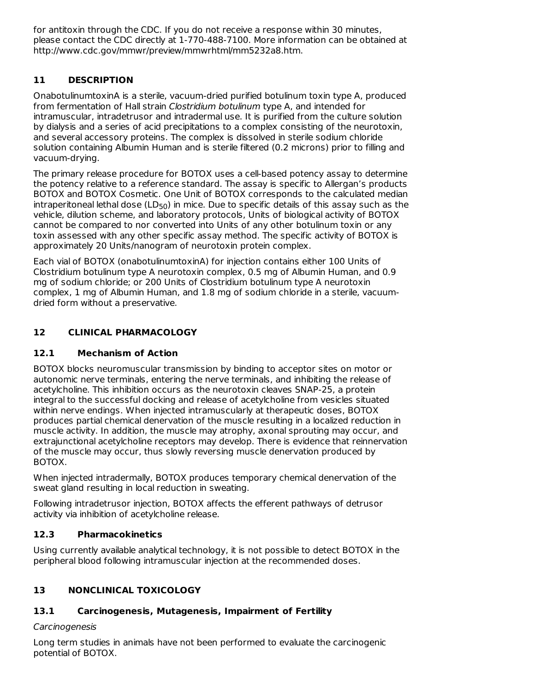for antitoxin through the CDC. If you do not receive a response within 30 minutes, please contact the CDC directly at 1-770-488-7100. More information can be obtained at http://www.cdc.gov/mmwr/preview/mmwrhtml/mm5232a8.htm.

# **11 DESCRIPTION**

OnabotulinumtoxinA is a sterile, vacuum-dried purified botulinum toxin type A, produced from fermentation of Hall strain Clostridium botulinum type A, and intended for intramuscular, intradetrusor and intradermal use. It is purified from the culture solution by dialysis and a series of acid precipitations to a complex consisting of the neurotoxin, and several accessory proteins. The complex is dissolved in sterile sodium chloride solution containing Albumin Human and is sterile filtered (0.2 microns) prior to filling and vacuum-drying.

The primary release procedure for BOTOX uses a cell-based potency assay to determine the potency relative to a reference standard. The assay is specific to Allergan's products BOTOX and BOTOX Cosmetic. One Unit of BOTOX corresponds to the calculated median intraperitoneal lethal dose (LD $_{50}$ ) in mice. Due to specific details of this assay such as the vehicle, dilution scheme, and laboratory protocols, Units of biological activity of BOTOX cannot be compared to nor converted into Units of any other botulinum toxin or any toxin assessed with any other specific assay method. The specific activity of BOTOX is approximately 20 Units/nanogram of neurotoxin protein complex.

Each vial of BOTOX (onabotulinumtoxinA) for injection contains either 100 Units of Clostridium botulinum type A neurotoxin complex, 0.5 mg of Albumin Human, and 0.9 mg of sodium chloride; or 200 Units of Clostridium botulinum type A neurotoxin complex, 1 mg of Albumin Human, and 1.8 mg of sodium chloride in a sterile, vacuumdried form without a preservative.

# **12 CLINICAL PHARMACOLOGY**

# **12.1 Mechanism of Action**

BOTOX blocks neuromuscular transmission by binding to acceptor sites on motor or autonomic nerve terminals, entering the nerve terminals, and inhibiting the release of acetylcholine. This inhibition occurs as the neurotoxin cleaves SNAP-25, a protein integral to the successful docking and release of acetylcholine from vesicles situated within nerve endings. When injected intramuscularly at therapeutic doses, BOTOX produces partial chemical denervation of the muscle resulting in a localized reduction in muscle activity. In addition, the muscle may atrophy, axonal sprouting may occur, and extrajunctional acetylcholine receptors may develop. There is evidence that reinnervation of the muscle may occur, thus slowly reversing muscle denervation produced by BOTOX.

When injected intradermally, BOTOX produces temporary chemical denervation of the sweat gland resulting in local reduction in sweating.

Following intradetrusor injection, BOTOX affects the efferent pathways of detrusor activity via inhibition of acetylcholine release.

# **12.3 Pharmacokinetics**

Using currently available analytical technology, it is not possible to detect BOTOX in the peripheral blood following intramuscular injection at the recommended doses.

# **13 NONCLINICAL TOXICOLOGY**

# **13.1 Carcinogenesis, Mutagenesis, Impairment of Fertility**

# Carcinogenesis

Long term studies in animals have not been performed to evaluate the carcinogenic potential of BOTOX.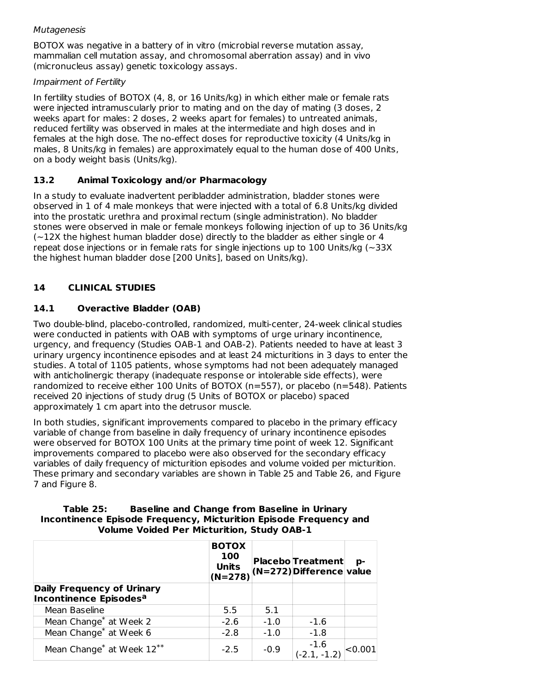### Mutagenesis

BOTOX was negative in a battery of in vitro (microbial reverse mutation assay, mammalian cell mutation assay, and chromosomal aberration assay) and in vivo (micronucleus assay) genetic toxicology assays.

### Impairment of Fertility

In fertility studies of BOTOX (4, 8, or 16 Units/kg) in which either male or female rats were injected intramuscularly prior to mating and on the day of mating (3 doses, 2 weeks apart for males: 2 doses, 2 weeks apart for females) to untreated animals, reduced fertility was observed in males at the intermediate and high doses and in females at the high dose. The no-effect doses for reproductive toxicity (4 Units/kg in males, 8 Units/kg in females) are approximately equal to the human dose of 400 Units, on a body weight basis (Units/kg).

# **13.2 Animal Toxicology and/or Pharmacology**

In a study to evaluate inadvertent peribladder administration, bladder stones were observed in 1 of 4 male monkeys that were injected with a total of 6.8 Units/kg divided into the prostatic urethra and proximal rectum (single administration). No bladder stones were observed in male or female monkeys following injection of up to 36 Units/kg  $(-12X)$  the highest human bladder dose) directly to the bladder as either single or 4 repeat dose injections or in female rats for single injections up to 100 Units/kg ( $\sim$ 33X the highest human bladder dose [200 Units], based on Units/kg).

# **14 CLINICAL STUDIES**

# **14.1 Overactive Bladder (OAB)**

Two double-blind, placebo-controlled, randomized, multi-center, 24-week clinical studies were conducted in patients with OAB with symptoms of urge urinary incontinence, urgency, and frequency (Studies OAB-1 and OAB-2). Patients needed to have at least 3 urinary urgency incontinence episodes and at least 24 micturitions in 3 days to enter the studies. A total of 1105 patients, whose symptoms had not been adequately managed with anticholinergic therapy (inadequate response or intolerable side effects), were randomized to receive either 100 Units of BOTOX (n=557), or placebo (n=548). Patients received 20 injections of study drug (5 Units of BOTOX or placebo) spaced approximately 1 cm apart into the detrusor muscle.

In both studies, significant improvements compared to placebo in the primary efficacy variable of change from baseline in daily frequency of urinary incontinence episodes were observed for BOTOX 100 Units at the primary time point of week 12. Significant improvements compared to placebo were also observed for the secondary efficacy variables of daily frequency of micturition episodes and volume voided per micturition. These primary and secondary variables are shown in Table 25 and Table 26, and Figure 7 and Figure 8.

### **Table 25: Baseline and Change from Baseline in Urinary Incontinence Episode Frequency, Micturition Episode Frequency and Volume Voided Per Micturition, Study OAB-1**

|                                                                         | <b>BOTOX</b><br>100<br><b>Units</b> |        | <b>Placebo Treatment</b><br>$\left  \begin{array}{c} 1 & 1 \\ (N=278) \end{array} \right $ (N=272) Difference value | p-      |
|-------------------------------------------------------------------------|-------------------------------------|--------|---------------------------------------------------------------------------------------------------------------------|---------|
| <b>Daily Frequency of Urinary</b><br>Incontinence Episodes <sup>a</sup> |                                     |        |                                                                                                                     |         |
| Mean Baseline                                                           | 5.5                                 | 5.1    |                                                                                                                     |         |
| Mean Change <sup>*</sup> at Week 2                                      | $-2.6$                              | $-1.0$ | $-1.6$                                                                                                              |         |
| Mean Change <sup>*</sup> at Week 6                                      | $-2.8$                              | $-1.0$ | $-1.8$                                                                                                              |         |
| Mean Change <sup>*</sup> at Week 12 <sup>**</sup>                       | $-2.5$                              | $-0.9$ | $-1.6$<br>$(-2.1, -1.2)$                                                                                            | < 0.001 |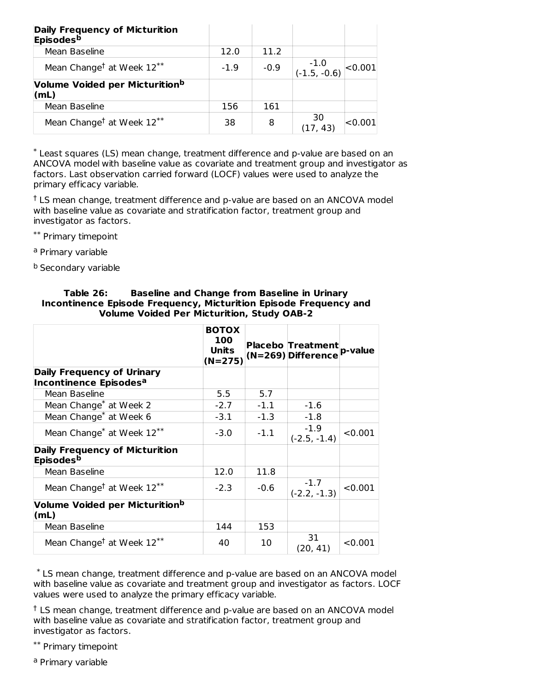| <b>Daily Frequency of Micturition</b><br><b>Episodes</b> <sup>b</sup> |        |        |                        |            |
|-----------------------------------------------------------------------|--------|--------|------------------------|------------|
| Mean Baseline                                                         | 12.0   | 11.2   |                        |            |
| Mean Change <sup>†</sup> at Week $12^{**}$                            | $-1.9$ | $-0.9$ | $-1.0$<br>(-1.5, -0.6) | $ <$ 0.001 |
| Volume Voided per Micturition <sup>b</sup><br>(mL)                    |        |        |                        |            |
| Mean Baseline                                                         | 156    | 161    |                        |            |
| Mean Change <sup>†</sup> at Week 12 <sup>**</sup>                     | 38     | 8      | -30<br>(17, 43)        | < 0.001    |

Least squares (LS) mean change, treatment difference and p-value are based on an \* ANCOVA model with baseline value as covariate and treatment group and investigator as factors. Last observation carried forward (LOCF) values were used to analyze the primary efficacy variable.

<sup>†</sup> LS mean change, treatment difference and p-value are based on an ANCOVA model with baseline value as covariate and stratification factor, treatment group and investigator as factors.

\*\* Primary timepoint

<sup>a</sup> Primary variable

<sup>b</sup> Secondary variable

|                                                                         | <b>BOTOX</b><br><b>100</b><br>Units<br>$(N=275)$ |        | <b>Placebo Treatment</b><br>$(N=269)$ Difference | p-value |
|-------------------------------------------------------------------------|--------------------------------------------------|--------|--------------------------------------------------|---------|
| <b>Daily Frequency of Urinary</b><br>Incontinence Episodes <sup>a</sup> |                                                  |        |                                                  |         |
| Mean Baseline                                                           | 5.5                                              | 5.7    |                                                  |         |
| Mean Change <sup>*</sup> at Week 2                                      | $-2.7$                                           | $-1.1$ | $-1.6$                                           |         |
| Mean Change <sup>*</sup> at Week 6                                      | $-3.1$                                           | $-1.3$ | $-1.8$                                           |         |
| Mean Change <sup>*</sup> at Week 12 <sup>**</sup>                       | $-3.0$                                           | $-1.1$ | $-1.9$<br>$(-2.5, -1.4)$                         | < 0.001 |
| <b>Daily Frequency of Micturition</b><br>Episodes <sup>b</sup>          |                                                  |        |                                                  |         |
| Mean Baseline                                                           | 12.0                                             | 11.8   |                                                  |         |
| Mean Change <sup>†</sup> at Week 12 <sup>**</sup>                       | $-2.3$                                           | $-0.6$ | $-1.7$<br>$(-2.2, -1.3)$                         | < 0.001 |
| Volume Voided per Micturition <sup>b</sup><br>(mL)                      |                                                  |        |                                                  |         |
| Mean Baseline                                                           | 144                                              | 153    |                                                  |         |
| Mean Change <sup>†</sup> at Week $12^{**}$                              | 40                                               | 10     | 31<br>(20, 41)                                   | < 0.001 |

### **Table 26: Baseline and Change from Baseline in Urinary Incontinence Episode Frequency, Micturition Episode Frequency and Volume Voided Per Micturition, Study OAB-2**

LS mean change, treatment difference and p-value are based on an ANCOVA model \* with baseline value as covariate and treatment group and investigator as factors. LOCF values were used to analyze the primary efficacy variable.

<sup>†</sup> LS mean change, treatment difference and p-value are based on an ANCOVA model with baseline value as covariate and stratification factor, treatment group and investigator as factors.

\*\* Primary timepoint

<sup>a</sup> Primary variable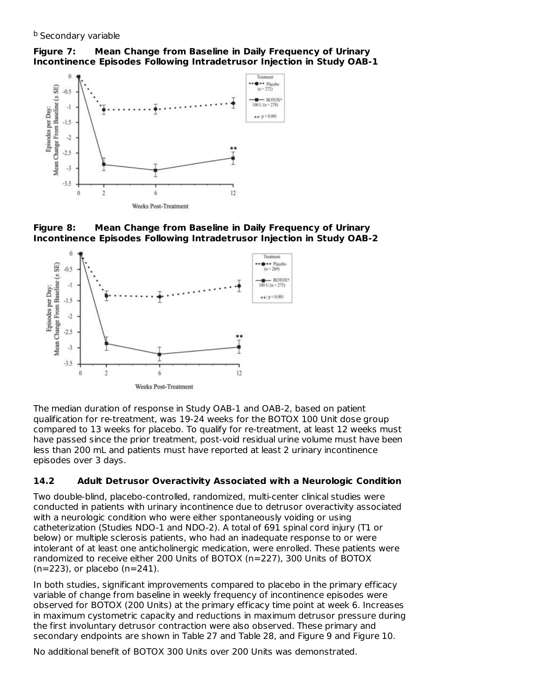# **Figure 7: Mean Change from Baseline in Daily Frequency of Urinary Incontinence Episodes Following Intradetrusor Injection in Study OAB-1**







The median duration of response in Study OAB-1 and OAB-2, based on patient qualification for re-treatment, was 19-24 weeks for the BOTOX 100 Unit dose group compared to 13 weeks for placebo. To qualify for re-treatment, at least 12 weeks must have passed since the prior treatment, post-void residual urine volume must have been less than 200 mL and patients must have reported at least 2 urinary incontinence episodes over 3 days.

# **14.2 Adult Detrusor Overactivity Associated with a Neurologic Condition**

Two double-blind, placebo-controlled, randomized, multi-center clinical studies were conducted in patients with urinary incontinence due to detrusor overactivity associated with a neurologic condition who were either spontaneously voiding or using catheterization (Studies NDO-1 and NDO-2). A total of 691 spinal cord injury (T1 or below) or multiple sclerosis patients, who had an inadequate response to or were intolerant of at least one anticholinergic medication, were enrolled. These patients were randomized to receive either 200 Units of BOTOX (n=227), 300 Units of BOTOX (n=223), or placebo (n=241).

In both studies, significant improvements compared to placebo in the primary efficacy variable of change from baseline in weekly frequency of incontinence episodes were observed for BOTOX (200 Units) at the primary efficacy time point at week 6. Increases in maximum cystometric capacity and reductions in maximum detrusor pressure during the first involuntary detrusor contraction were also observed. These primary and secondary endpoints are shown in Table 27 and Table 28, and Figure 9 and Figure 10.

No additional benefit of BOTOX 300 Units over 200 Units was demonstrated.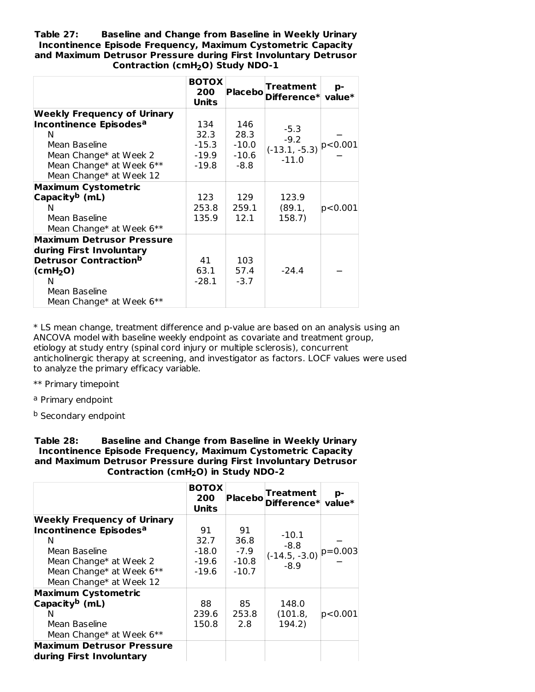**Table 27: Baseline and Change from Baseline in Weekly Urinary Incontinence Episode Frequency, Maximum Cystometric Capacity and Maximum Detrusor Pressure during First Involuntary Detrusor Contraction (cmH O) Study NDO-1 2**

|                                                                                                                                                                                 | <b>BOTOX</b><br>200<br>Units                 |                                           | <b>Treatment</b><br>Placebo Difference* value* | p-      |
|---------------------------------------------------------------------------------------------------------------------------------------------------------------------------------|----------------------------------------------|-------------------------------------------|------------------------------------------------|---------|
| <b>Weekly Frequency of Urinary</b><br>Incontinence Episodes <sup>a</sup><br>N<br>Mean Baseline<br>Mean Change* at Week 2<br>Mean Change* at Week 6**<br>Mean Change* at Week 12 | 134<br>32.3<br>$-15.3$<br>$-19.9$<br>$-19.8$ | 146<br>28.3<br>$-10.0$<br>$-10.6$<br>-8.8 | $-5.3$<br>$-9.2$<br>$(-13.1, -5.3)$<br>$-11.0$ | p<0.001 |
| <b>Maximum Cystometric</b><br>Capacity <sup>b</sup> (mL)<br>N<br>Mean Baseline<br>Mean Change* at Week 6**                                                                      | 123<br>253.8<br>135.9                        | 129<br>259.1<br>12.1                      | 123.9<br>(89.1,<br>158.7)                      | p<0.001 |
| Maximum Detrusor Pressure<br>during First Involuntary<br>Detrusor Contraction <sup>b</sup><br>$\text{(cmH}_2\text{O})$<br>N<br>Mean Baseline<br>Mean Change* at Week 6**        | 41<br>63.1<br>$-28.1$                        | 103<br>57.4<br>$-3.7$                     | $-24.4$                                        |         |

\* LS mean change, treatment difference and p-value are based on an analysis using an ANCOVA model with baseline weekly endpoint as covariate and treatment group, etiology at study entry (spinal cord injury or multiple sclerosis), concurrent anticholinergic therapy at screening, and investigator as factors. LOCF values were used to analyze the primary efficacy variable.

- \*\* Primary timepoint
- <sup>a</sup> Primary endpoint

<sup>b</sup> Secondary endpoint

**Table 28: Baseline and Change from Baseline in Weekly Urinary Incontinence Episode Frequency, Maximum Cystometric Capacity and Maximum Detrusor Pressure during First Involuntary Detrusor Contraction (cmH O) in Study NDO-2 2**

|                                    | <b>BOTOX</b><br>200<br>Units |         | Placebo Treatment p-<br>Placebo Difference* value* |         |
|------------------------------------|------------------------------|---------|----------------------------------------------------|---------|
| <b>Weekly Frequency of Urinary</b> |                              |         |                                                    |         |
| Incontinence Episodes <sup>a</sup> | 91                           | 91      | $-10.1$                                            |         |
| N                                  | 32.7                         | 36.8    | $-8.8$                                             |         |
| Mean Baseline                      | $-18.0$                      | $-7.9$  | $(-14.5, -3.0)$ $ p=0.003 $                        |         |
| Mean Change* at Week 2             | -19.6                        | $-10.8$ | $-8.9$                                             |         |
| Mean Change* at Week 6**           | $-19.6$                      | $-10.7$ |                                                    |         |
| Mean Change* at Week 12            |                              |         |                                                    |         |
| <b>Maximum Cystometric</b>         |                              |         |                                                    |         |
| Capacity <sup>b</sup> (mL)         | 88                           | 85      | 148.0                                              |         |
| N                                  | 239.6                        | 253.8   | (101.8,                                            | p<0.001 |
| Mean Baseline                      | 150.8                        | 2.8     | 194.2)                                             |         |
| Mean Change* at Week 6**           |                              |         |                                                    |         |
| <b>Maximum Detrusor Pressure</b>   |                              |         |                                                    |         |
| during First Involuntary           |                              |         |                                                    |         |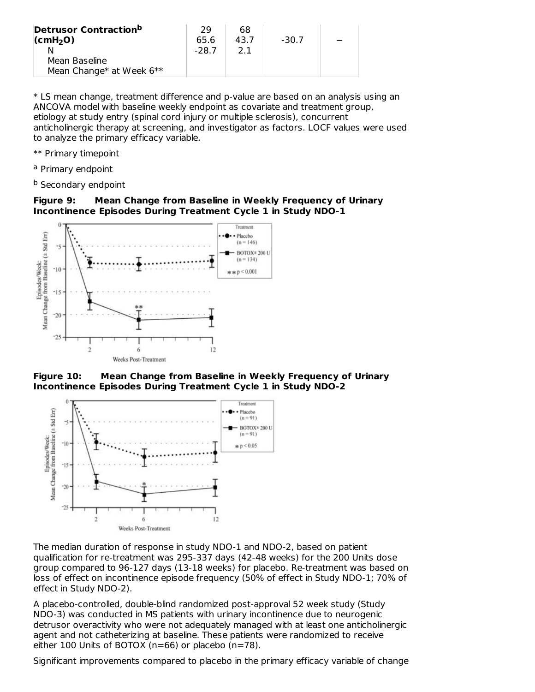| <b>Detrusor Contractionb</b><br>$\vert$ (cmH <sub>2</sub> O)<br>Mean Baseline | 29<br>65.6<br>$-28.7$ | 68<br>43.7<br>21 | -30.7 |  |
|-------------------------------------------------------------------------------|-----------------------|------------------|-------|--|
| Mean Change* at Week 6**                                                      |                       |                  |       |  |

\* LS mean change, treatment difference and p-value are based on an analysis using an ANCOVA model with baseline weekly endpoint as covariate and treatment group, etiology at study entry (spinal cord injury or multiple sclerosis), concurrent anticholinergic therapy at screening, and investigator as factors. LOCF values were used to analyze the primary efficacy variable.

- \*\* Primary timepoint
- <sup>a</sup> Primary endpoint
- <sup>b</sup> Secondary endpoint

### **Figure 9: Mean Change from Baseline in Weekly Frequency of Urinary Incontinence Episodes During Treatment Cycle 1 in Study NDO-1**



**Figure 10: Mean Change from Baseline in Weekly Frequency of Urinary Incontinence Episodes During Treatment Cycle 1 in Study NDO-2**



The median duration of response in study NDO-1 and NDO-2, based on patient qualification for re-treatment was 295-337 days (42-48 weeks) for the 200 Units dose group compared to 96-127 days (13-18 weeks) for placebo. Re-treatment was based on loss of effect on incontinence episode frequency (50% of effect in Study NDO-1; 70% of effect in Study NDO-2).

A placebo-controlled, double-blind randomized post-approval 52 week study (Study NDO-3) was conducted in MS patients with urinary incontinence due to neurogenic detrusor overactivity who were not adequately managed with at least one anticholinergic agent and not catheterizing at baseline. These patients were randomized to receive either 100 Units of BOTOX (n=66) or placebo (n=78).

Significant improvements compared to placebo in the primary efficacy variable of change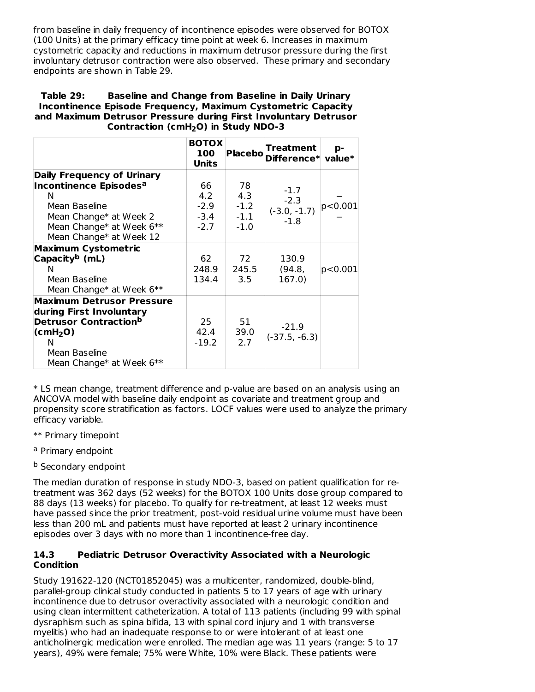from baseline in daily frequency of incontinence episodes were observed for BOTOX (100 Units) at the primary efficacy time point at week 6. Increases in maximum cystometric capacity and reductions in maximum detrusor pressure during the first involuntary detrusor contraction were also observed. These primary and secondary endpoints are shown in Table 29.

### **Table 29: Baseline and Change from Baseline in Daily Urinary Incontinence Episode Frequency, Maximum Cystometric Capacity and Maximum Detrusor Pressure during First Involuntary Detrusor Contraction (cmH O) in Study NDO-3 2**

|                                                                                                                                                                                 | <b>BOTOX</b><br>100<br>Units            | Placebol                                | Treatment<br>Difference* value*              | p-      |
|---------------------------------------------------------------------------------------------------------------------------------------------------------------------------------|-----------------------------------------|-----------------------------------------|----------------------------------------------|---------|
| <b>Daily Frequency of Urinary</b><br>Incontinence Episodes <sup>a</sup><br>N<br>Mean Baseline<br>Mean Change* at Week 2<br>Mean Change* at Week 6**<br>Mean Change* at Week 12  | 66<br>4.2<br>$-2.9$<br>$-3.4$<br>$-2.7$ | 78<br>4.3<br>$-1.2$<br>$-1.1$<br>$-1.0$ | $-1.7$<br>$-2.3$<br>$(-3.0, -1.7)$<br>$-1.8$ | p<0.001 |
| <b>Maximum Cystometric</b><br>Capacity <sup>b</sup> (mL)<br>N<br>Mean Baseline<br>Mean Change* at Week 6**                                                                      | 62<br>248.9<br>134.4                    | 72<br>245.5<br>3.5                      | 130.9<br>(94.8,<br>167.0)                    | p<0.001 |
| <b>Maximum Detrusor Pressure</b><br>during First Involuntary<br>Detrusor Contraction <sup>b</sup><br>$\text{(cmH}_2\text{O})$<br>N<br>Mean Baseline<br>Mean Change* at Week 6** | 25<br>42.4<br>$-19.2$                   | 51<br>39.0<br>2.7                       | $-21.9$<br>$(-37.5, -6.3)$                   |         |

\* LS mean change, treatment difference and p-value are based on an analysis using an ANCOVA model with baseline daily endpoint as covariate and treatment group and propensity score stratification as factors. LOCF values were used to analyze the primary efficacy variable.

- \*\* Primary timepoint
- <sup>a</sup> Primary endpoint
- <sup>b</sup> Secondary endpoint

The median duration of response in study NDO-3, based on patient qualification for retreatment was 362 days (52 weeks) for the BOTOX 100 Units dose group compared to 88 days (13 weeks) for placebo. To qualify for re-treatment, at least 12 weeks must have passed since the prior treatment, post-void residual urine volume must have been less than 200 mL and patients must have reported at least 2 urinary incontinence episodes over 3 days with no more than 1 incontinence-free day.

### **14.3 Pediatric Detrusor Overactivity Associated with a Neurologic Condition**

Study 191622-120 (NCT01852045) was a multicenter, randomized, double-blind, parallel-group clinical study conducted in patients 5 to 17 years of age with urinary incontinence due to detrusor overactivity associated with a neurologic condition and using clean intermittent catheterization. A total of 113 patients (including 99 with spinal dysraphism such as spina bifida, 13 with spinal cord injury and 1 with transverse myelitis) who had an inadequate response to or were intolerant of at least one anticholinergic medication were enrolled. The median age was 11 years (range: 5 to 17 years), 49% were female; 75% were White, 10% were Black. These patients were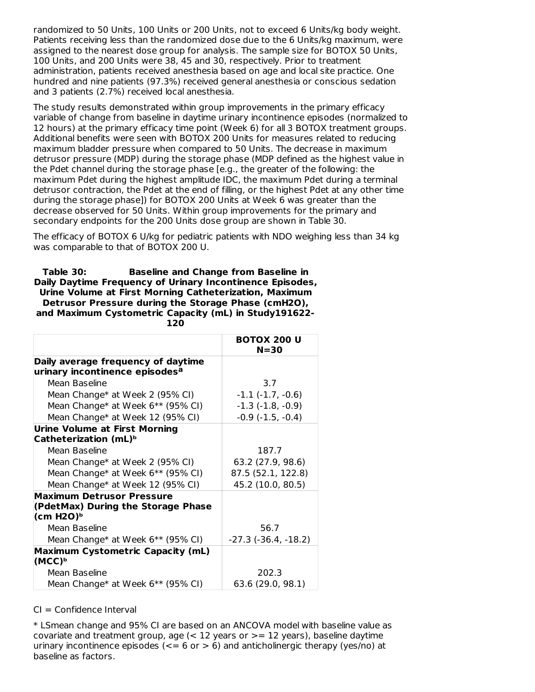randomized to 50 Units, 100 Units or 200 Units, not to exceed 6 Units/kg body weight. Patients receiving less than the randomized dose due to the 6 Units/kg maximum, were assigned to the nearest dose group for analysis. The sample size for BOTOX 50 Units, 100 Units, and 200 Units were 38, 45 and 30, respectively. Prior to treatment administration, patients received anesthesia based on age and local site practice. One hundred and nine patients (97.3%) received general anesthesia or conscious sedation and 3 patients (2.7%) received local anesthesia.

The study results demonstrated within group improvements in the primary efficacy variable of change from baseline in daytime urinary incontinence episodes (normalized to 12 hours) at the primary efficacy time point (Week 6) for all 3 BOTOX treatment groups. Additional benefits were seen with BOTOX 200 Units for measures related to reducing maximum bladder pressure when compared to 50 Units. The decrease in maximum detrusor pressure (MDP) during the storage phase (MDP defined as the highest value in the Pdet channel during the storage phase [e.g., the greater of the following: the maximum Pdet during the highest amplitude IDC, the maximum Pdet during a terminal detrusor contraction, the Pdet at the end of filling, or the highest Pdet at any other time during the storage phase]) for BOTOX 200 Units at Week 6 was greater than the decrease observed for 50 Units. Within group improvements for the primary and secondary endpoints for the 200 Units dose group are shown in Table 30.

The efficacy of BOTOX 6 U/kg for pediatric patients with NDO weighing less than 34 kg was comparable to that of BOTOX 200 U.

**Table 30: Baseline and Change from Baseline in Daily Daytime Frequency of Urinary Incontinence Episodes, Urine Volume at First Morning Catheterization, Maximum Detrusor Pressure during the Storage Phase (cmH2O), and Maximum Cystometric Capacity (mL) in Study191622- 120**

|                                            | <b>BOTOX 200 U</b>            |
|--------------------------------------------|-------------------------------|
|                                            | $N = 30$                      |
| Daily average frequency of daytime         |                               |
| urinary incontinence episodes <sup>a</sup> |                               |
| Mean Baseline                              | 3.7                           |
| Mean Change* at Week 2 (95% CI)            | $-1.1$ $(-1.7, -0.6)$         |
| Mean Change* at Week 6** (95% CI)          | $-1.3$ $(-1.8, -0.9)$         |
| Mean Change* at Week 12 (95% CI)           | $-0.9$ $(-1.5, -0.4)$         |
| <b>Urine Volume at First Morning</b>       |                               |
| Catheterization (mL) <sup>b</sup>          |                               |
| Mean Baseline                              | 187.7                         |
| Mean Change* at Week 2 (95% CI)            | 63.2 (27.9, 98.6)             |
| Mean Change* at Week 6** (95% CI)          | 87.5 (52.1, 122.8)            |
| Mean Change* at Week 12 (95% CI)           | 45.2 (10.0, 80.5)             |
| <b>Maximum Detrusor Pressure</b>           |                               |
| (PdetMax) During the Storage Phase         |                               |
| (cm H2O) <sup>b</sup>                      |                               |
| Mean Baseline                              | 56.7                          |
| Mean Change* at Week 6** (95% CI)          | $-27.3$ ( $-36.4$ , $-18.2$ ) |
| <b>Maximum Cystometric Capacity (mL)</b>   |                               |
| (MCC) <sup>b</sup>                         |                               |
| Mean Baseline                              | 202.3                         |
| Mean Change* at Week 6** (95% CI)          | 63.6 (29.0, 98.1)             |

#### CI = Confidence Interval

\* LSmean change and 95% CI are based on an ANCOVA model with baseline value as covariate and treatment group, age  $(< 12$  years or  $>= 12$  years), baseline daytime urinary incontinence episodes  $\left(\leq 6 \text{ or } > 6\right)$  and anticholinergic therapy (yes/no) at baseline as factors.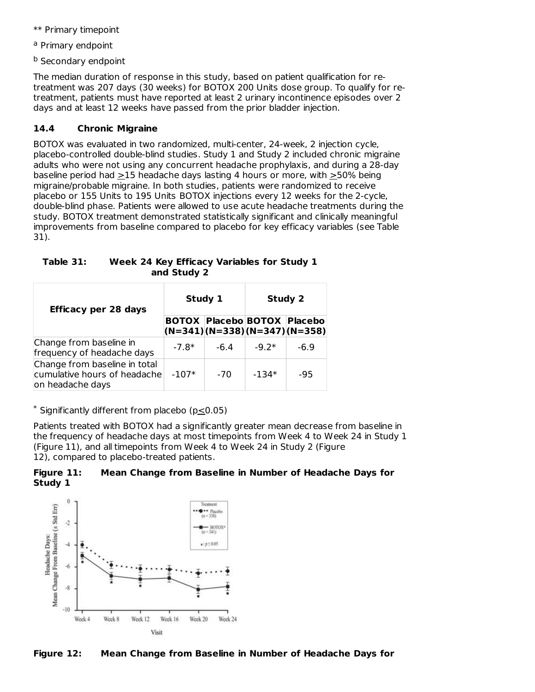- \*\* Primary timepoint
- <sup>a</sup> Primary endpoint
- <sup>b</sup> Secondary endpoint

The median duration of response in this study, based on patient qualification for retreatment was 207 days (30 weeks) for BOTOX 200 Units dose group. To qualify for retreatment, patients must have reported at least 2 urinary incontinence episodes over 2 days and at least 12 weeks have passed from the prior bladder injection.

# **14.4 Chronic Migraine**

BOTOX was evaluated in two randomized, multi-center, 24-week, 2 injection cycle, placebo-controlled double-blind studies. Study 1 and Study 2 included chronic migraine adults who were not using any concurrent headache prophylaxis, and during a 28-day baseline period had >15 headache days lasting 4 hours or more, with >50% being migraine/probable migraine. In both studies, patients were randomized to receive placebo or 155 Units to 195 Units BOTOX injections every 12 weeks for the 2-cycle, double-blind phase. Patients were allowed to use acute headache treatments during the study. BOTOX treatment demonstrated statistically significant and clinically meaningful improvements from baseline compared to placebo for key efficacy variables (see Table 31).

| Table 31: | Week 24 Key Efficacy Variables for Study 1 |
|-----------|--------------------------------------------|
|           | and Study 2                                |

| <b>Efficacy per 28 days</b>                                                       | Study 1 |                                                                      | <b>Study 2</b> |        |
|-----------------------------------------------------------------------------------|---------|----------------------------------------------------------------------|----------------|--------|
|                                                                                   |         | <b>BOTOX Placebo BOTOX Placebo</b><br>$(N=341)(N=338)(N=347)(N=358)$ |                |        |
| Change from baseline in<br>frequency of headache days                             | $-7.8*$ | $-6.4$                                                               | $-9.2*$        | $-6.9$ |
| Change from baseline in total<br>cumulative hours of headache<br>on headache days | $-107*$ | $-70$                                                                | $-134*$        | -95    |

 $*$  Significantly different from placebo ( $p \leq 0.05$ )

Patients treated with BOTOX had a significantly greater mean decrease from baseline in the frequency of headache days at most timepoints from Week 4 to Week 24 in Study 1 (Figure 11), and all timepoints from Week 4 to Week 24 in Study 2 (Figure 12), compared to placebo-treated patients.





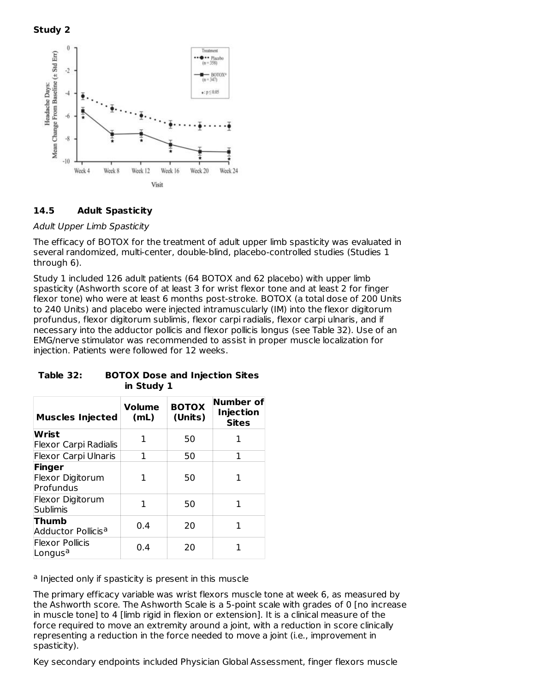



### **14.5 Adult Spasticity**

### Adult Upper Limb Spasticity

The efficacy of BOTOX for the treatment of adult upper limb spasticity was evaluated in several randomized, multi-center, double-blind, placebo-controlled studies (Studies 1 through 6).

Study 1 included 126 adult patients (64 BOTOX and 62 placebo) with upper limb spasticity (Ashworth score of at least 3 for wrist flexor tone and at least 2 for finger flexor tone) who were at least 6 months post-stroke. BOTOX (a total dose of 200 Units to 240 Units) and placebo were injected intramuscularly (IM) into the flexor digitorum profundus, flexor digitorum sublimis, flexor carpi radialis, flexor carpi ulnaris, and if necessary into the adductor pollicis and flexor pollicis longus (see Table 32). Use of an EMG/nerve stimulator was recommended to assist in proper muscle localization for injection. Patients were followed for 12 weeks.

| <b>Muscles Injected</b>                       | <b>Volume</b><br>(mL) | <b>BOTOX</b><br>(Units) | <b>Number of</b><br><b>Injection</b><br><b>Sites</b> |
|-----------------------------------------------|-----------------------|-------------------------|------------------------------------------------------|
| Wrist<br>Flexor Carpi Radialis                | 1                     | 50                      | 1                                                    |
| <b>Flexor Carpi Ulnaris</b>                   | 1                     | 50                      | 1                                                    |
| Finger<br>Flexor Digitorum<br>Profundus       |                       | 50                      | 1                                                    |
| Flexor Digitorum<br>Sublimis                  | 1                     | 50                      | 1                                                    |
| <b>Thumb</b><br>Adductor Pollicisª            | 0.4                   | 20                      | 1                                                    |
| <b>Flexor Pollicis</b><br>Longus <sup>a</sup> | 0.4                   | 20                      |                                                      |

### **Table 32: BOTOX Dose and Injection Sites in Study 1**

<sup>a</sup> Injected only if spasticity is present in this muscle

The primary efficacy variable was wrist flexors muscle tone at week 6, as measured by the Ashworth score. The Ashworth Scale is a 5-point scale with grades of 0 [no increase in muscle tone] to 4 [limb rigid in flexion or extension]. It is a clinical measure of the force required to move an extremity around a joint, with a reduction in score clinically representing a reduction in the force needed to move a joint (i.e., improvement in spasticity).

Key secondary endpoints included Physician Global Assessment, finger flexors muscle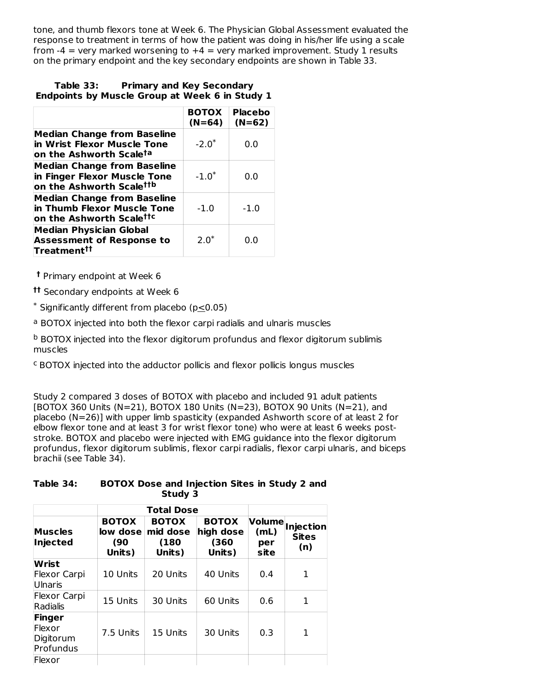tone, and thumb flexors tone at Week 6. The Physician Global Assessment evaluated the response to treatment in terms of how the patient was doing in his/her life using a scale from  $-4$  = very marked worsening to  $+4$  = very marked improvement. Study 1 results on the primary endpoint and the key secondary endpoints are shown in Table 33.

#### **Table 33: Primary and Key Secondary Endpoints by Muscle Group at Week 6 in Study 1**

|                                                                                                            | <b>BOTOX</b><br>$(N=64)$ | <b>Placebo</b><br>$(N=62)$ |
|------------------------------------------------------------------------------------------------------------|--------------------------|----------------------------|
| <b>Median Change from Baseline</b><br>in Wrist Flexor Muscle Tone<br>on the Ashworth Scale <sup>ta</sup>   | $-2.0^*$                 | 0.0                        |
| <b>Median Change from Baseline</b><br>in Finger Flexor Muscle Tone<br>on the Ashworth Scale <sup>ttb</sup> | $-1.0^*$                 | 0.0                        |
| <b>Median Change from Baseline</b><br>in Thumb Flexor Muscle Tone<br>on the Ashworth Scale <sup>ttc</sup>  | $-1.0$                   | $-1.0$                     |
| <b>Median Physician Global</b><br><b>Assessment of Response to</b><br>Treatment <sup>††</sup>              | $20*$                    | 0.0                        |

**†** Primary endpoint at Week 6

Secondary endpoints at Week 6 **††**

 $*$  Significantly different from placebo (p $\leq$ 0.05)

<sup>a</sup> BOTOX injected into both the flexor carpi radialis and ulnaris muscles

 $^{\rm b}$  BOTOX injected into the flexor digitorum profundus and flexor digitorum sublimis muscles

 $c$  BOTOX injected into the adductor pollicis and flexor pollicis longus muscles

Study 2 compared 3 doses of BOTOX with placebo and included 91 adult patients [BOTOX 360 Units (N=21), BOTOX 180 Units (N=23), BOTOX 90 Units (N=21), and placebo (N=26)] with upper limb spasticity (expanded Ashworth score of at least 2 for elbow flexor tone and at least 3 for wrist flexor tone) who were at least 6 weeks poststroke. BOTOX and placebo were injected with EMG guidance into the flexor digitorum profundus, flexor digitorum sublimis, flexor carpi radialis, flexor carpi ulnaris, and biceps brachii (see Table 34).

**Table 34: BOTOX Dose and Injection Sites in Study 2 and Study 3**

|                                            |                                           | <b>Total Dose</b>                          |                                              |                     |                                                |
|--------------------------------------------|-------------------------------------------|--------------------------------------------|----------------------------------------------|---------------------|------------------------------------------------|
| <b>Muscles</b><br>Injected                 | <b>BOTOX</b><br>low dose<br>(90<br>Units) | <b>BOTOX</b><br>mid dose<br>(180<br>Units) | <b>BOTOX</b><br>high dose<br>(360)<br>Units) | (mL)<br>per<br>site | <b>Volume</b> Injection<br><b>Sites</b><br>(n) |
| Wrist<br>Flexor Carpi<br><b>Ulnaris</b>    | 10 Units                                  | 20 Units                                   | 40 Units                                     | 0.4                 | 1                                              |
| Flexor Carpi<br>Radialis                   | 15 Units                                  | 30 Units                                   | 60 Units                                     | 0.6                 | 1                                              |
| Finger<br>Flexor<br>Digitorum<br>Profundus | 7.5 Units                                 | 15 Units                                   | 30 Units                                     | 0.3                 | 1                                              |
| Flexor                                     |                                           |                                            |                                              |                     |                                                |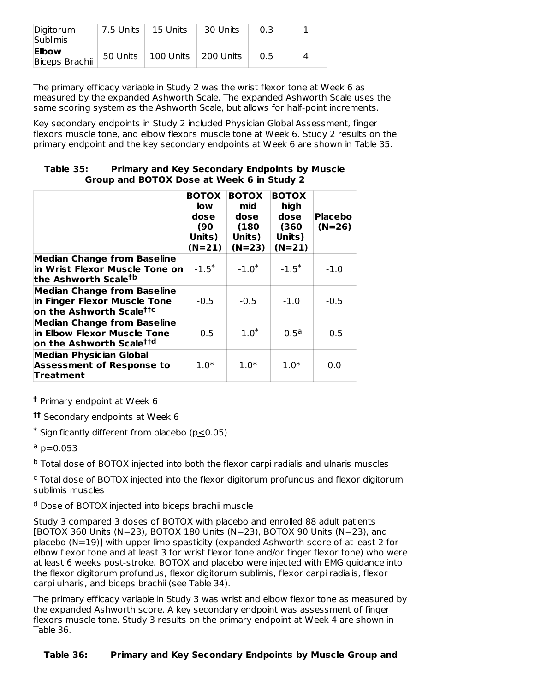| Digitorum<br><b>Sublimis</b> | 7.5 Units   15 Units |                                  | 30 Units |     |  |
|------------------------------|----------------------|----------------------------------|----------|-----|--|
| Elbow<br>Biceps Brachii      |                      | 50 Units   100 Units   200 Units |          | ი 5 |  |

The primary efficacy variable in Study 2 was the wrist flexor tone at Week 6 as measured by the expanded Ashworth Scale. The expanded Ashworth Scale uses the same scoring system as the Ashworth Scale, but allows for half-point increments.

Key secondary endpoints in Study 2 included Physician Global Assessment, finger flexors muscle tone, and elbow flexors muscle tone at Week 6. Study 2 results on the primary endpoint and the key secondary endpoints at Week 6 are shown in Table 35.

| Table 35: | <b>Primary and Key Secondary Endpoints by Muscle</b> |
|-----------|------------------------------------------------------|
|           | Group and BOTOX Dose at Week 6 in Study 2            |

|                                                                                                            | <b>BOTOX</b><br>low<br>dose<br>(90)<br>Units)<br>$(N=21)$ | <b>BOTOX</b><br>mid<br>dose<br>(180<br>Units)<br>$(N=23)$ | <b>BOTOX</b><br>high<br>dose<br>(360)<br>Units)<br>$(N=21)$ | <b>Placebo</b><br>$(N=26)$ |
|------------------------------------------------------------------------------------------------------------|-----------------------------------------------------------|-----------------------------------------------------------|-------------------------------------------------------------|----------------------------|
| <b>Median Change from Baseline</b><br>in Wrist Flexor Muscle Tone on<br>the Ashworth Scale <sup>tb</sup>   | $-1.5^*$                                                  | $-1.0^*$                                                  | $-1.5^*$                                                    | $-1.0$                     |
| <b>Median Change from Baseline</b><br>in Finger Flexor Muscle Tone<br>on the Ashworth Scale <sup>ttc</sup> | $-0.5$                                                    | $-0.5$                                                    | $-1.0$                                                      | $-0.5$                     |
| <b>Median Change from Baseline</b><br>in Elbow Flexor Muscle Tone<br>on the Ashworth Scale <sup>ttd</sup>  | $-0.5$                                                    | $-1.0^*$                                                  | $-0.5^{\circ}$                                              | $-0.5$                     |
| <b>Median Physician Global</b><br><b>Assessment of Response to</b><br>Treatment                            | $1.0*$                                                    | $1.0*$                                                    | $1.0*$                                                      | 0.0                        |

Primary endpoint at Week 6 **†**

Secondary endpoints at Week 6 **††**

 $*$  Significantly different from placebo ( $p \leq 0.05$ )

<sup>a</sup> p=0.053

<sup>b</sup> Total dose of BOTOX injected into both the flexor carpi radialis and ulnaris muscles

<sup>c</sup> Total dose of BOTOX injected into the flexor digitorum profundus and flexor digitorum sublimis muscles

<sup>d</sup> Dose of BOTOX injected into biceps brachii muscle

Study 3 compared 3 doses of BOTOX with placebo and enrolled 88 adult patients [BOTOX 360 Units (N=23), BOTOX 180 Units (N=23), BOTOX 90 Units (N=23), and placebo (N=19)] with upper limb spasticity (expanded Ashworth score of at least 2 for elbow flexor tone and at least 3 for wrist flexor tone and/or finger flexor tone) who were at least 6 weeks post-stroke. BOTOX and placebo were injected with EMG guidance into the flexor digitorum profundus, flexor digitorum sublimis, flexor carpi radialis, flexor carpi ulnaris, and biceps brachii (see Table 34).

The primary efficacy variable in Study 3 was wrist and elbow flexor tone as measured by the expanded Ashworth score. A key secondary endpoint was assessment of finger flexors muscle tone. Study 3 results on the primary endpoint at Week 4 are shown in Table 36.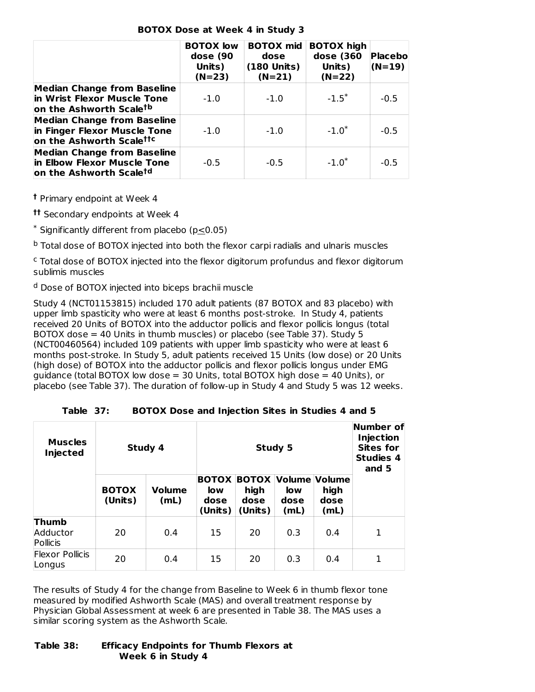| <b>BOTOX Dose at Week 4 in Study 3</b> |  |  |  |  |
|----------------------------------------|--|--|--|--|
|----------------------------------------|--|--|--|--|

|                                                                                                          | <b>BOTOX</b> low<br>dose (90<br>Units)<br>$(N=23)$ | <b>BOTOX mid</b><br>dose<br>(180 Units)<br>$(N=21)$ | <b>BOTOX high</b><br>dose (360<br>Units)<br>$(N=22)$ | Placebo<br>$(N=19)$ |
|----------------------------------------------------------------------------------------------------------|----------------------------------------------------|-----------------------------------------------------|------------------------------------------------------|---------------------|
| <b>Median Change from Baseline</b><br>in Wrist Flexor Muscle Tone<br>on the Ashworth Scale <sup>tb</sup> | $-1.0$                                             | $-1.0$                                              | $-1.5^*$                                             | $-0.5$              |
| <b>Median Change from Baseline</b><br>in Finger Flexor Muscle Tone<br>on the Ashworth Scalettc           | $-1.0$                                             | $-1.0$                                              | $-1.0^*$                                             | $-0.5$              |
| <b>Median Change from Baseline</b><br>in Elbow Flexor Muscle Tone<br>on the Ashworth Scale <sup>td</sup> | $-0.5$                                             | $-0.5$                                              | $-1.0^*$                                             | $-0.5$              |

Primary endpoint at Week 4 **†**

Secondary endpoints at Week 4 **††**

 $*$  Significantly different from placebo ( $p \leq 0.05$ )

<sup>b</sup> Total dose of BOTOX injected into both the flexor carpi radialis and ulnaris muscles

<sup>c</sup> Total dose of BOTOX injected into the flexor digitorum profundus and flexor digitorum sublimis muscles

<sup>d</sup> Dose of BOTOX injected into biceps brachii muscle

Study 4 (NCT01153815) included 170 adult patients (87 BOTOX and 83 placebo) with upper limb spasticity who were at least 6 months post-stroke. In Study 4, patients received 20 Units of BOTOX into the adductor pollicis and flexor pollicis longus (total BOTOX dose = 40 Units in thumb muscles) or placebo (see Table 37). Study 5 (NCT00460564) included 109 patients with upper limb spasticity who were at least 6 months post-stroke. In Study 5, adult patients received 15 Units (low dose) or 20 Units (high dose) of BOTOX into the adductor pollicis and flexor pollicis longus under EMG guidance (total BOTOX low dose = 30 Units, total BOTOX high dose = 40 Units), or placebo (see Table 37). The duration of follow-up in Study 4 and Study 5 was 12 weeks.

| <b>Muscles</b><br><b>Injected</b> | Study 4                 |                       | Study 5                                       |                                         |                                             | <b>Number of</b><br>Injection<br><b>Sites for</b><br><b>Studies 4</b><br>and 5 |   |
|-----------------------------------|-------------------------|-----------------------|-----------------------------------------------|-----------------------------------------|---------------------------------------------|--------------------------------------------------------------------------------|---|
|                                   | <b>BOTOX</b><br>(Units) | <b>Volume</b><br>(mL) | <b>BOTOX</b><br><b>low</b><br>dose<br>(Units) | <b>BOTOX</b><br>high<br>dose<br>(Units) | Volume Volume<br><b>low</b><br>dose<br>(mL) | high<br>dose<br>(mL)                                                           |   |
| Thumb<br>Adductor<br>Pollicis     | 20                      | 0.4                   | 15                                            | 20                                      | 0.3                                         | 0.4                                                                            | 1 |
| <b>Flexor Pollicis</b><br>Longus  | 20                      | 0.4                   | 15                                            | 20                                      | 0.3                                         | 0.4                                                                            | 1 |

**Table 37: BOTOX Dose and Injection Sites in Studies 4 and 5**

The results of Study 4 for the change from Baseline to Week 6 in thumb flexor tone measured by modified Ashworth Scale (MAS) and overall treatment response by Physician Global Assessment at week 6 are presented in Table 38. The MAS uses a similar scoring system as the Ashworth Scale.

#### **Table 38: Efficacy Endpoints for Thumb Flexors at Week 6 in Study 4**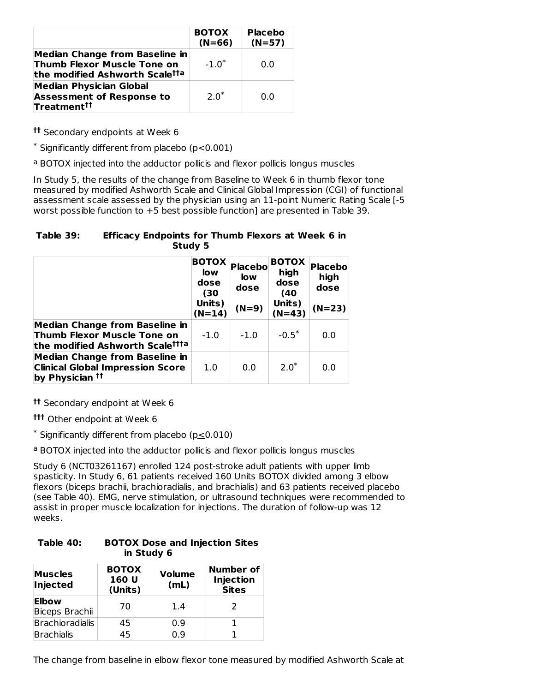|                                                                                                        | <b>BOTOX</b><br>$(N=66)$ | <b>Placebo</b><br>$(N=57)$ |
|--------------------------------------------------------------------------------------------------------|--------------------------|----------------------------|
| Median Change from Baseline in<br><b>Thumb Flexor Muscle Tone on</b><br>the modified Ashworth Scaletta | $-1.0^*$                 | 0.O                        |
| <b>Median Physician Global</b><br><b>Assessment of Response to</b><br>Treatment <sup>††</sup>          | $2.0^*$                  | 0.O                        |

**tt** Secondary endpoints at Week 6

 $*$  Significantly different from placebo ( $p \leq 0.001$ )

<sup>a</sup> BOTOX injected into the adductor pollicis and flexor pollicis longus muscles

In Study 5, the results of the change from Baseline to Week 6 in thumb flexor tone measured by modified Ashworth Scale and Clinical Global Impression (CGI) of functional assessment scale assessed by the physician using an 11-point Numeric Rating Scale [-5 worst possible function to +5 best possible function] are presented in Table 39.

**Table 39: Efficacy Endpoints for Thumb Flexors at Week 6 in Study 5**

|                                                                                                                     | <b>BOTOX</b><br>low<br>dose<br>(30<br>Units)<br>$(N=14)$ | Placebo<br><b>low</b><br>dose<br>$(N=9)$ | <b>BOTOX</b><br>high<br>dose<br>(40)<br>Units)<br>$(N=43)$ | <b>Placebo</b><br>high<br>dose<br>$(N=23)$ |
|---------------------------------------------------------------------------------------------------------------------|----------------------------------------------------------|------------------------------------------|------------------------------------------------------------|--------------------------------------------|
| <b>Median Change from Baseline in</b><br>Thumb Flexor Muscle Tone on<br>the modified Ashworth Scale <sup>ttta</sup> | $-1.0$                                                   | $-1.0$                                   | $-0.5^*$                                                   | 0.0                                        |
| <b>Median Change from Baseline in</b><br><b>Clinical Global Impression Score</b><br>by Physician <sup>††</sup>      | 1.0                                                      | 0.0                                      | $2.0*$                                                     | 0.0                                        |

Secondary endpoint at Week 6 **††**

Other endpoint at Week 6 **†††**

 $*$  Significantly different from placebo ( $p \leq 0.010$ )

<sup>a</sup> BOTOX injected into the adductor pollicis and flexor pollicis longus muscles

Study 6 (NCT03261167) enrolled 124 post-stroke adult patients with upper limb spasticity. In Study 6, 61 patients received 160 Units BOTOX divided among 3 elbow flexors (biceps brachii, brachioradialis, and brachialis) and 63 patients received placebo (see Table 40). EMG, nerve stimulation, or ultrasound techniques were recommended to assist in proper muscle localization for injections. The duration of follow-up was 12 weeks.

| Table 40: | <b>BOTOX Dose and Injection Sites</b> |
|-----------|---------------------------------------|
|           | in Study 6                            |

| <b>Muscles</b><br>Injected | <b>BOTOX</b><br>160 U<br>(Units) | <b>Volume</b><br>(mL) | Number of<br>Injection<br><b>Sites</b> |
|----------------------------|----------------------------------|-----------------------|----------------------------------------|
| Elbow<br>Biceps Brachii    | 70                               | 1.4                   |                                        |
| Brachioradialis            | 45                               | 0.9                   |                                        |
| <b>Brachialis</b>          | 45                               | ი ඉ                   |                                        |

The change from baseline in elbow flexor tone measured by modified Ashworth Scale at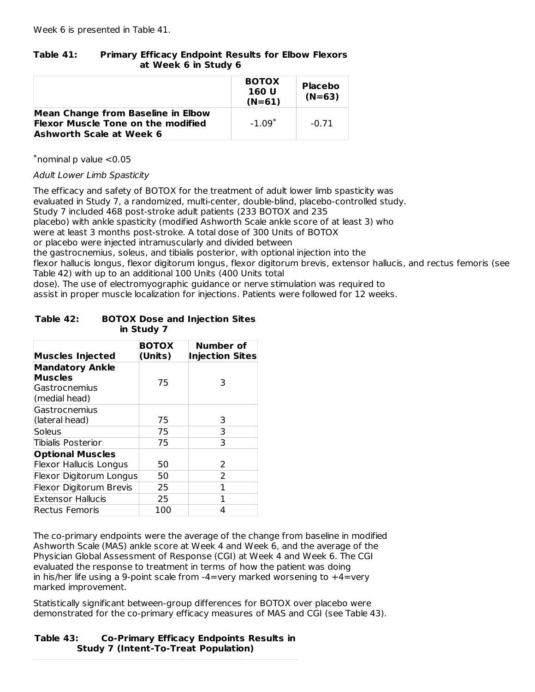# **Table 41: Primary Efficacy Endpoint Results for Elbow Flexors at Week 6 in Study 6**

|                                                                                        | <b>BOTOX</b><br>160 U<br>$(N=61)$ | <b>Placebo</b><br>$(N=63)$ |
|----------------------------------------------------------------------------------------|-----------------------------------|----------------------------|
| <b>Mean Change from Baseline in Elbow</b><br><b>Flexor Muscle Tone on the modified</b> | $-1.09*$                          | $-0.71$                    |
| <b>Ashworth Scale at Week 6</b>                                                        |                                   |                            |

 $*$ nominal p value  $<$ 0.05

Adult Lower Limb Spasticity

The efficacy and safety of BOTOX for the treatment of adult lower limb spasticity was evaluated in Study 7, a randomized, multi-center, double-blind, placebo-controlled study. Study 7 included 468 post-stroke adult patients (233 BOTOX and 235 placebo) with ankle spasticity (modified Ashworth Scale ankle score of at least 3) who were at least 3 months post-stroke. A total dose of 300 Units of BOTOX or placebo were injected intramuscularly and divided between the gastrocnemius, soleus, and tibialis posterior, with optional injection into the flexor hallucis longus, flexor digitorum longus, flexor digitorum brevis, extensor hallucis, and rectus femoris (see Table 42) with up to an additional 100 Units (400 Units total dose). The use of electromyographic guidance or nerve stimulation was required to assist in proper muscle localization for injections. Patients were followed for 12 weeks.

### **Table 42: BOTOX Dose and Injection Sites in Study 7**

| <b>Muscles Injected</b>                                                    | <b>BOTOX</b><br>(Units) | Number of<br><b>Injection Sites</b> |
|----------------------------------------------------------------------------|-------------------------|-------------------------------------|
| <b>Mandatory Ankle</b><br><b>Muscles</b><br>Gastrocnemius<br>(medial head) | 75                      | 3                                   |
| Gastrocnemius<br>(lateral head)                                            | 75                      | 3                                   |
| Soleus                                                                     | 75                      | 3                                   |
| <b>Tibialis Posterior</b>                                                  | 75                      | 3                                   |
| <b>Optional Muscles</b>                                                    |                         |                                     |
| <b>Flexor Hallucis Longus</b>                                              | 50                      | 2                                   |
| Flexor Digitorum Longus                                                    | 50                      | 2                                   |
| Flexor Digitorum Brevis                                                    | 25                      | 1                                   |
| <b>Extensor Hallucis</b>                                                   | 25                      | 1                                   |
| <b>Rectus Femoris</b>                                                      | 100                     | 4                                   |

The co-primary endpoints were the average of the change from baseline in modified Ashworth Scale (MAS) ankle score at Week 4 and Week 6, and the average of the Physician Global Assessment of Response (CGI) at Week 4 and Week 6. The CGI evaluated the response to treatment in terms of how the patient was doing in his/her life using a 9-point scale from -4=very marked worsening to +4=very marked improvement.

Statistically significant between-group differences for BOTOX over placebo were demonstrated for the co-primary efficacy measures of MAS and CGI (see Table 43).

### **Table 43: Co-Primary Efficacy Endpoints Results in Study 7 (Intent-To-Treat Population)**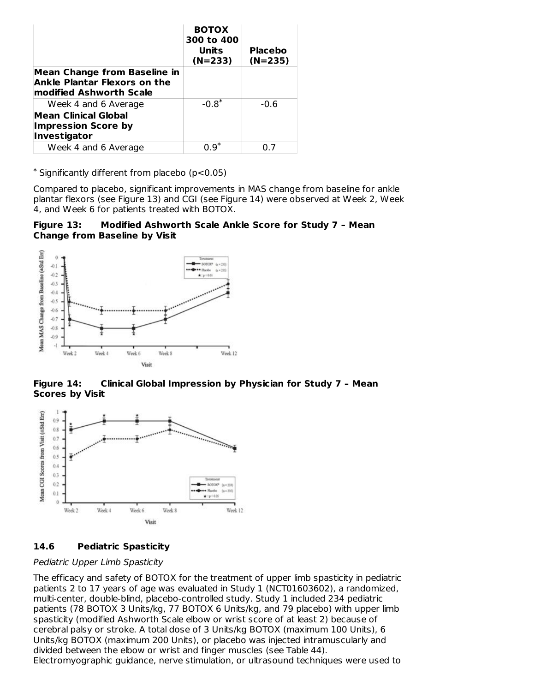|                                                                                                       | <b>BOTOX</b><br>300 to 400<br>Units<br>$(N=233)$ | Placebo<br>$(N=235)$ |
|-------------------------------------------------------------------------------------------------------|--------------------------------------------------|----------------------|
| <b>Mean Change from Baseline in</b><br><b>Ankle Plantar Flexors on the</b><br>modified Ashworth Scale |                                                  |                      |
| Week 4 and 6 Average                                                                                  | $-0.8^*$                                         | $-0.6$               |
| Mean Clinical Global<br><b>Impression Score by</b><br>Investigator                                    |                                                  |                      |
| Week 4 and 6 Average                                                                                  | በ ዓ*                                             | ሰ 7                  |

 $*$  Significantly different from placebo (p<0.05)

Compared to placebo, significant improvements in MAS change from baseline for ankle plantar flexors (see Figure 13) and CGI (see Figure 14) were observed at Week 2, Week 4, and Week 6 for patients treated with BOTOX.

**Figure 13: Modified Ashworth Scale Ankle Score for Study 7 – Mean Change from Baseline by Visit**



**Figure 14: Clinical Global Impression by Physician for Study 7 – Mean Scores by Visit**



### **14.6 Pediatric Spasticity**

### Pediatric Upper Limb Spasticity

The efficacy and safety of BOTOX for the treatment of upper limb spasticity in pediatric patients 2 to 17 years of age was evaluated in Study 1 (NCT01603602), a randomized, multi-center, double-blind, placebo-controlled study. Study 1 included 234 pediatric patients (78 BOTOX 3 Units/kg, 77 BOTOX 6 Units/kg, and 79 placebo) with upper limb spasticity (modified Ashworth Scale elbow or wrist score of at least 2) because of cerebral palsy or stroke. A total dose of 3 Units/kg BOTOX (maximum 100 Units), 6 Units/kg BOTOX (maximum 200 Units), or placebo was injected intramuscularly and divided between the elbow or wrist and finger muscles (see Table 44). Electromyographic guidance, nerve stimulation, or ultrasound techniques were used to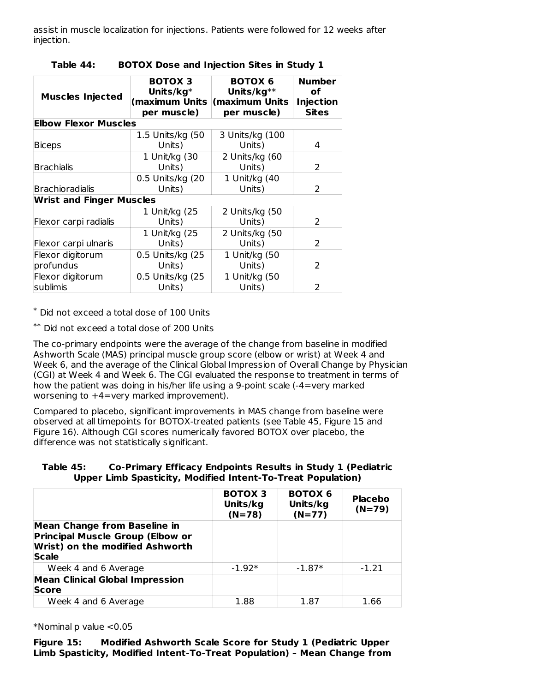assist in muscle localization for injections. Patients were followed for 12 weeks after injection.

| <b>Muscles Injected</b>         | <b>BOTOX 3</b><br>Units/ $kg^*$<br>(maximum Units<br>per muscle) | <b>BOTOX 6</b><br>Units/ $kg**$<br>(maximum Units<br>per muscle) | <b>Number</b><br>оf<br><b>Injection</b><br><b>Sites</b> |
|---------------------------------|------------------------------------------------------------------|------------------------------------------------------------------|---------------------------------------------------------|
| <b>Elbow Flexor Muscles</b>     |                                                                  |                                                                  |                                                         |
| <b>Biceps</b>                   | 1.5 Units/kg (50<br>Units)                                       | 3 Units/kg (100<br>Units)                                        | 4                                                       |
| <b>Brachialis</b>               | 1 Unit/kg (30<br>Units)                                          | 2 Units/kg (60<br>Units)                                         | 2                                                       |
| <b>Brachioradialis</b>          | 0.5 Units/kg (20<br>Units)                                       | 1 Unit/kg (40<br>Units)                                          | $\mathcal{P}$                                           |
| <b>Wrist and Finger Muscles</b> |                                                                  |                                                                  |                                                         |
| Flexor carpi radialis           | 1 Unit/kg (25<br>Units)                                          | 2 Units/kg (50<br>Units)                                         | 2                                                       |
| Flexor carpi ulnaris            | 1 Unit/kg (25<br>Units)                                          | 2 Units/kg (50<br>Units)                                         | 2                                                       |
| Flexor digitorum<br>profundus   | 0.5 Units/kg (25<br>Units)                                       | 1 Unit/kg (50<br>Units)                                          | $\mathcal{P}$                                           |
| Flexor digitorum<br>sublimis    | 0.5 Units/kg (25<br>Units)                                       | 1 Unit/kg (50<br>Units)                                          | $\mathcal{P}$                                           |

|  | Table 44: |  | <b>BOTOX Dose and Injection Sites in Study 1</b> |  |  |  |
|--|-----------|--|--------------------------------------------------|--|--|--|
|--|-----------|--|--------------------------------------------------|--|--|--|

 $*$  Did not exceed a total dose of 100 Units

Did not exceed a total dose of 200 Units \*\*

The co-primary endpoints were the average of the change from baseline in modified Ashworth Scale (MAS) principal muscle group score (elbow or wrist) at Week 4 and Week 6, and the average of the Clinical Global Impression of Overall Change by Physician (CGI) at Week 4 and Week 6. The CGI evaluated the response to treatment in terms of how the patient was doing in his/her life using a 9-point scale (-4=very marked worsening to +4=very marked improvement).

Compared to placebo, significant improvements in MAS change from baseline were observed at all timepoints for BOTOX-treated patients (see Table 45, Figure 15 and Figure 16). Although CGI scores numerically favored BOTOX over placebo, the difference was not statistically significant.

| Table 45: | Co-Primary Efficacy Endpoints Results in Study 1 (Pediatric |
|-----------|-------------------------------------------------------------|
|           | Upper Limb Spasticity, Modified Intent-To-Treat Population) |

|                                                                                                                                   | <b>BOTOX 3</b><br>Units/kg<br>$(N=78)$ | <b>BOTOX 6</b><br>Units/kg<br>$(N=77)$ | <b>Placebo</b><br>$(N=79)$ |
|-----------------------------------------------------------------------------------------------------------------------------------|----------------------------------------|----------------------------------------|----------------------------|
| <b>Mean Change from Baseline in</b><br><b>Principal Muscle Group (Elbow or</b><br>Wrist) on the modified Ashworth<br><b>Scale</b> |                                        |                                        |                            |
| Week 4 and 6 Average                                                                                                              | $-1.92*$                               | $-1.87*$                               | $-1.21$                    |
| <b>Mean Clinical Global Impression</b><br><b>Score</b>                                                                            |                                        |                                        |                            |
| Week 4 and 6 Average                                                                                                              | 1.88                                   | 1.87                                   | 1.66                       |

\*Nominal p value <0.05

**Figure 15: Modified Ashworth Scale Score for Study 1 (Pediatric Upper Limb Spasticity, Modified Intent-To-Treat Population) – Mean Change from**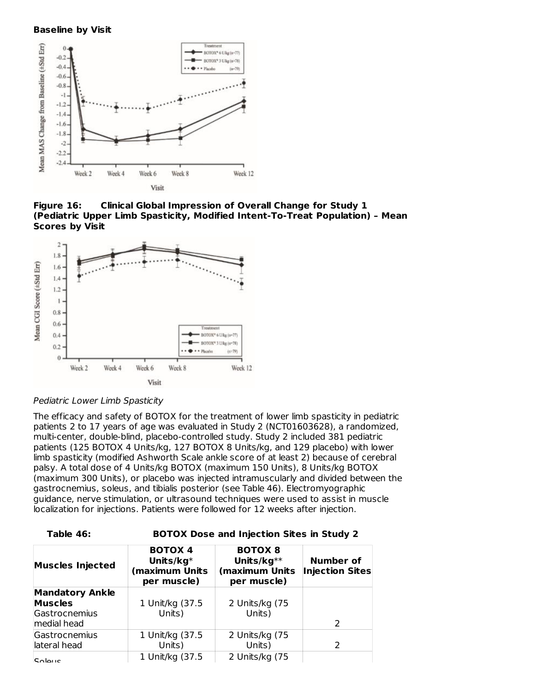#### **Baseline by Visit**



**Figure 16: Clinical Global Impression of Overall Change for Study 1 (Pediatric Upper Limb Spasticity, Modified Intent-To-Treat Population) – Mean Scores by Visit**





The efficacy and safety of BOTOX for the treatment of lower limb spasticity in pediatric patients 2 to 17 years of age was evaluated in Study 2 (NCT01603628), a randomized, multi-center, double-blind, placebo-controlled study. Study 2 included 381 pediatric patients (125 BOTOX 4 Units/kg, 127 BOTOX 8 Units/kg, and 129 placebo) with lower limb spasticity (modified Ashworth Scale ankle score of at least 2) because of cerebral palsy. A total dose of 4 Units/kg BOTOX (maximum 150 Units), 8 Units/kg BOTOX (maximum 300 Units), or placebo was injected intramuscularly and divided between the gastrocnemius, soleus, and tibialis posterior (see Table 46). Electromyographic guidance, nerve stimulation, or ultrasound techniques were used to assist in muscle localization for injections. Patients were followed for 12 weeks after injection.

| <b>Muscles Injected</b> | <b>BOTOX 4</b><br>Units/ $kg^*$<br>(maximum Units<br>per muscle) | <b>BOTOX 8</b><br>Units/ $kg**$<br>(maximum Units<br>per muscle) | Number of<br><b>Injection Sites</b> |
|-------------------------|------------------------------------------------------------------|------------------------------------------------------------------|-------------------------------------|
| <b>Mandatory Ankle</b>  |                                                                  |                                                                  |                                     |
| <b>Muscles</b>          | 1 Unit/kg (37.5                                                  | 2 Units/kg (75                                                   |                                     |
| Gastrocnemius           | Units)                                                           | Units)                                                           |                                     |
| medial head             |                                                                  |                                                                  | $\mathcal{P}$                       |
| Gastrocnemius           | 1 Unit/kg (37.5                                                  | 2 Units/kg (75                                                   |                                     |
| lateral head            | Units)                                                           | Units)                                                           |                                     |
| $S$ $O$ $O$             | 1 Unit/kg (37.5)                                                 | 2 Units/kg (75                                                   |                                     |

**Table 46: BOTOX Dose and Injection Sites in Study 2**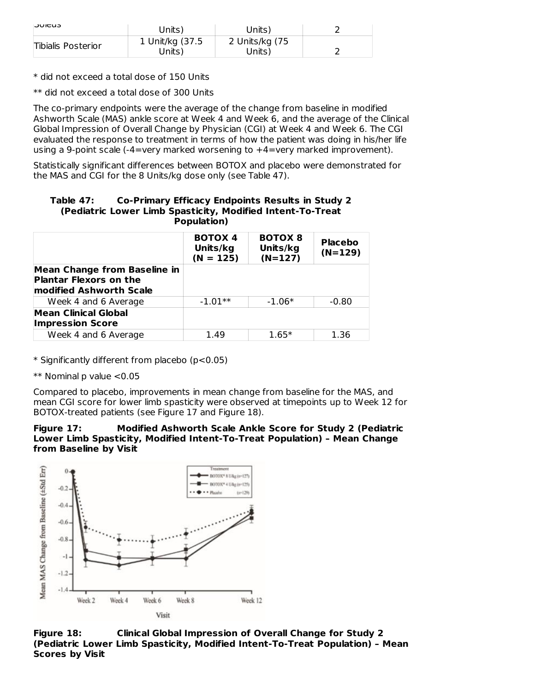| CUJUL              | Units)                    | Units)                   |  |
|--------------------|---------------------------|--------------------------|--|
| Tibialis Posterior | 1 Unit/kg (37.5<br>Units) | 2 Units/kg (75<br>Units) |  |

\* did not exceed a total dose of 150 Units

\*\* did not exceed a total dose of 300 Units

The co-primary endpoints were the average of the change from baseline in modified Ashworth Scale (MAS) ankle score at Week 4 and Week 6, and the average of the Clinical Global Impression of Overall Change by Physician (CGI) at Week 4 and Week 6. The CGI evaluated the response to treatment in terms of how the patient was doing in his/her life using a 9-point scale (-4=very marked worsening to +4=very marked improvement).

Statistically significant differences between BOTOX and placebo were demonstrated for the MAS and CGI for the 8 Units/kg dose only (see Table 47).

| Table 47: | Co-Primary Efficacy Endpoints Results in Study 2           |
|-----------|------------------------------------------------------------|
|           | (Pediatric Lower Limb Spasticity, Modified Intent-To-Treat |
|           | Population)                                                |

|                                                                                                 | <b>BOTOX 4</b><br>Units/kg<br>$(N = 125)$ | <b>BOTOX 8</b><br>Units/kg<br>$(N=127)$ | <b>Placebo</b><br>$(N=129)$ |
|-------------------------------------------------------------------------------------------------|-------------------------------------------|-----------------------------------------|-----------------------------|
| <b>Mean Change from Baseline in</b><br><b>Plantar Flexors on the</b><br>modified Ashworth Scale |                                           |                                         |                             |
| Week 4 and 6 Average                                                                            | $-1.01**$                                 | $-1.06*$                                | $-0.80$                     |
| Mean Clinical Global<br><b>Impression Score</b>                                                 |                                           |                                         |                             |
| Week 4 and 6 Average                                                                            | 1.49                                      | $1.65*$                                 | 1.36                        |

\* Significantly different from placebo (p<0.05)

 $**$  Nominal p value  $< 0.05$ 

Compared to placebo, improvements in mean change from baseline for the MAS, and mean CGI score for lower limb spasticity were observed at timepoints up to Week 12 for BOTOX-treated patients (see Figure 17 and Figure 18).

**Figure 17: Modified Ashworth Scale Ankle Score for Study 2 (Pediatric Lower Limb Spasticity, Modified Intent-To-Treat Population) – Mean Change from Baseline by Visit**



**Figure 18: Clinical Global Impression of Overall Change for Study 2 (Pediatric Lower Limb Spasticity, Modified Intent-To-Treat Population) – Mean Scores by Visit**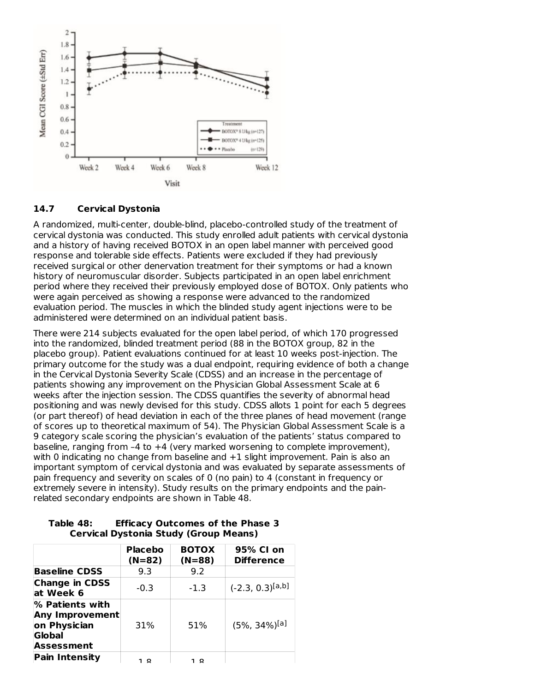

### **14.7 Cervical Dystonia**

A randomized, multi-center, double-blind, placebo-controlled study of the treatment of cervical dystonia was conducted. This study enrolled adult patients with cervical dystonia and a history of having received BOTOX in an open label manner with perceived good response and tolerable side effects. Patients were excluded if they had previously received surgical or other denervation treatment for their symptoms or had a known history of neuromuscular disorder. Subjects participated in an open label enrichment period where they received their previously employed dose of BOTOX. Only patients who were again perceived as showing a response were advanced to the randomized evaluation period. The muscles in which the blinded study agent injections were to be administered were determined on an individual patient basis.

There were 214 subjects evaluated for the open label period, of which 170 progressed into the randomized, blinded treatment period (88 in the BOTOX group, 82 in the placebo group). Patient evaluations continued for at least 10 weeks post-injection. The primary outcome for the study was a dual endpoint, requiring evidence of both a change in the Cervical Dystonia Severity Scale (CDSS) and an increase in the percentage of patients showing any improvement on the Physician Global Assessment Scale at 6 weeks after the injection session. The CDSS quantifies the severity of abnormal head positioning and was newly devised for this study. CDSS allots 1 point for each 5 degrees (or part thereof) of head deviation in each of the three planes of head movement (range of scores up to theoretical maximum of 54). The Physician Global Assessment Scale is a 9 category scale scoring the physician's evaluation of the patients' status compared to baseline, ranging from –4 to +4 (very marked worsening to complete improvement), with 0 indicating no change from baseline and +1 slight improvement. Pain is also an important symptom of cervical dystonia and was evaluated by separate assessments of pain frequency and severity on scales of 0 (no pain) to 4 (constant in frequency or extremely severe in intensity). Study results on the primary endpoints and the painrelated secondary endpoints are shown in Table 48.

|                                                                                   | <b>Placebo</b><br>$(N=82)$ | <b>BOTOX</b><br>$(N=88)$ | 95% CI on<br><b>Difference</b> |
|-----------------------------------------------------------------------------------|----------------------------|--------------------------|--------------------------------|
| <b>Baseline CDSS</b>                                                              | 9.3                        | 9.2                      |                                |
| <b>Change in CDSS</b><br>at Week 6                                                | $-0.3$                     | $-1.3$                   | $(-2.3, 0.3)^{[a,b]}$          |
| % Patients with<br><b>Any Improvement</b><br>on Physician<br>Global<br>Assessment | 31%                        | 51%                      | $(5\%, 34\%)$ [a]              |
| <b>Pain Intensity</b>                                                             | 1 Q                        | 1 Q                      |                                |

### **Table 48: Efficacy Outcomes of the Phase 3 Cervical Dystonia Study (Group Means)**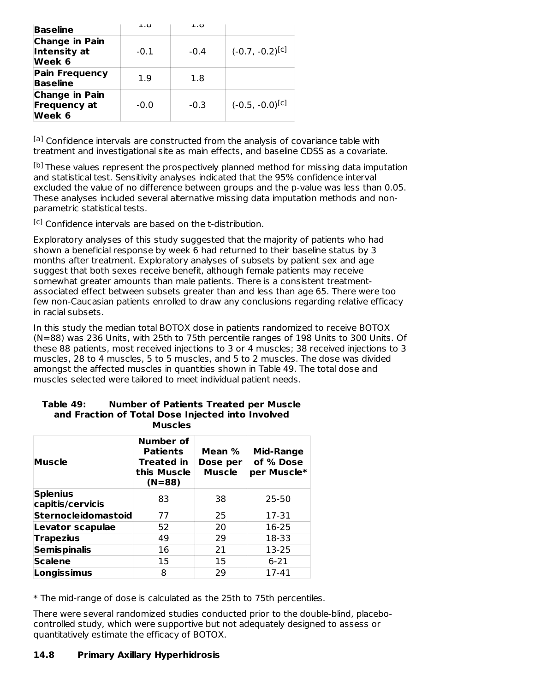| <b>Baseline</b>                                        | 1.O    | 1.O    |                      |
|--------------------------------------------------------|--------|--------|----------------------|
| <b>Change in Pain</b><br>Intensity at<br>Week 6        | $-0.1$ | $-0.4$ | $(-0.7, -0.2)^{[c]}$ |
| <b>Pain Frequency</b><br><b>Baseline</b>               | 1.9    | 1.8    |                      |
| <b>Change in Pain</b><br><b>Frequency at</b><br>Week 6 | $-0.0$ | $-0.3$ | $(-0.5, -0.0)^{[c]}$ |

<sup>[a]</sup> Confidence intervals are constructed from the analysis of covariance table with treatment and investigational site as main effects, and baseline CDSS as a covariate.

<sup>[b]</sup> These values represent the prospectively planned method for missing data imputation and statistical test. Sensitivity analyses indicated that the 95% confidence interval excluded the value of no difference between groups and the p-value was less than 0.05. These analyses included several alternative missing data imputation methods and nonparametric statistical tests.

<sup>[c]</sup> Confidence intervals are based on the t-distribution.

Exploratory analyses of this study suggested that the majority of patients who had shown a beneficial response by week 6 had returned to their baseline status by 3 months after treatment. Exploratory analyses of subsets by patient sex and age suggest that both sexes receive benefit, although female patients may receive somewhat greater amounts than male patients. There is a consistent treatmentassociated effect between subsets greater than and less than age 65. There were too few non-Caucasian patients enrolled to draw any conclusions regarding relative efficacy in racial subsets.

In this study the median total BOTOX dose in patients randomized to receive BOTOX (N=88) was 236 Units, with 25th to 75th percentile ranges of 198 Units to 300 Units. Of these 88 patients, most received injections to 3 or 4 muscles; 38 received injections to 3 muscles, 28 to 4 muscles, 5 to 5 muscles, and 5 to 2 muscles. The dose was divided amongst the affected muscles in quantities shown in Table 49. The total dose and muscles selected were tailored to meet individual patient needs.

| <b>Muscle</b>                       | Number of<br><b>Patients</b><br><b>Treated in</b><br>this Muscle<br>$(N=88)$ | Mean %<br>Dose per<br><b>Muscle</b> | <b>Mid-Range</b><br>of % Dose<br>per Muscle* |  |  |
|-------------------------------------|------------------------------------------------------------------------------|-------------------------------------|----------------------------------------------|--|--|
| <b>Splenius</b><br>capitis/cervicis | 83                                                                           | 38                                  | $25 - 50$                                    |  |  |
| <b>Sternocleidomastoid</b>          | 77                                                                           | 25                                  | 17-31                                        |  |  |
| Levator scapulae                    | 52                                                                           | 20                                  | 16-25                                        |  |  |
| <b>Trapezius</b>                    | 49                                                                           | 29                                  | 18-33                                        |  |  |
| <b>Semispinalis</b>                 | 16                                                                           | 21                                  | 13-25                                        |  |  |
| <b>Scalene</b>                      | 15                                                                           | 15                                  | $6 - 21$                                     |  |  |
| Longissimus                         | 8                                                                            | 29                                  | 17-41                                        |  |  |

#### **Table 49: Number of Patients Treated per Muscle and Fraction of Total Dose Injected into Involved Muscles**

\* The mid-range of dose is calculated as the 25th to 75th percentiles.

There were several randomized studies conducted prior to the double-blind, placebocontrolled study, which were supportive but not adequately designed to assess or quantitatively estimate the efficacy of BOTOX.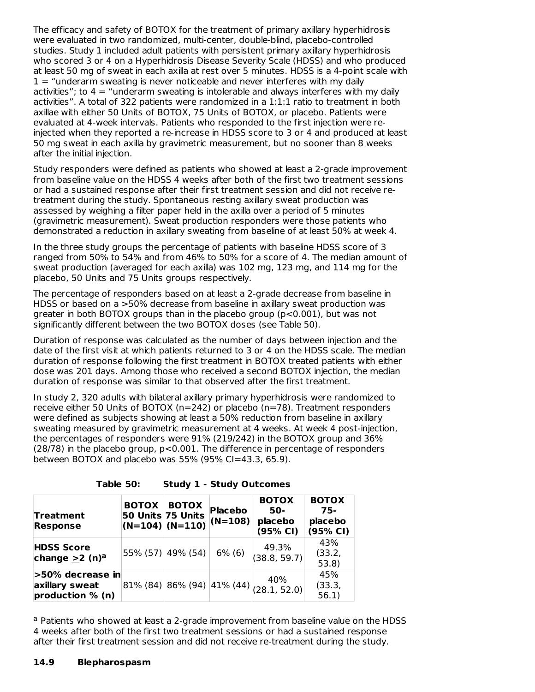The efficacy and safety of BOTOX for the treatment of primary axillary hyperhidrosis were evaluated in two randomized, multi-center, double-blind, placebo-controlled studies. Study 1 included adult patients with persistent primary axillary hyperhidrosis who scored 3 or 4 on a Hyperhidrosis Disease Severity Scale (HDSS) and who produced at least 50 mg of sweat in each axilla at rest over 5 minutes. HDSS is a 4-point scale with  $1 -$  "underarm sweating is never noticeable and never interferes with my daily activities"; to  $4 =$  "underarm sweating is intolerable and always interferes with my daily activities". A total of 322 patients were randomized in a 1:1:1 ratio to treatment in both axillae with either 50 Units of BOTOX, 75 Units of BOTOX, or placebo. Patients were evaluated at 4-week intervals. Patients who responded to the first injection were reinjected when they reported a re-increase in HDSS score to 3 or 4 and produced at least 50 mg sweat in each axilla by gravimetric measurement, but no sooner than 8 weeks after the initial injection.

Study responders were defined as patients who showed at least a 2-grade improvement from baseline value on the HDSS 4 weeks after both of the first two treatment sessions or had a sustained response after their first treatment session and did not receive retreatment during the study. Spontaneous resting axillary sweat production was assessed by weighing a filter paper held in the axilla over a period of 5 minutes (gravimetric measurement). Sweat production responders were those patients who demonstrated a reduction in axillary sweating from baseline of at least 50% at week 4.

In the three study groups the percentage of patients with baseline HDSS score of 3 ranged from 50% to 54% and from 46% to 50% for a score of 4. The median amount of sweat production (averaged for each axilla) was 102 mg, 123 mg, and 114 mg for the placebo, 50 Units and 75 Units groups respectively.

The percentage of responders based on at least a 2-grade decrease from baseline in HDSS or based on a >50% decrease from baseline in axillary sweat production was greater in both BOTOX groups than in the placebo group ( $p < 0.001$ ), but was not significantly different between the two BOTOX doses (see Table 50).

Duration of response was calculated as the number of days between injection and the date of the first visit at which patients returned to 3 or 4 on the HDSS scale. The median duration of response following the first treatment in BOTOX treated patients with either dose was 201 days. Among those who received a second BOTOX injection, the median duration of response was similar to that observed after the first treatment.

In study 2, 320 adults with bilateral axillary primary hyperhidrosis were randomized to receive either 50 Units of BOTOX (n=242) or placebo (n=78). Treatment responders were defined as subjects showing at least a 50% reduction from baseline in axillary sweating measured by gravimetric measurement at 4 weeks. At week 4 post-injection, the percentages of responders were 91% (219/242) in the BOTOX group and 36% (28/78) in the placebo group, p<0.001. The difference in percentage of responders between BOTOX and placebo was 55% (95% CI=43.3, 65.9).

**Table 50: Study 1 - Study Out** 

|  |  | Study 1 - Study Outcomes |  |
|--|--|--------------------------|--|
|  |  |                          |  |

| <b>Treatment</b><br><b>Response</b>                       | <b>BOTOX</b> | <b>BOTOX</b><br>50 Units 75 Units<br>$ (N=104)  (N=110)  (N=108) $ | <b>Placebo</b> | <b>BOTOX</b><br>50-<br>placebo<br>(95% CI)              | <b>BOTOX</b><br>75-<br>placebo<br>(95% CI) |  |
|-----------------------------------------------------------|--------------|--------------------------------------------------------------------|----------------|---------------------------------------------------------|--------------------------------------------|--|
| <b>HDSS Score</b><br>change $\geq$ 2 (n) <sup>a</sup>     |              | 55% (57) 49% (54)                                                  | $6\%$ (6)      | 49.3%<br>(38.8, 59.7)                                   | 43%<br>(33.2,<br>53.8                      |  |
| $>50\%$ decrease in<br>axillary sweat<br>production % (n) |              |                                                                    |                | 40%<br>$ 81\% (84)  86\% (94)  41\% (44) $ (28.1, 52.0) | 45%<br>(33.3,<br>56.1)                     |  |

<sup>a</sup> Patients who showed at least a 2-grade improvement from baseline value on the HDSS 4 weeks after both of the first two treatment sessions or had a sustained response after their first treatment session and did not receive re-treatment during the study.

#### **14.9 Blepharospasm**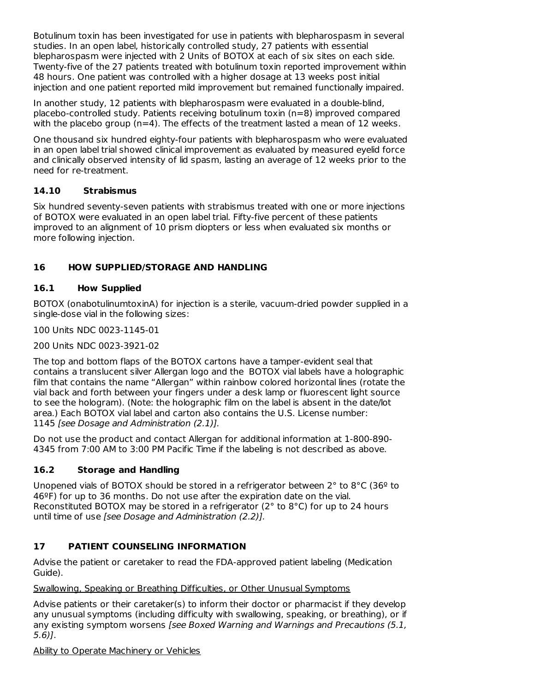Botulinum toxin has been investigated for use in patients with blepharospasm in several studies. In an open label, historically controlled study, 27 patients with essential blepharospasm were injected with 2 Units of BOTOX at each of six sites on each side. Twenty-five of the 27 patients treated with botulinum toxin reported improvement within 48 hours. One patient was controlled with a higher dosage at 13 weeks post initial injection and one patient reported mild improvement but remained functionally impaired.

In another study, 12 patients with blepharospasm were evaluated in a double-blind, placebo-controlled study. Patients receiving botulinum toxin (n=8) improved compared with the placebo group ( $n=4$ ). The effects of the treatment lasted a mean of 12 weeks.

One thousand six hundred eighty-four patients with blepharospasm who were evaluated in an open label trial showed clinical improvement as evaluated by measured eyelid force and clinically observed intensity of lid spasm, lasting an average of 12 weeks prior to the need for re-treatment.

# **14.10 Strabismus**

Six hundred seventy-seven patients with strabismus treated with one or more injections of BOTOX were evaluated in an open label trial. Fifty-five percent of these patients improved to an alignment of 10 prism diopters or less when evaluated six months or more following injection.

# **16 HOW SUPPLIED/STORAGE AND HANDLING**

# **16.1 How Supplied**

BOTOX (onabotulinumtoxinA) for injection is a sterile, vacuum-dried powder supplied in a single-dose vial in the following sizes:

100 Units NDC 0023-1145-01

200 Units NDC 0023-3921-02

The top and bottom flaps of the BOTOX cartons have a tamper-evident seal that contains a translucent silver Allergan logo and the BOTOX vial labels have a holographic film that contains the name "Allergan" within rainbow colored horizontal lines (rotate the vial back and forth between your fingers under a desk lamp or fluorescent light source to see the hologram). (Note: the holographic film on the label is absent in the date/lot area.) Each BOTOX vial label and carton also contains the U.S. License number: 1145 [see Dosage and Administration (2.1)].

Do not use the product and contact Allergan for additional information at 1-800-890- 4345 from 7:00 AM to 3:00 PM Pacific Time if the labeling is not described as above.

# **16.2 Storage and Handling**

Unopened vials of BOTOX should be stored in a refrigerator between  $2^{\circ}$  to  $8^{\circ}C$  (36<sup>o</sup> to 46ºF) for up to 36 months. Do not use after the expiration date on the vial. Reconstituted BOTOX may be stored in a refrigerator (2° to 8°C) for up to 24 hours until time of use [see Dosage and Administration (2.2)].

# **17 PATIENT COUNSELING INFORMATION**

Advise the patient or caretaker to read the FDA-approved patient labeling (Medication Guide).

Swallowing, Speaking or Breathing Difficulties, or Other Unusual Symptoms

Advise patients or their caretaker(s) to inform their doctor or pharmacist if they develop any unusual symptoms (including difficulty with swallowing, speaking, or breathing), or if any existing symptom worsens [see Boxed Warning and Warnings and Precautions (5.1, 5.6)].

Ability to Operate Machinery or Vehicles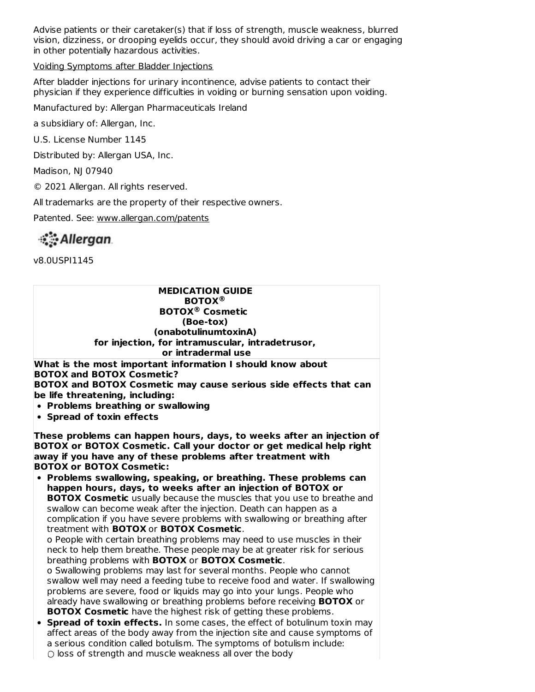Advise patients or their caretaker(s) that if loss of strength, muscle weakness, blurred vision, dizziness, or drooping eyelids occur, they should avoid driving a car or engaging in other potentially hazardous activities.

Voiding Symptoms after Bladder Injections

After bladder injections for urinary incontinence, advise patients to contact their physician if they experience difficulties in voiding or burning sensation upon voiding.

Manufactured by: Allergan Pharmaceuticals Ireland

a subsidiary of: Allergan, Inc.

U.S. License Number 1145

Distributed by: Allergan USA, Inc.

Madison, NJ 07940

© 2021 Allergan. All rights reserved.

All trademarks are the property of their respective owners.

Patented. See: www.allergan.com/patents

Allergan.

v8.0USPI1145

**MEDICATION GUIDE BOTOX ® BOTOX Cosmetic ®(Boe-tox) (onabotulinumtoxinA) for injection, for intramuscular, intradetrusor, or intradermal use**

**What is the most important information I should know about BOTOX and BOTOX Cosmetic? BOTOX and BOTOX Cosmetic may cause serious side effects that can**

**be life threatening, including:**

**Problems breathing or swallowing**

**Spread of toxin effects**

**These problems can happen hours, days, to weeks after an injection of BOTOX or BOTOX Cosmetic. Call your doctor or get medical help right away if you have any of these problems after treatment with BOTOX or BOTOX Cosmetic:**

**Problems swallowing, speaking, or breathing. These problems can happen hours, days, to weeks after an injection of BOTOX or BOTOX Cosmetic** usually because the muscles that you use to breathe and swallow can become weak after the injection. Death can happen as a complication if you have severe problems with swallowing or breathing after treatment with **BOTOX** or **BOTOX Cosmetic**.

o People with certain breathing problems may need to use muscles in their neck to help them breathe. These people may be at greater risk for serious breathing problems with **BOTOX** or **BOTOX Cosmetic**.

o Swallowing problems may last for several months. People who cannot swallow well may need a feeding tube to receive food and water. If swallowing problems are severe, food or liquids may go into your lungs. People who already have swallowing or breathing problems before receiving **BOTOX** or **BOTOX Cosmetic** have the highest risk of getting these problems.

**Spread of toxin effects.** In some cases, the effect of botulinum toxin may affect areas of the body away from the injection site and cause symptoms of a serious condition called botulism. The symptoms of botulism include: ○ loss of strength and muscle weakness all over the body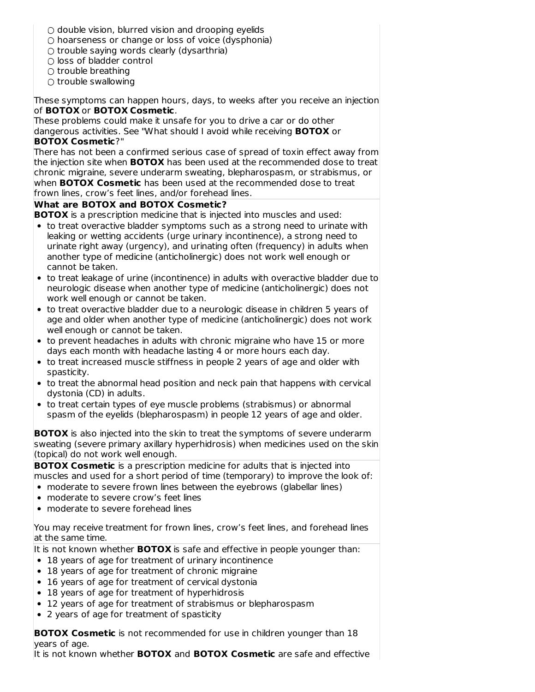- $\circ$  double vision, blurred vision and drooping eyelids
- $\circ$  hoarseness or change or loss of voice (dysphonia)
- trouble saying words clearly (dysarthria)
- loss of bladder control
- $\bigcirc$  trouble breathing
- $\bigcirc$  trouble swallowing

These symptoms can happen hours, days, to weeks after you receive an injection of **BOTOX** or **BOTOX Cosmetic**.

These problems could make it unsafe for you to drive a car or do other dangerous activities. See "What should I avoid while receiving **BOTOX** or **BOTOX Cosmetic**?"

There has not been a confirmed serious case of spread of toxin effect away from the injection site when **BOTOX** has been used at the recommended dose to treat chronic migraine, severe underarm sweating, blepharospasm, or strabismus, or when **BOTOX Cosmetic** has been used at the recommended dose to treat frown lines, crow's feet lines, and/or forehead lines.

# **What are BOTOX and BOTOX Cosmetic?**

**BOTOX** is a prescription medicine that is injected into muscles and used:

- to treat overactive bladder symptoms such as a strong need to urinate with leaking or wetting accidents (urge urinary incontinence), a strong need to urinate right away (urgency), and urinating often (frequency) in adults when another type of medicine (anticholinergic) does not work well enough or cannot be taken.
- to treat leakage of urine (incontinence) in adults with overactive bladder due to neurologic disease when another type of medicine (anticholinergic) does not work well enough or cannot be taken.
- to treat overactive bladder due to a neurologic disease in children 5 years of age and older when another type of medicine (anticholinergic) does not work well enough or cannot be taken.
- to prevent headaches in adults with chronic migraine who have 15 or more days each month with headache lasting 4 or more hours each day.
- to treat increased muscle stiffness in people 2 years of age and older with spasticity.
- to treat the abnormal head position and neck pain that happens with cervical dystonia (CD) in adults.
- to treat certain types of eye muscle problems (strabismus) or abnormal spasm of the eyelids (blepharospasm) in people 12 years of age and older.

**BOTOX** is also injected into the skin to treat the symptoms of severe underarm sweating (severe primary axillary hyperhidrosis) when medicines used on the skin (topical) do not work well enough.

**BOTOX Cosmetic** is a prescription medicine for adults that is injected into muscles and used for a short period of time (temporary) to improve the look of:

- moderate to severe frown lines between the eyebrows (glabellar lines)
- moderate to severe crow's feet lines
- moderate to severe forehead lines

You may receive treatment for frown lines, crow's feet lines, and forehead lines at the same time.

It is not known whether **BOTOX** is safe and effective in people younger than:

- 18 years of age for treatment of urinary incontinence
- 18 years of age for treatment of chronic migraine
- 16 years of age for treatment of cervical dystonia
- 18 years of age for treatment of hyperhidrosis
- 12 years of age for treatment of strabismus or blepharospasm
- 2 years of age for treatment of spasticity

**BOTOX Cosmetic** is not recommended for use in children younger than 18 years of age.

It is not known whether **BOTOX** and **BOTOX Cosmetic** are safe and effective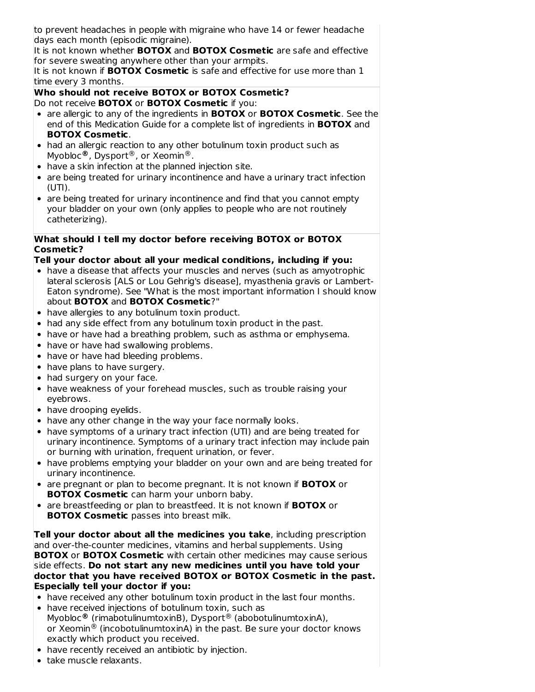to prevent headaches in people with migraine who have 14 or fewer headache days each month (episodic migraine).

It is not known whether **BOTOX** and **BOTOX Cosmetic** are safe and effective for severe sweating anywhere other than your armpits.

It is not known if **BOTOX Cosmetic** is safe and effective for use more than 1 time every 3 months.

**Who should not receive BOTOX or BOTOX Cosmetic?** Do not receive **BOTOX** or **BOTOX Cosmetic** if you:

- are allergic to any of the ingredients in **BOTOX** or **BOTOX Cosmetic**. See the end of this Medication Guide for a complete list of ingredients in **BOTOX** and **BOTOX Cosmetic**.
- had an allergic reaction to any other botulinum toxin product such as Myobloc®, Dysport®, or Xeomin®.
- have a skin infection at the planned injection site.
- are being treated for urinary incontinence and have a urinary tract infection (UTI).
- are being treated for urinary incontinence and find that you cannot empty your bladder on your own (only applies to people who are not routinely catheterizing).

# **What should I tell my doctor before receiving BOTOX or BOTOX Cosmetic?**

# **Tell your doctor about all your medical conditions, including if you:**

- have a disease that affects your muscles and nerves (such as amyotrophic lateral sclerosis [ALS or Lou Gehrig's disease], myasthenia gravis or Lambert-Eaton syndrome). See "What is the most important information I should know about **BOTOX** and **BOTOX Cosmetic**?"
- have allergies to any botulinum toxin product.
- had any side effect from any botulinum toxin product in the past.
- have or have had a breathing problem, such as asthma or emphysema.
- have or have had swallowing problems.
- have or have had bleeding problems.
- have plans to have surgery.
- had surgery on your face.
- have weakness of your forehead muscles, such as trouble raising your eyebrows.
- have drooping eyelids.
- have any other change in the way your face normally looks.
- have symptoms of a urinary tract infection (UTI) and are being treated for urinary incontinence. Symptoms of a urinary tract infection may include pain or burning with urination, frequent urination, or fever.
- have problems emptying your bladder on your own and are being treated for urinary incontinence.
- are pregnant or plan to become pregnant. It is not known if **BOTOX** or **BOTOX Cosmetic** can harm your unborn baby.
- are breastfeeding or plan to breastfeed. It is not known if **BOTOX** or **BOTOX Cosmetic** passes into breast milk.

**Tell your doctor about all the medicines you take**, including prescription and over-the-counter medicines, vitamins and herbal supplements. Using **BOTOX** or **BOTOX Cosmetic** with certain other medicines may cause serious side effects. **Do not start any new medicines until you have told your doctor that you have received BOTOX or BOTOX Cosmetic in the past. Especially tell your doctor if you:**

- have received any other botulinum toxin product in the last four months.
- have received injections of botulinum toxin, such as Myobloc® (rimabotulinumtoxinB), Dysport® (abobotulinumtoxinA), or Xeomin $^{\circledR}$  (incobotulinumtoxinA) in the past. Be sure your doctor knows exactly which product you received.
- have recently received an antibiotic by injection.
- take muscle relaxants.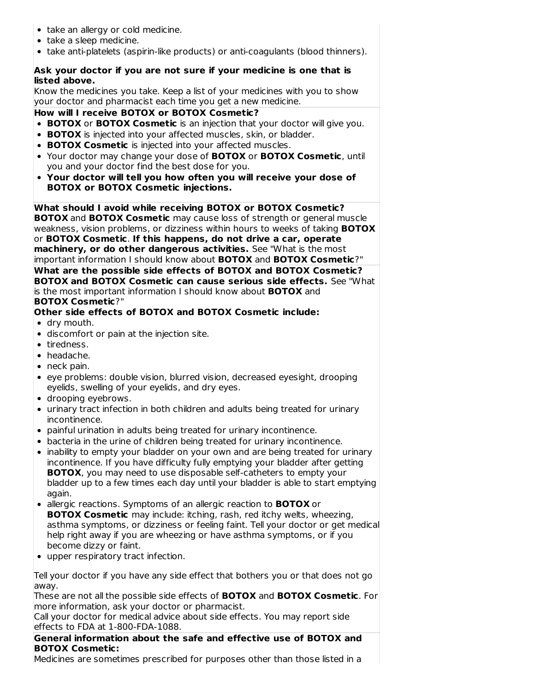- take an allergy or cold medicine.
- take a sleep medicine.
- take anti-platelets (aspirin-like products) or anti-coagulants (blood thinners).

# **Ask your doctor if you are not sure if your medicine is one that is listed above.**

Know the medicines you take. Keep a list of your medicines with you to show your doctor and pharmacist each time you get a new medicine.

### **How will I receive BOTOX or BOTOX Cosmetic?**

- **BOTOX** or **BOTOX Cosmetic** is an injection that your doctor will give you.
- **BOTOX** is injected into your affected muscles, skin, or bladder.
- **BOTOX Cosmetic** is injected into your affected muscles.
- Your doctor may change your dose of **BOTOX** or **BOTOX Cosmetic**, until you and your doctor find the best dose for you.
- **Your doctor will tell you how often you will receive your dose of BOTOX or BOTOX Cosmetic injections.**

**What should I avoid while receiving BOTOX or BOTOX Cosmetic?**

**BOTOX** and **BOTOX Cosmetic** may cause loss of strength or general muscle weakness, vision problems, or dizziness within hours to weeks of taking **BOTOX** or **BOTOX Cosmetic**. **If this happens, do not drive a car, operate machinery, or do other dangerous activities.** See "What is the most important information I should know about **BOTOX** and **BOTOX Cosmetic**?"

**What are the possible side effects of BOTOX and BOTOX Cosmetic? BOTOX and BOTOX Cosmetic can cause serious side effects.** See "What is the most important information I should know about **BOTOX** and **BOTOX Cosmetic**?"

# **Other side effects of BOTOX and BOTOX Cosmetic include:**

- dry mouth.
- discomfort or pain at the injection site.
- tiredness.
- headache.
- neck pain.
- eye problems: double vision, blurred vision, decreased eyesight, drooping eyelids, swelling of your eyelids, and dry eyes.
- drooping eyebrows.
- urinary tract infection in both children and adults being treated for urinary incontinence.
- painful urination in adults being treated for urinary incontinence.
- bacteria in the urine of children being treated for urinary incontinence.
- inability to empty your bladder on your own and are being treated for urinary incontinence. If you have difficulty fully emptying your bladder after getting **BOTOX**, you may need to use disposable self-catheters to empty your bladder up to a few times each day until your bladder is able to start emptying again.
- allergic reactions. Symptoms of an allergic reaction to **BOTOX** or **BOTOX Cosmetic** may include: itching, rash, red itchy welts, wheezing, asthma symptoms, or dizziness or feeling faint. Tell your doctor or get medical help right away if you are wheezing or have asthma symptoms, or if you become dizzy or faint.
- upper respiratory tract infection.

Tell your doctor if you have any side effect that bothers you or that does not go away.

These are not all the possible side effects of **BOTOX** and **BOTOX Cosmetic**. For more information, ask your doctor or pharmacist.

Call your doctor for medical advice about side effects. You may report side effects to FDA at 1-800-FDA-1088.

### **General information about the safe and effective use of BOTOX and BOTOX Cosmetic:**

Medicines are sometimes prescribed for purposes other than those listed in a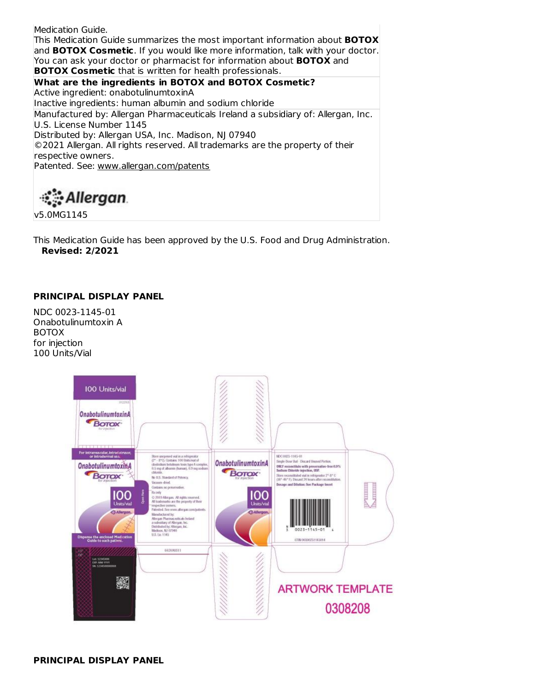Medication Guide. This Medication Guide summarizes the most important information about **BOTOX** and **BOTOX Cosmetic**. If you would like more information, talk with your doctor. You can ask your doctor or pharmacist for information about **BOTOX** and **BOTOX Cosmetic** that is written for health professionals. **What are the ingredients in BOTOX and BOTOX Cosmetic?** Active ingredient: onabotulinumtoxinA Inactive ingredients: human albumin and sodium chloride Manufactured by: Allergan Pharmaceuticals Ireland a subsidiary of: Allergan, Inc. U.S. License Number 1145

Distributed by: Allergan USA, Inc. Madison, NJ 07940

©2021 Allergan. All rights reserved. All trademarks are the property of their respective owners.

Patented. See: www.allergan.com/patents

# ंै Allergan

v5.0MG1145

This Medication Guide has been approved by the U.S. Food and Drug Administration. **Revised: 2/2021**

# **PRINCIPAL DISPLAY PANEL**

NDC 0023-1145-01 Onabotulinumtoxin A BOTOX for injection 100 Units/Vial

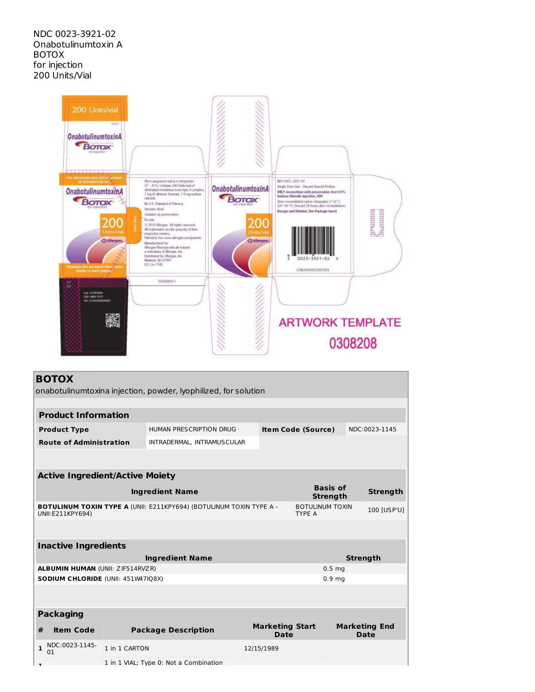

# **BOTOX**

onabotulinumtoxina injection, powder, lyophilized, for solution

|              | <b>Product Information</b>                |                                                      |                                                                            |            |                                |                                         |                                    |                 |                              |
|--------------|-------------------------------------------|------------------------------------------------------|----------------------------------------------------------------------------|------------|--------------------------------|-----------------------------------------|------------------------------------|-----------------|------------------------------|
|              | <b>Product Type</b>                       | HUMAN PRESCRIPTION DRUG<br><b>Item Code (Source)</b> |                                                                            |            |                                |                                         |                                    | NDC:0023-1145   |                              |
|              | <b>Route of Administration</b>            |                                                      | INTRADERMAL, INTRAMUSCULAR                                                 |            |                                |                                         |                                    |                 |                              |
|              |                                           |                                                      |                                                                            |            |                                |                                         |                                    |                 |                              |
|              | <b>Active Ingredient/Active Moiety</b>    |                                                      |                                                                            |            |                                |                                         |                                    |                 |                              |
|              |                                           |                                                      | <b>Ingredient Name</b>                                                     |            |                                |                                         | <b>Basis of</b><br><b>Strength</b> |                 | <b>Strength</b>              |
|              | UNII:E211KPY694)                          |                                                      | <b>BOTULINUM TOXIN TYPE A (UNII: E211KPY694) (BOTULINUM TOXIN TYPE A -</b> |            |                                | <b>BOTULINUM TOXIN</b><br><b>TYPE A</b> |                                    |                 | 100 [USP'U]                  |
|              |                                           |                                                      |                                                                            |            |                                |                                         |                                    |                 |                              |
|              | <b>Inactive Ingredients</b>               |                                                      |                                                                            |            |                                |                                         |                                    |                 |                              |
|              |                                           |                                                      | <b>Ingredient Name</b>                                                     |            |                                |                                         |                                    | <b>Strength</b> |                              |
|              | <b>ALBUMIN HUMAN (UNII: ZIF514RVZR)</b>   |                                                      |                                                                            |            |                                |                                         | 0.5 <sub>ma</sub>                  |                 |                              |
|              | <b>SODIUM CHLORIDE (UNII: 451W47IQ8X)</b> |                                                      |                                                                            |            |                                |                                         | 0.9 <sub>mg</sub>                  |                 |                              |
|              |                                           |                                                      |                                                                            |            |                                |                                         |                                    |                 |                              |
|              | <b>Packaging</b>                          |                                                      |                                                                            |            |                                |                                         |                                    |                 |                              |
| #            | <b>Item Code</b>                          |                                                      | <b>Package Description</b>                                                 |            | <b>Marketing Start</b><br>Date |                                         |                                    |                 | <b>Marketing End</b><br>Date |
| $\mathbf{1}$ | NDC:0023-1145-<br>01                      | 1 in 1 CARTON                                        |                                                                            | 12/15/1989 |                                |                                         |                                    |                 |                              |
|              |                                           |                                                      | 1 in 1 VIAL: Type 0: Not a Combination                                     |            |                                |                                         |                                    |                 |                              |